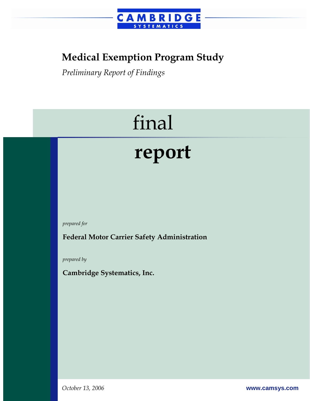

## **Medical Exemption Program Study**

*Preliminary Report of Findings* 

# final

# **report**

*prepared for* 

**Federal Motor Carrier Safety Administration** 

*prepared by* 

**Cambridge Systematics, Inc.** 

*October 13, 2006* **www.camsys.com**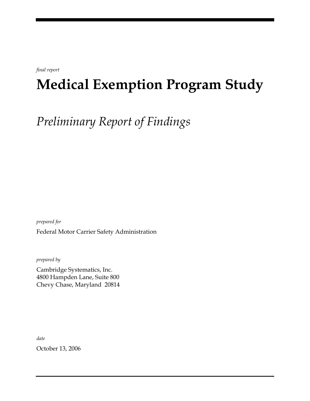*final report* 

## **Medical Exemption Program Study**

*Preliminary Report of Findings* 

*prepared for*  Federal Motor Carrier Safety Administration

*prepared by* 

Cambridge Systematics, Inc. 4800 Hampden Lane, Suite 800 Chevy Chase, Maryland 20814

*date* 

October 13, 2006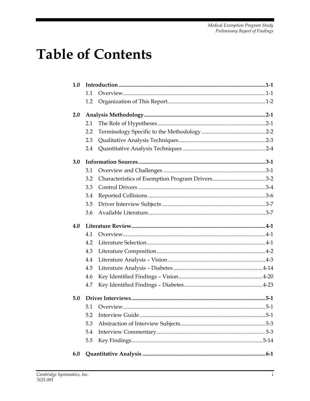## **Table of Contents**

| 1.0 |     |  |
|-----|-----|--|
|     | 1.1 |  |
|     | 1.2 |  |
| 2.0 |     |  |
|     | 2.1 |  |
|     | 2.2 |  |
|     | 2.3 |  |
|     | 2.4 |  |
| 3.0 |     |  |
|     | 3.1 |  |
|     | 3.2 |  |
|     | 3.3 |  |
|     | 3.4 |  |
|     | 3.5 |  |
|     | 3.6 |  |
|     |     |  |
| 4.0 |     |  |
|     | 4.1 |  |
|     | 4.2 |  |
|     | 4.3 |  |
|     | 4.4 |  |
|     | 4.5 |  |
|     | 4.6 |  |
|     | 4.7 |  |
| 5.0 |     |  |
|     | 5.1 |  |
|     | 5.2 |  |
|     | 5.3 |  |
|     | 5.4 |  |
|     | 5.5 |  |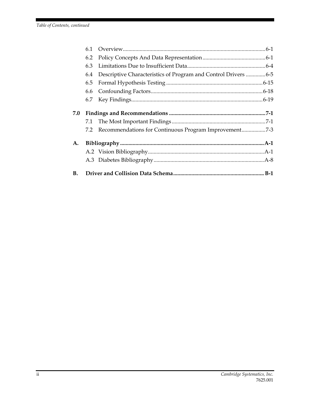|     | 6.1        |                                                                |  |
|-----|------------|----------------------------------------------------------------|--|
|     | 6.2        |                                                                |  |
|     | 6.3        |                                                                |  |
|     | 6.4        | Descriptive Characteristics of Program and Control Drivers 6-5 |  |
|     | 6.5        |                                                                |  |
|     | 6.6        |                                                                |  |
|     | 6.7        |                                                                |  |
| 7.0 | 7.1<br>7.2 | Recommendations for Continuous Program Improvement7-3          |  |
| A.  |            |                                                                |  |
|     |            |                                                                |  |
|     |            |                                                                |  |
| В.  |            |                                                                |  |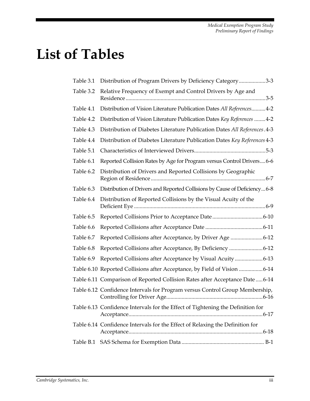## **List of Tables**

| Table 3.1 | Distribution of Program Drivers by Deficiency Category3-3                       |
|-----------|---------------------------------------------------------------------------------|
| Table 3.2 | Relative Frequency of Exempt and Control Drivers by Age and                     |
| Table 4.1 | Distribution of Vision Literature Publication Dates All References 4-2          |
| Table 4.2 | Distribution of Vision Literature Publication Dates Key References 4-2          |
| Table 4.3 | Distribution of Diabetes Literature Publication Dates All References. 4-3       |
| Table 4.4 | Distribution of Diabetes Literature Publication Dates Key References 4-3        |
| Table 5.1 |                                                                                 |
| Table 6.1 | Reported Collision Rates by Age for Program versus Control Drivers 6-6          |
| Table 6.2 | Distribution of Drivers and Reported Collisions by Geographic                   |
| Table 6.3 | Distribution of Drivers and Reported Collisions by Cause of Deficiency6-8       |
| Table 6.4 | Distribution of Reported Collisions by the Visual Acuity of the                 |
| Table 6.5 |                                                                                 |
| Table 6.6 |                                                                                 |
| Table 6.7 | Reported Collisions after Acceptance, by Driver Age 6-12                        |
| Table 6.8 |                                                                                 |
|           | Reported Collisions after Acceptance, By Deficiency 6-12                        |
| Table 6.9 | Reported Collisions after Acceptance by Visual Acuity6-13                       |
|           | Table 6.10 Reported Collisions after Acceptance, by Field of Vision 6-14        |
|           | Table 6.11 Comparison of Reported Collision Rates after Acceptance Date  6-14   |
|           | Table 6.12 Confidence Intervals for Program versus Control Group Membership,    |
|           | Table 6.13 Confidence Intervals for the Effect of Tightening the Definition for |
|           | Table 6.14 Confidence Intervals for the Effect of Relaxing the Definition for   |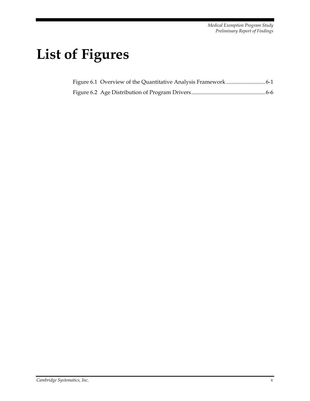## **List of Figures**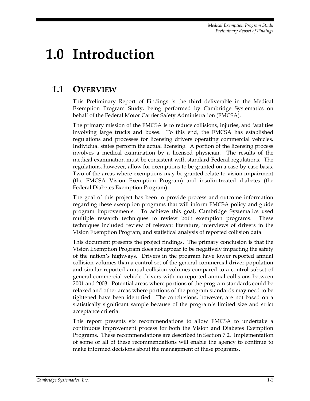## **1.0 Introduction**

## **1.1 OVERVIEW**

This Preliminary Report of Findings is the third deliverable in the Medical Exemption Program Study, being performed by Cambridge Systematics on behalf of the Federal Motor Carrier Safety Administration (FMCSA).

The primary mission of the FMCSA is to reduce collisions, injuries, and fatalities involving large trucks and buses. To this end, the FMCSA has established regulations and processes for licensing drivers operating commercial vehicles. Individual states perform the actual licensing. A portion of the licensing process involves a medical examination by a licensed physician. The results of the medical examination must be consistent with standard Federal regulations. The regulations, however, allow for exemptions to be granted on a case-by-case basis. Two of the areas where exemptions may be granted relate to vision impairment (the FMCSA Vision Exemption Program) and insulin-treated diabetes (the Federal Diabetes Exemption Program).

The goal of this project has been to provide process and outcome information regarding these exemption programs that will inform FMCSA policy and guide program improvements. To achieve this goal, Cambridge Systematics used multiple research techniques to review both exemption programs. These techniques included review of relevant literature, interviews of drivers in the Vision Exemption Program, and statistical analysis of reported collision data.

This document presents the project findings. The primary conclusion is that the Vision Exemption Program does not appear to be negatively impacting the safety of the nation's highways. Drivers in the program have lower reported annual collision volumes than a control set of the general commercial driver population and similar reported annual collision volumes compared to a control subset of general commercial vehicle drivers with no reported annual collisions between 2001 and 2003. Potential areas where portions of the program standards could be relaxed and other areas where portions of the program standards may need to be tightened have been identified. The conclusions, however, are not based on a statistically significant sample because of the program's limited size and strict acceptance criteria.

This report presents six recommendations to allow FMCSA to undertake a continuous improvement process for both the Vision and Diabetes Exemption Programs. These recommendations are described in Section 7.2. Implementation of some or all of these recommendations will enable the agency to continue to make informed decisions about the management of these programs.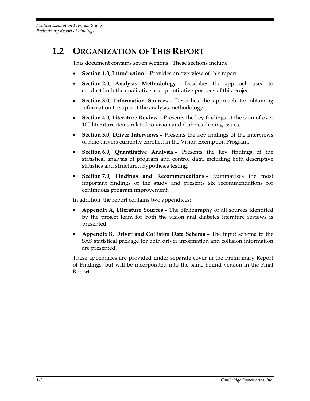## **1.2 ORGANIZATION OF THIS REPORT**

This document contains seven sections. These sections include:

- **Section 1.0, Introduction** Provides an overview of this report.
- **Section 2.0, Analysis Methodology** Describes the approach used to conduct both the qualitative and quantitative portions of this project.
- **Section 3.0, Information Sources** Describes the approach for obtaining information to support the analysis methodology.
- **Section 4.0, Literature Review** Presents the key findings of the scan of over 100 literature items related to vision and diabetes driving issues.
- **Section 5.0, Driver Interviews** Presents the key findings of the interviews of nine drivers currently enrolled in the Vision Exemption Program.
- **Section 6.0, Quantitative Analysis** Presents the key findings of the statistical analysis of program and control data, including both descriptive statistics and structured hypothesis testing.
- **Section 7.0, Findings and Recommendations** Summarizes the most important findings of the study and presents six recommendations for continuous program improvement.

In addition, the report contains two appendices:

- **Appendix A, Literature Sources** The bibliography of all sources identified by the project team for both the vision and diabetes literature reviews is presented.
- **Appendix B, Driver and Collision Data Schema** The input schema to the SAS statistical package for both driver information and collision information are presented.

These appendices are provided under separate cover in the Preliminary Report of Findings, but will be incorporated into the same bound version in the Final Report.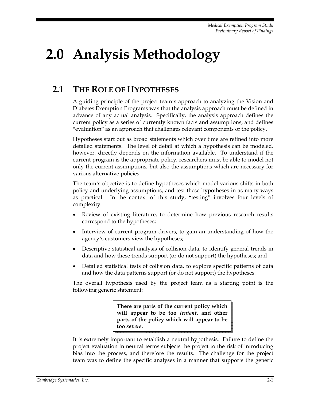## **2.0 Analysis Methodology**

## **2.1 THE ROLE OF HYPOTHESES**

A guiding principle of the project team's approach to analyzing the Vision and Diabetes Exemption Programs was that the analysis approach must be defined in advance of any actual analysis. Specifically, the analysis approach defines the current policy as a series of currently known facts and assumptions, and defines "evaluation" as an approach that challenges relevant components of the policy.

Hypotheses start out as broad statements which over time are refined into more detailed statements. The level of detail at which a hypothesis can be modeled, however, directly depends on the information available. To understand if the current program is the appropriate policy, researchers must be able to model not only the current assumptions, but also the assumptions which are necessary for various alternative policies.

The team's objective is to define hypotheses which model various shifts in both policy and underlying assumptions, and test these hypotheses in as many ways as practical. In the context of this study, "testing" involves four levels of complexity:

- Review of existing literature, to determine how previous research results correspond to the hypotheses;
- Interview of current program drivers, to gain an understanding of how the agency's customers view the hypotheses;
- Descriptive statistical analysis of collision data, to identify general trends in data and how these trends support (or do not support) the hypotheses; and
- Detailed statistical tests of collision data, to explore specific patterns of data and how the data patterns support (or do not support) the hypotheses.

The overall hypothesis used by the project team as a starting point is the following generic statement:

> **There are parts of the current policy which will appear to be too** *lenient***, and other parts of the policy which will appear to be too** *severe***.**

It is extremely important to establish a neutral hypothesis. Failure to define the project evaluation in neutral terms subjects the project to the risk of introducing bias into the process, and therefore the results. The challenge for the project team was to define the specific analyses in a manner that supports the generic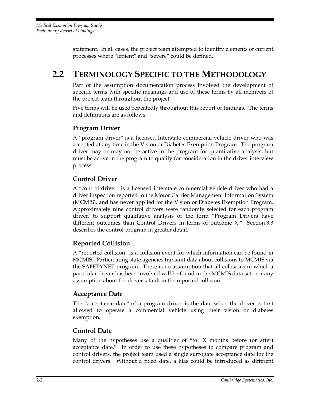statement. In all cases, the project team attempted to identify elements of current processes where "lenient" and "severe" could be defined.

## **2.2 TERMINOLOGY SPECIFIC TO THE METHODOLOGY**

Part of the assumption documentation process involved the development of specific terms with specific meanings and use of these terms by all members of the project team throughout the project.

Five terms will be used repeatedly throughout this report of findings. The terms and definitions are as follows:

#### **Program Driver**

A "program driver" is a licensed Interstate commercial vehicle driver who was accepted at any time in the Vision or Diabetes Exemption Program. The program driver may or may not be active in the program for quantitative analysis, but must be active in the program to qualify for consideration in the driver interview process.

#### **Control Driver**

A "control driver" is a licensed interstate commercial vehicle driver who had a driver inspection reported to the Motor Carrier Management Information System (MCMIS), and has never applied for the Vision or Diabetes Exemption Program. Approximately nine control drivers were randomly selected for each program driver, to support qualitative analysis of the form "Program Drivers have different outcomes than Control Drivers in terms of outcome X." Section 3.3 describes the control program in greater detail.

#### **Reported Collision**

A "reported collision" is a collision event for which information can be found in MCMIS. Participating state agencies transmit data about collisions to MCMIS via the SAFETYNET program. There is no assumption that all collisions in which a particular driver has been involved will be found in the MCMIS data set, nor any assumption about the driver's fault in the reported collision.

#### **Acceptance Date**

The "acceptance date" of a program driver is the date when the driver is first allowed to operate a commercial vehicle using their vision or diabetes exemption.

#### **Control Date**

Many of the hypotheses use a qualifier of "for  $X$  months before (or after) acceptance date." In order to use these hypotheses to compare program and control drivers, the project team used a single surrogate acceptance date for the control drivers. Without a fixed date, a bias could be introduced as different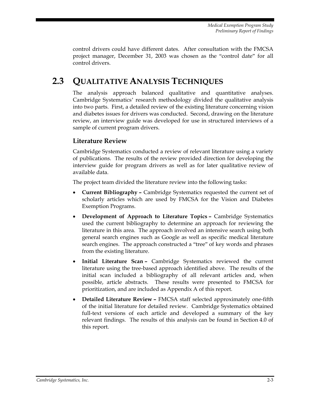*Medical Exemption Program Study Preliminary Report of Findings* 

control drivers could have different dates. After consultation with the FMCSA project manager, December 31, 2003 was chosen as the "control date" for all control drivers.

## **2.3 QUALITATIVE ANALYSIS TECHNIQUES**

The analysis approach balanced qualitative and quantitative analyses. Cambridge Systematics' research methodology divided the qualitative analysis into two parts. First, a detailed review of the existing literature concerning vision and diabetes issues for drivers was conducted. Second, drawing on the literature review, an interview guide was developed for use in structured interviews of a sample of current program drivers.

#### **Literature Review**

Cambridge Systematics conducted a review of relevant literature using a variety of publications. The results of the review provided direction for developing the interview guide for program drivers as well as for later qualitative review of available data.

The project team divided the literature review into the following tasks:

- **Current Bibliography** Cambridge Systematics requested the current set of scholarly articles which are used by FMCSA for the Vision and Diabetes Exemption Programs.
- **Development of Approach to Literature Topics** Cambridge Systematics used the current bibliography to determine an approach for reviewing the literature in this area. The approach involved an intensive search using both general search engines such as Google as well as specific medical literature search engines. The approach constructed a "tree" of key words and phrases from the existing literature.
- **Initial Literature Scan** Cambridge Systematics reviewed the current literature using the tree-based approach identified above. The results of the initial scan included a bibliography of all relevant articles and, when possible, article abstracts. These results were presented to FMCSA for prioritization, and are included as Appendix A of this report.
- **Detailed Literature Review** FMCSA staff selected approximately one-fifth of the initial literature for detailed review. Cambridge Systematics obtained full-text versions of each article and developed a summary of the key relevant findings. The results of this analysis can be found in Section 4.0 of this report.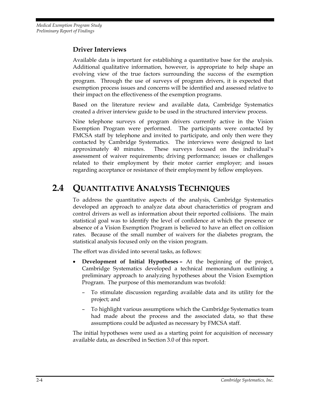#### **Driver Interviews**

Available data is important for establishing a quantitative base for the analysis. Additional qualitative information, however, is appropriate to help shape an evolving view of the true factors surrounding the success of the exemption program. Through the use of surveys of program drivers, it is expected that exemption process issues and concerns will be identified and assessed relative to their impact on the effectiveness of the exemption programs.

Based on the literature review and available data, Cambridge Systematics created a driver interview guide to be used in the structured interview process.

Nine telephone surveys of program drivers currently active in the Vision Exemption Program were performed. The participants were contacted by FMCSA staff by telephone and invited to participate, and only then were they contacted by Cambridge Systematics. The interviews were designed to last approximately 40 minutes. These surveys focused on the individual's assessment of waiver requirements; driving performance; issues or challenges related to their employment by their motor carrier employer; and issues regarding acceptance or resistance of their employment by fellow employees.

## **2.4 QUANTITATIVE ANALYSIS TECHNIQUES**

To address the quantitative aspects of the analysis, Cambridge Systematics developed an approach to analyze data about characteristics of program and control drivers as well as information about their reported collisions. The main statistical goal was to identify the level of confidence at which the presence or absence of a Vision Exemption Program is believed to have an effect on collision rates. Because of the small number of waivers for the diabetes program, the statistical analysis focused only on the vision program.

The effort was divided into several tasks, as follows:

- **Development of Initial Hypotheses** At the beginning of the project, Cambridge Systematics developed a technical memorandum outlining a preliminary approach to analyzing hypotheses about the Vision Exemption Program. The purpose of this memorandum was twofold:
	- To stimulate discussion regarding available data and its utility for the project; and
	- To highlight various assumptions which the Cambridge Systematics team had made about the process and the associated data, so that these assumptions could be adjusted as necessary by FMCSA staff.

The initial hypotheses were used as a starting point for acquisition of necessary available data, as described in Section 3.0 of this report.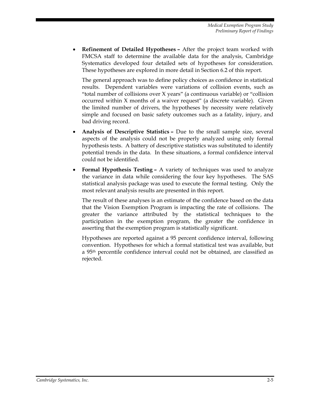• **Refinement of Detailed Hypotheses –** After the project team worked with FMCSA staff to determine the available data for the analysis, Cambridge Systematics developed four detailed sets of hypotheses for consideration. These hypotheses are explored in more detail in Section 6.2 of this report.

The general approach was to define policy choices as confidence in statistical results. Dependent variables were variations of collision events, such as "total number of collisions over X years" (a continuous variable) or "collision occurred within X months of a waiver request" (a discrete variable). Given the limited number of drivers, the hypotheses by necessity were relatively simple and focused on basic safety outcomes such as a fatality, injury, and bad driving record.

- **Analysis of Descriptive Statistics** Due to the small sample size, several aspects of the analysis could not be properly analyzed using only formal hypothesis tests. A battery of descriptive statistics was substituted to identify potential trends in the data. In these situations, a formal confidence interval could not be identified.
- **Formal Hypothesis Testing** A variety of techniques was used to analyze the variance in data while considering the four key hypotheses. The SAS statistical analysis package was used to execute the formal testing. Only the most relevant analysis results are presented in this report.

The result of these analyses is an estimate of the confidence based on the data that the Vision Exemption Program is impacting the rate of collisions. The greater the variance attributed by the statistical techniques to the participation in the exemption program, the greater the confidence in asserting that the exemption program is statistically significant.

Hypotheses are reported against a 95 percent confidence interval, following convention. Hypotheses for which a formal statistical test was available, but a 95th percentile confidence interval could not be obtained, are classified as rejected.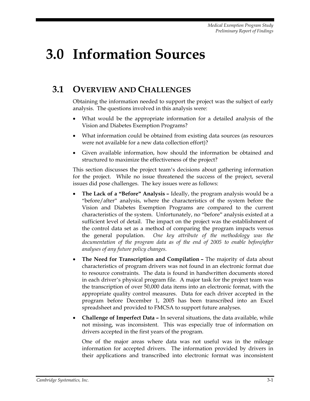## **3.0 Information Sources**

## **3.1 OVERVIEW AND CHALLENGES**

Obtaining the information needed to support the project was the subject of early analysis. The questions involved in this analysis were:

- What would be the appropriate information for a detailed analysis of the Vision and Diabetes Exemption Programs?
- What information could be obtained from existing data sources (as resources were not available for a new data collection effort)?
- Given available information, how should the information be obtained and structured to maximize the effectiveness of the project?

This section discusses the project team's decisions about gathering information for the project. While no issue threatened the success of the project, several issues did pose challenges. The key issues were as follows:

- **The Lack of a "Before" Analysis** Ideally, the program analysis would be a "before/after" analysis, where the characteristics of the system before the Vision and Diabetes Exemption Programs are compared to the current characteristics of the system. Unfortunately, no "before" analysis existed at a sufficient level of detail. The impact on the project was the establishment of the control data set as a method of comparing the program impacts versus the general population. *One key attribute of the methodology was the documentation of the program data as of the end of 2005 to enable before/after analyses of any future policy changes*.
- **The Need for Transcription and Compilation** The majority of data about characteristics of program drivers was not found in an electronic format due to resource constraints. The data is found in handwritten documents stored in each driver's physical program file. A major task for the project team was the transcription of over 50,000 data items into an electronic format, with the appropriate quality control measures. Data for each driver accepted in the program before December 1, 2005 has been transcribed into an Excel spreadsheet and provided to FMCSA to support future analyses.
- **Challenge of Imperfect Data** In several situations, the data available, while not missing, was inconsistent. This was especially true of information on drivers accepted in the first years of the program.

One of the major areas where data was not useful was in the mileage information for accepted drivers. The information provided by drivers in their applications and transcribed into electronic format was inconsistent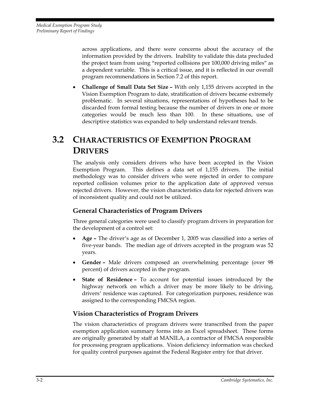across applications, and there were concerns about the accuracy of the information provided by the drivers. Inability to validate this data precluded the project team from using "reported collisions per 100,000 driving miles" as a dependent variable. This is a critical issue, and it is reflected in our overall program recommendations in Section 7.2 of this report.

• **Challenge of Small Data Set Size –** With only 1,155 drivers accepted in the Vision Exemption Program to date, stratification of drivers became extremely problematic. In several situations, representations of hypotheses had to be discarded from formal testing because the number of drivers in one or more categories would be much less than 100. In these situations, use of descriptive statistics was expanded to help understand relevant trends.

## **3.2 CHARACTERISTICS OF EXEMPTION PROGRAM DRIVERS**

The analysis only considers drivers who have been accepted in the Vision Exemption Program. This defines a data set of 1,155 drivers. The initial methodology was to consider drivers who were rejected in order to compare reported collision volumes prior to the application date of approved versus rejected drivers. However, the vision characteristics data for rejected drivers was of inconsistent quality and could not be utilized.

#### **General Characteristics of Program Drivers**

Three general categories were used to classify program drivers in preparation for the development of a control set:

- **Age** The driver's age as of December 1, 2005 was classified into a series of five-year bands. The median age of drivers accepted in the program was 52 years.
- **Gender** Male drivers composed an overwhelming percentage (over 98 percent) of drivers accepted in the program.
- **State of Residence** To account for potential issues introduced by the highway network on which a driver may be more likely to be driving, drivers' residence was captured. For categorization purposes, residence was assigned to the corresponding FMCSA region.

#### **Vision Characteristics of Program Drivers**

The vision characteristics of program drivers were transcribed from the paper exemption application summary forms into an Excel spreadsheet. These forms are originally generated by staff at MANILA, a contractor of FMCSA responsible for processing program applications. Vision deficiency information was checked for quality control purposes against the Federal Register entry for that driver.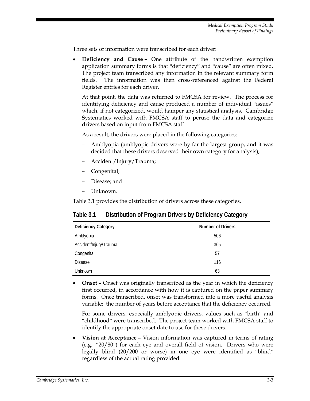Three sets of information were transcribed for each driver:

• **Deficiency and Cause –** One attribute of the handwritten exemption application summary forms is that "deficiency" and "cause" are often mixed. The project team transcribed any information in the relevant summary form fields. The information was then cross-referenced against the Federal Register entries for each driver.

At that point, the data was returned to FMCSA for review. The process for identifying deficiency and cause produced a number of individual "issues" which, if not categorized, would hamper any statistical analysis. Cambridge Systematics worked with FMCSA staff to peruse the data and categorize drivers based on input from FMCSA staff.

As a result, the drivers were placed in the following categories:

- Amblyopia (amblyopic drivers were by far the largest group, and it was decided that these drivers deserved their own category for analysis);
- Accident/Injury/Trauma;
- Congenital;
- Disease; and
- Unknown.

Table 3.1 provides the distribution of drivers across these categories.

#### **Table 3.1 Distribution of Program Drivers by Deficiency Category**

| <b>Deficiency Category</b> | <b>Number of Drivers</b> |
|----------------------------|--------------------------|
| Amblyopia                  | 506                      |
| Accident/Injury/Trauma     | 365                      |
| Congenital                 | 57                       |
| <b>Disease</b>             | 116                      |
| Unknown                    | 63                       |

• **Onset –** Onset was originally transcribed as the year in which the deficiency first occurred, in accordance with how it is captured on the paper summary forms. Once transcribed, onset was transformed into a more useful analysis variable: the number of years before acceptance that the deficiency occurred.

For some drivers, especially amblyopic drivers, values such as "birth" and "childhood" were transcribed. The project team worked with FMCSA staff to identify the appropriate onset date to use for these drivers.

• **Vision at Acceptance –** Vision information was captured in terms of rating (e.g., "20/80") for each eye and overall field of vision. Drivers who were legally blind (20/200 or worse) in one eye were identified as "blind" regardless of the actual rating provided.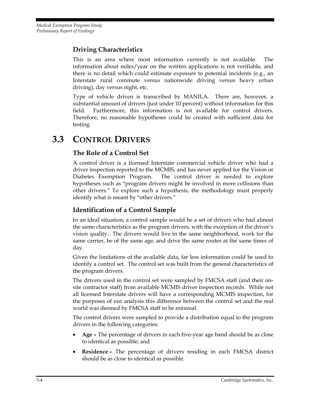### **Driving Characteristics**

This is an area where most information currently is not available. The information about miles/year on the written applications is not verifiable, and there is no detail which could estimate exposure to potential incidents (e.g., an Interstate rural commute versus nationwide driving versus heavy urban driving), day versus night, etc.

Type of vehicle driven is transcribed by MANILA. There are, however, a substantial amount of drivers (just under 10 percent) without information for this field. Furthermore, this information is not available for control drivers. Therefore, no reasonable hypotheses could be created with sufficient data for testing.

## **3.3 CONTROL DRIVERS**

#### **The Role of a Control Set**

A control driver is a licensed Interstate commercial vehicle driver who had a driver inspection reported to the MCMIS, and has never applied for the Vision or Diabetes Exemption Program. The control driver is needed to explore hypotheses such as "program drivers might be involved in more collisions than other drivers." To explore such a hypothesis, the methodology must properly identify what is meant by "other drivers."

#### **Identification of a Control Sample**

In an ideal situation, a control sample would be a set of drivers who had almost the same characteristics as the program drivers, with the exception of the driver's vision quality. The drivers would live in the same neighborhood, work for the same carrier, be of the same age, and drive the same routes at the same times of day.

Given the limitations of the available data, far less information could be used to identify a control set. The control set was built from the general characteristics of the program drivers.

The drivers used in the control set were sampled by FMCSA staff (and their onsite contractor staff) from available MCMIS driver inspection records. While not all licensed Interstate drivers will have a corresponding MCMIS inspection, for the purposes of our analysis this difference between the control set and the real world was deemed by FMCSA staff to be minimal.

The control drivers were sampled to provide a distribution equal to the program drivers in the following categories:

- **Age** The percentage of drivers in each five-year age band should be as close to identical as possible; and
- **Residence** The percentage of drivers residing in each FMCSA district should be as close to identical as possible.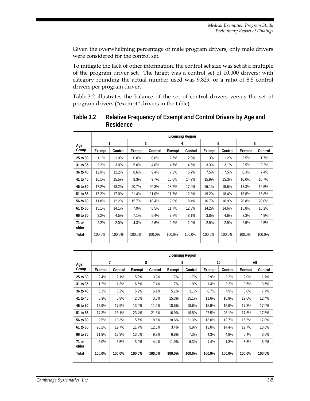Given the overwhelming percentage of male program drivers, only male drivers were considered for the control set.

To mitigate the lack of other information, the control set size was set at a multiple of the program driver set. The target was a control set of 10,000 drivers; with category rounding the actual number used was 9,829, or a ratio of 8.5 control drivers per program driver.

Table 3.2 illustrates the balance of the set of control drivers versus the set of program drivers ("exempt" drivers in the table).

|                |        | <b>Licensing Region</b> |        |         |        |         |        |         |        |         |
|----------------|--------|-------------------------|--------|---------|--------|---------|--------|---------|--------|---------|
| Age            | 3      |                         | 4      |         | 5      |         | 6      |         |        |         |
| Group          | Exempt | Control                 | Exempt | Control | Exempt | Control | Exempt | Control | Exempt | Control |
| 25 to 30       | 1.1%   | 1.0%                    | 0.0%   | 0.0%    | 2.6%   | 2.3%    | 1.3%   | 1.2%    | 2.5%   | 1.7%    |
| 31 to 35       | 3.2%   | 3.0%                    | 5.0%   | 4.0%    | 4.7%   | 4.5%    | 3.3%   | 3.1%    | 2.5%   | 3.2%    |
| 36 to 40       | 12.9%  | 12.2%                   | 8.6%   | 9.4%    | 7.3%   | 6.7%    | 7.5%   | 7.5%    | 8.3%   | 7.4%    |
| 41 to 45       | 16.1%  | 15.5%                   | 9.3%   | 9.7%    | 15.0%  | 14.7%   | 15.9%  | 15.3%   | 10.0%  | 10.7%   |
| 46 to 50       | 17.2%  | 18.2%                   | 20.7%  | 20.8%   | 18.2%  | 17.4%   | 15.1%  | 15.5%   | 18.3%  | 16.5%   |
| 51 to 55       | 17.2%  | 17.0%                   | 21.4%  | 21.0%   | 11.7%  | 12.8%   | 19.2%  | 18.4%   | 15.8%  | 16.8%   |
| 56 to 60       | 11.8%  | 12.2%                   | 15.7%  | 18.4%   | 19.0%  | 18.4%   | 16.7%  | 16.9%   | 20.8%  | 20.0%   |
| 61 to 65       | 15.1%  | 14.1%                   | 7.9%   | 8.5%    | 11.7%  | 12.3%   | 14.2%  | 14.6%   | 15.8%  | 16.2%   |
| 66 to 70       | 3.2%   | 4.5%                    | 7.1%   | 5.4%    | 7.7%   | 8.1%    | 3.8%   | 4.6%    | 3.3%   | 4.9%    |
| 71 or<br>older | 2.2%   | 2.0%                    | 4.3%   | 2.6%    | 2.2%   | 2.9%    | 2.9%   | 2.9%    | 2.5%   | 2.5%    |
| Total          | 100.0% | 100.0%                  | 100.0% | 100.0%  | 100.0% | 100.0%  | 100.0% | 100.0%  | 100.0% | 100.0%  |

**Table 3.2 Relative Frequency of Exempt and Control Drivers by Age and Residence** 

|                | <b>Licensing Region</b> |         |        |         |        |         |        |         |        |         |
|----------------|-------------------------|---------|--------|---------|--------|---------|--------|---------|--------|---------|
| Age            |                         | 7       | 8      |         |        | 9       |        | 10      |        | All     |
| Group          | Exempt                  | Control | Exempt | Control | Exempt | Control | Exempt | Control | Exempt | Control |
| 25 to 30       | 2.4%                    | 2.1%    | 5.2%   | 3.9%    | 1.7%   | 1.7%    | 2.9%   | 2.2%    | 2.0%   | 1.7%    |
| 31 to 35       | 1.2%                    | 1.3%    | 6.5%   | 7.4%    | 1.7%   | 1.9%    | 1.4%   | 2.2%    | 3.6%   | 3.6%    |
| 36 to 40       | 8.3%                    | 8.2%    | 5.2%   | 6.1%    | 5.1%   | 3.1%    | 8.7%   | 7.9%    | 8.0%   | 7.7%    |
| 41 to 45       | 8.3%                    | 6.8%    | 2.6%   | 3.8%    | 15.3%  | 15.1%   | 11.6%  | 10.9%   | 12.6%  | 12.4%   |
| 46 to 50       | 17.9%                   | 17.9%   | 13.0%  | 11.9%   | 18.6%  | 18.6%   | 15.9%  | 15.9%   | 17.3%  | 17.0%   |
| 51 to 55       | 14.3%                   | 15.1%   | 23.4%  | 21.8%   | 16.9%  | 18.8%   | 27.5%  | 26.1%   | 17.5%  | 17.5%   |
| 56 to 60       | 9.5%                    | 10.3%   | 15.6%  | 18.5%   | 18.6%  | 21.3%   | 13.0%  | 13.7%   | 16.5%  | 17.0%   |
| 61 to 65       | 20.2%                   | 19.7%   | 11.7%  | 12.5%   | 3.4%   | 5.9%    | 13.0%  | 14.4%   | 12.7%  | 13.3%   |
| 66 to 70       | 11.9%                   | 12.3%   | 13.0%  | 9.9%    | 6.8%   | 7.3%    | 4.3%   | 4.9%    | 6.4%   | 6.6%    |
| 71 or<br>older | 6.0%                    | 6.5%    | 3.9%   | 4.4%    | 11.9%  | 6.3%    | 1.4%   | 1.8%    | 3.5%   | 3.2%    |
| Total          | 100.0%                  | 100.0%  | 100.0% | 100.0%  | 100.0% | 100.0%  | 100.0% | 100.0%  | 100.0% | 100.0%  |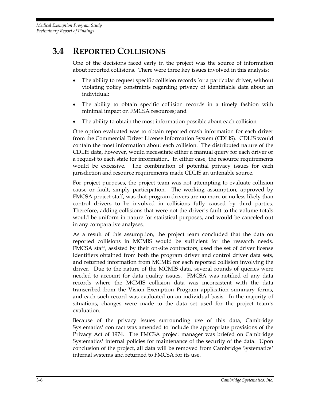## **3.4 REPORTED COLLISIONS**

One of the decisions faced early in the project was the source of information about reported collisions. There were three key issues involved in this analysis:

- The ability to request specific collision records for a particular driver, without violating policy constraints regarding privacy of identifiable data about an individual;
- The ability to obtain specific collision records in a timely fashion with minimal impact on FMCSA resources; and
- The ability to obtain the most information possible about each collision.

One option evaluated was to obtain reported crash information for each driver from the Commercial Driver License Information System (CDLIS). CDLIS would contain the most information about each collision. The distributed nature of the CDLIS data, however, would necessitate either a manual query for each driver or a request to each state for information. In either case, the resource requirements would be excessive. The combination of potential privacy issues for each jurisdiction and resource requirements made CDLIS an untenable source.

For project purposes, the project team was not attempting to evaluate collision cause or fault, simply participation. The working assumption, approved by FMCSA project staff, was that program drivers are no more or no less likely than control drivers to be involved in collisions fully caused by third parties. Therefore, adding collisions that were not the driver's fault to the volume totals would be uniform in nature for statistical purposes, and would be canceled out in any comparative analyses.

As a result of this assumption, the project team concluded that the data on reported collisions in MCMIS would be sufficient for the research needs. FMCSA staff, assisted by their on-site contractors, used the set of driver license identifiers obtained from both the program driver and control driver data sets, and returned information from MCMIS for each reported collision involving the driver. Due to the nature of the MCMIS data, several rounds of queries were needed to account for data quality issues. FMCSA was notified of any data records where the MCMIS collision data was inconsistent with the data transcribed from the Vision Exemption Program application summary forms, and each such record was evaluated on an individual basis. In the majority of situations, changes were made to the data set used for the project team's evaluation.

Because of the privacy issues surrounding use of this data, Cambridge Systematics' contract was amended to include the appropriate provisions of the Privacy Act of 1974. The FMCSA project manager was briefed on Cambridge Systematics' internal policies for maintenance of the security of the data. Upon conclusion of the project, all data will be removed from Cambridge Systematics' internal systems and returned to FMCSA for its use.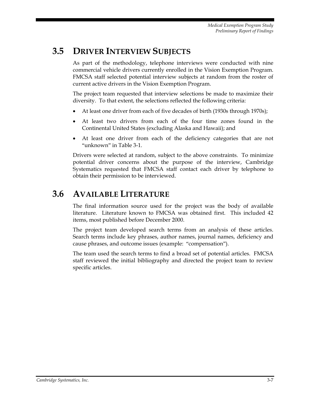## **3.5 DRIVER INTERVIEW SUBJECTS**

As part of the methodology, telephone interviews were conducted with nine commercial vehicle drivers currently enrolled in the Vision Exemption Program. FMCSA staff selected potential interview subjects at random from the roster of current active drivers in the Vision Exemption Program.

The project team requested that interview selections be made to maximize their diversity. To that extent, the selections reflected the following criteria:

- At least one driver from each of five decades of birth (1930s through 1970s);
- At least two drivers from each of the four time zones found in the Continental United States (excluding Alaska and Hawaii); and
- At least one driver from each of the deficiency categories that are not "unknown" in Table 3-1.

Drivers were selected at random, subject to the above constraints. To minimize potential driver concerns about the purpose of the interview, Cambridge Systematics requested that FMCSA staff contact each driver by telephone to obtain their permission to be interviewed.

### **3.6 AVAILABLE LITERATURE**

The final information source used for the project was the body of available literature. Literature known to FMCSA was obtained first. This included 42 items, most published before December 2000.

The project team developed search terms from an analysis of these articles. Search terms include key phrases, author names, journal names, deficiency and cause phrases, and outcome issues (example: "compensation").

The team used the search terms to find a broad set of potential articles. FMCSA staff reviewed the initial bibliography and directed the project team to review specific articles.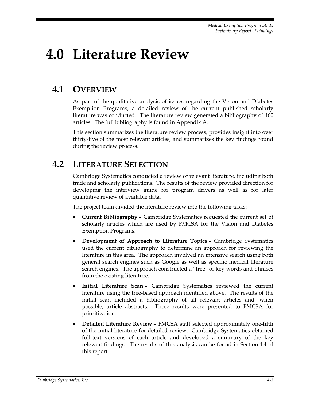## **4.0 Literature Review**

## **4.1 OVERVIEW**

As part of the qualitative analysis of issues regarding the Vision and Diabetes Exemption Programs, a detailed review of the current published scholarly literature was conducted. The literature review generated a bibliography of 160 articles. The full bibliography is found in Appendix A.

This section summarizes the literature review process, provides insight into over thirty-five of the most relevant articles, and summarizes the key findings found during the review process.

### **4.2 LITERATURE SELECTION**

Cambridge Systematics conducted a review of relevant literature, including both trade and scholarly publications. The results of the review provided direction for developing the interview guide for program drivers as well as for later qualitative review of available data.

The project team divided the literature review into the following tasks:

- **Current Bibliography** Cambridge Systematics requested the current set of scholarly articles which are used by FMCSA for the Vision and Diabetes Exemption Programs.
- **Development of Approach to Literature Topics** Cambridge Systematics used the current bibliography to determine an approach for reviewing the literature in this area. The approach involved an intensive search using both general search engines such as Google as well as specific medical literature search engines. The approach constructed a "tree" of key words and phrases from the existing literature.
- **Initial Literature Scan** Cambridge Systematics reviewed the current literature using the tree-based approach identified above. The results of the initial scan included a bibliography of all relevant articles and, when possible, article abstracts. These results were presented to FMCSA for prioritization.
- **Detailed Literature Review** FMCSA staff selected approximately one-fifth of the initial literature for detailed review. Cambridge Systematics obtained full-text versions of each article and developed a summary of the key relevant findings. The results of this analysis can be found in Section 4.4 of this report.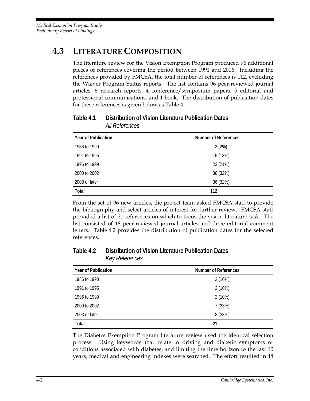## **4.3 LITERATURE COMPOSITION**

The literature review for the Vision Exemption Program produced 96 additional pieces of references covering the period between 1991 and 2006. Including the references provided by FMCSA, the total number of references is 112, excluding the Waiver Program Status reports. The list contains 96 peer-reviewed journal articles, 6 research reports, 4 conference/symposium papers, 5 editorial and professional communications, and 1 book. The distribution of publication dates for these references is given below as Table 4.1.

| <b>Year of Publication</b> | <b>Number of References</b> |
|----------------------------|-----------------------------|
| 1986 to 1990               | 2(2%)                       |
| 1991 to 1995               | 15 (13%)                    |
| 1996 to 1999               | 23 (21%)                    |
| 2000 to 2002               | 36 (32%)                    |
| 2003 or later              | 36 (32%)                    |
| Total                      | 112                         |

#### **Table 4.1 Distribution of Vision Literature Publication Dates**  *All References*

From the set of 96 new articles, the project team asked FMCSA staff to provide the bibliography and select articles of interest for further review. FMCSA staff provided a list of 21 references on which to focus the vision literature task. The list consisted of 18 peer-reviewed journal articles and three editorial comment letters. Table 4.2 provides the distribution of publication dates for the selected references.

#### **Table 4.2 Distribution of Vision Literature Publication Dates**  *Key References*

| <b>Year of Publication</b> | Number of References |
|----------------------------|----------------------|
| 1986 to 1990               | 2(10%)               |
| 1991 to 1995               | $2(10\%)$            |
| 1996 to 1999               | 2(10%)               |
| 2000 to 2002               | 7(33%)               |
| 2003 or later              | 8 (38%)              |
| <b>Total</b>               | 21                   |

The Diabetes Exemption Program literature review used the identical selection process. Using keywords that relate to driving and diabetic symptoms or conditions associated with diabetes, and limiting the time horizon to the last 10 years, medical and engineering indexes were searched. The effort resulted in 48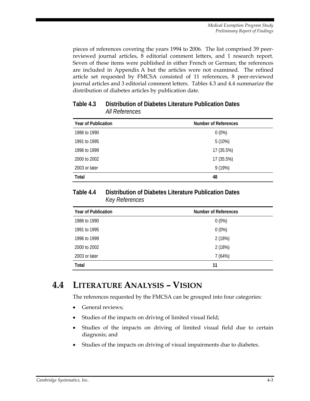*Medical Exemption Program Study Preliminary Report of Findings* 

pieces of references covering the years 1994 to 2006. The list comprised 39 peerreviewed journal articles, 8 editorial comment letters, and 1 research report. Seven of these items were published in either French or German; the references are included in Appendix A but the articles were not examined. The refined article set requested by FMCSA consisted of 11 references, 8 peer-reviewed journal articles and 3 editorial comment letters. Tables 4.3 and 4.4 summarize the distribution of diabetes articles by publication date.

| <b>Year of Publication</b> | <b>Number of References</b> |
|----------------------------|-----------------------------|
| 1986 to 1990               | $0(0\%)$                    |
| 1991 to 1995               | $5(10\%)$                   |
| 1996 to 1999               | 17 (35.5%)                  |
| 2000 to 2002               | 17 (35.5%)                  |
| 2003 or later              | 9(19%)                      |
| Total                      | 48                          |

#### **Table 4.3 Distribution of Diabetes Literature Publication Dates**  *All References*

#### **Table 4.4 Distribution of Diabetes Literature Publication Dates**  *Key References*

| <b>Year of Publication</b> | Number of References |
|----------------------------|----------------------|
| 1986 to 1990               | $0(0\%)$             |
| 1991 to 1995               | $0(0\%)$             |
| 1996 to 1999               | 2 (18%)              |
| 2000 to 2002               | 2 (18%)              |
| 2003 or later              | 7(64%)               |
| Total                      | 11                   |

### **4.4 LITERATURE ANALYSIS – VISION**

The references requested by the FMCSA can be grouped into four categories:

- General reviews:
- Studies of the impacts on driving of limited visual field;
- Studies of the impacts on driving of limited visual field due to certain diagnosis; and
- Studies of the impacts on driving of visual impairments due to diabetes.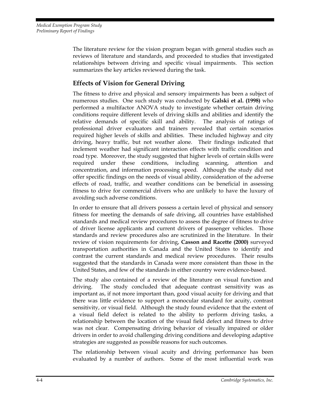The literature review for the vision program began with general studies such as reviews of literature and standards, and proceeded to studies that investigated relationships between driving and specific visual impairments. This section summarizes the key articles reviewed during the task.

#### **Effects of Vision for General Driving**

The fitness to drive and physical and sensory impairments has been a subject of numerous studies. One such study was conducted by **Galski et al. (1998)** who performed a multifactor ANOVA study to investigate whether certain driving conditions require different levels of driving skills and abilities and identify the relative demands of specific skill and ability. The analysis of ratings of professional driver evaluators and trainers revealed that certain scenarios required higher levels of skills and abilities. These included highway and city driving, heavy traffic, but not weather alone. Their findings indicated that inclement weather had significant interaction effects with traffic condition and road type. Moreover, the study suggested that higher levels of certain skills were required under these conditions, including scanning, attention and concentration, and information processing speed. Although the study did not offer specific findings on the needs of visual ability, consideration of the adverse effects of road, traffic, and weather conditions can be beneficial in assessing fitness to drive for commercial drivers who are unlikely to have the luxury of avoiding such adverse conditions.

In order to ensure that all drivers possess a certain level of physical and sensory fitness for meeting the demands of safe driving, all countries have established standards and medical review procedures to assess the degree of fitness to drive of driver license applicants and current drivers of passenger vehicles. Those standards and review procedures also are scrutinized in the literature. In their review of vision requirements for driving, **Casson and Racette (2000)** surveyed transportation authorities in Canada and the United States to identify and contrast the current standards and medical review procedures. Their results suggested that the standards in Canada were more consistent than those in the United States, and few of the standards in either country were evidence-based.

The study also contained of a review of the literature on visual function and driving. The study concluded that adequate contrast sensitivity was as important as, if not more important than, good visual acuity for driving and that there was little evidence to support a monocular standard for acuity, contrast sensitivity, or visual field. Although the study found evidence that the extent of a visual field defect is related to the ability to perform driving tasks, a relationship between the location of the visual field defect and fitness to drive was not clear. Compensating driving behavior of visually impaired or older drivers in order to avoid challenging driving conditions and developing adaptive strategies are suggested as possible reasons for such outcomes.

The relationship between visual acuity and driving performance has been evaluated by a number of authors. Some of the most influential work was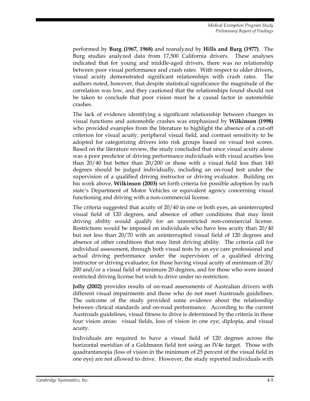performed by **Burg (1967, 1968)** and reanalyzed by **Hills and Burg (1977)**. The Burg studies analyzed data from 17,500 California drivers. These analyses indicated that for young and middle-aged drivers, there was no relationship between poor visual performance and crash rates. With respect to older drivers, visual acuity demonstrated significant relationships with crash rates. The authors noted, however, that despite statistical significance the magnitude of the correlation was low, and they cautioned that the relationships found should not be taken to conclude that poor vision must be a causal factor in automobile crashes.

The lack of evidence identifying a significant relationship between changes in visual functions and automobile crashes was emphasized by **Wilkinson (1998)**  who provided examples from the literature to highlight the absence of a cut-off criterion for visual acuity, peripheral visual field, and contrast sensitivity to be adopted for categorizing drivers into risk groups based on visual test scores. Based on the literature review, the study concluded that since visual acuity alone was a poor predictor of driving performance individuals with visual acuities less than 20/40 but better than 20/200 or those with a visual field less than 140 degrees should be judged individually, including an on-road test under the supervision of a qualified driving instructor or driving evaluator. Building on his work above, **Wilkinson (2003)** set forth criteria for possible adoption by each state's Department of Motor Vehicles or equivalent agency concerning visual functioning and driving with a non-commercial license.

The criteria suggested that acuity of 20/40 in one or both eyes, an uninterrupted visual field of 120 degrees, and absence of other conditions that may limit driving ability would qualify for an unrestricted non-commercial license. Restrictions would be imposed on individuals who have less acuity than 20/40 but not less than 20/70 with an uninterrupted visual field of 120 degrees and absence of other conditions that may limit driving ability. The criteria call for individual assessment, through both visual tests by an eye care professional and actual driving performance under the supervision of a qualified driving instructor or driving evaluator, for those having visual acuity of minimum of 20/ 200 and/or a visual field of minimum 20 degrees, and for those who were issued restricted driving license but wish to drive under no restriction.

**Jolly (2002)** provides results of on-road assessments of Australian drivers with different visual impairments and those who do not meet Austroads guidelines. The outcome of the study provided some evidence about the relationship between clinical standards and on-road performance. According to the current Austroads guidelines, visual fitness to drive is determined by the criteria in these four vision areas: visual fields, loss of vision in one eye, diplopia, and visual acuity.

Individuals are required to have a visual field of 120 degrees across the horizontal meridian of a Goldmann field test using an IV4e target. Those with quadrantanopia (loss of vision in the minimum of 25 percent of the visual field in one eye) are not allowed to drive. However, the study reported individuals with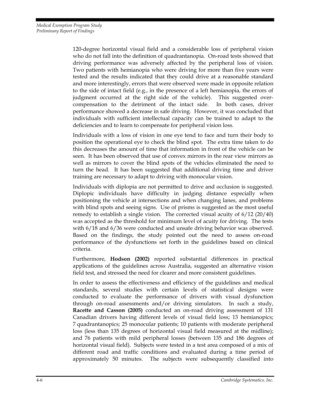120-degree horizontal visual field and a considerable loss of peripheral vision who do not fall into the definition of quadrantanopia. On-road tests showed that driving performance was adversely affected by the peripheral loss of vision. Two patients with hemianopia who were driving for more than five years were tested and the results indicated that they could drive at a reasonable standard and more interestingly, errors that were observed were made in opposite relation to the side of intact field (e.g., in the presence of a left hemianopia, the errors of judgment occurred at the right side of the vehicle). This suggested overcompensation to the detriment of the intact side. In both cases, driver performance showed a decrease in safe driving. However, it was concluded that individuals with sufficient intellectual capacity can be trained to adapt to the deficiencies and to learn to compensate for peripheral vision loss.

Individuals with a loss of vision in one eye tend to face and turn their body to position the operational eye to check the blind spot. The extra time taken to do this decreases the amount of time that information in front of the vehicle can be seen. It has been observed that use of convex mirrors in the rear view mirrors as well as mirrors to cover the blind spots of the vehicles eliminated the need to turn the head. It has been suggested that additional driving time and driver training are necessary to adapt to driving with monocular vision.

Individuals with diplopia are not permitted to drive and occlusion is suggested. Diplopic individuals have difficulty in judging distance especially when positioning the vehicle at intersections and when changing lanes, and problems with blind spots and seeing signs. Use of prisms is suggested as the most useful remedy to establish a single vision. The corrected visual acuity of 6/12 (20/40) was accepted as the threshold for minimum level of acuity for driving. The tests with 6/18 and 6/36 were conducted and unsafe driving behavior was observed. Based on the findings, the study pointed out the need to assess on-road performance of the dysfunctions set forth in the guidelines based on clinical criteria.

Furthermore, **Hodson (2002)** reported substantial differences in practical applications of the guidelines across Australia, suggested an alternative vision field test, and stressed the need for clearer and more consistent guidelines.

In order to assess the effectiveness and efficiency of the guidelines and medical standards, several studies with certain levels of statistical designs were conducted to evaluate the performance of drivers with visual dysfunction through on-road assessments and/or driving simulators. In such a study, **Racette and Casson (2005)** conducted an on-road driving assessment of 131 Canadian drivers having different levels of visual field loss; 13 hemianopics; 7 quadrantanopics; 25 monocular patients; 10 patients with moderate peripheral loss (less than 135 degrees of horizontal visual field measured at the midline); and 76 patients with mild peripheral losses (between 135 and 186 degrees of horizontal visual field). Subjects were tested in a test area composed of a mix of different road and traffic conditions and evaluated during a time period of approximately 50 minutes. The subjects were subsequently classified into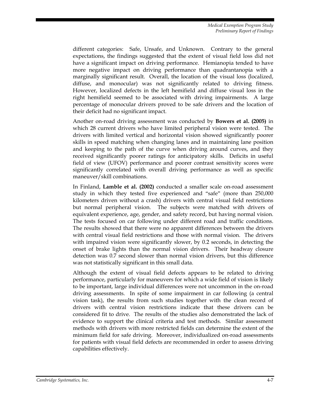different categories: Safe, Unsafe, and Unknown. Contrary to the general expectations, the findings suggested that the extent of visual field loss did not have a significant impact on driving performance. Hemianopia tended to have more negative impact on driving performance than quadrantanopia with a marginally significant result. Overall, the location of the visual loss (localized, diffuse, and monocular) was not significantly related to driving fitness. However, localized defects in the left hemifield and diffuse visual loss in the right hemifield seemed to be associated with driving impairments. A large percentage of monocular drivers proved to be safe drivers and the location of their deficit had no significant impact.

Another on-road driving assessment was conducted by **Bowers et al. (2005)** in which 28 current drivers who have limited peripheral vision were tested. The drivers with limited vertical and horizontal vision showed significantly poorer skills in speed matching when changing lanes and in maintaining lane position and keeping to the path of the curve when driving around curves, and they received significantly poorer ratings for anticipatory skills. Deficits in useful field of view (UFOV) performance and poorer contrast sensitivity scores were significantly correlated with overall driving performance as well as specific maneuver/skill combinations.

In Finland, **Lamble et al. (2002)** conducted a smaller scale on-road assessment study in which they tested five experienced and "safe" (more than 250,000 kilometers driven without a crash) drivers with central visual field restrictions but normal peripheral vision. The subjects were matched with drivers of equivalent experience, age, gender, and safety record, but having normal vision. The tests focused on car following under different road and traffic conditions. The results showed that there were no apparent differences between the drivers with central visual field restrictions and those with normal vision. The drivers with impaired vision were significantly slower, by 0.2 seconds, in detecting the onset of brake lights than the normal vision drivers. Their headway closure detection was 0.7 second slower than normal vision drivers, but this difference was not statistically significant in this small data.

Although the extent of visual field defects appears to be related to driving performance, particularly for maneuvers for which a wide field of vision is likely to be important, large individual differences were not uncommon in the on-road driving assessments. In spite of some impairment in car following (a central vision task), the results from such studies together with the clean record of drivers with central vision restrictions indicate that these drivers can be considered fit to drive. The results of the studies also demonstrated the lack of evidence to support the clinical criteria and test methods. Similar assessment methods with drivers with more restricted fields can determine the extent of the minimum field for safe driving. Moreover, individualized on-road assessments for patients with visual field defects are recommended in order to assess driving capabilities effectively.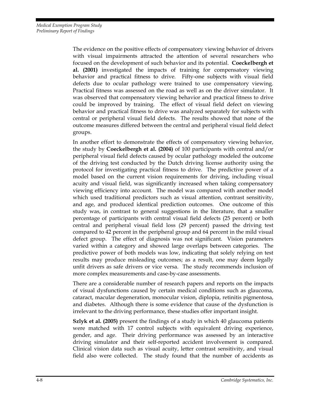The evidence on the positive effects of compensatory viewing behavior of drivers with visual impairments attracted the attention of several researchers who focused on the development of such behavior and its potential. **Coeckelbergh et al. (2001)** investigated the impacts of training for compensatory viewing behavior and practical fitness to drive. Fifty-one subjects with visual field defects due to ocular pathology were trained to use compensatory viewing. Practical fitness was assessed on the road as well as on the driver simulator. It was observed that compensatory viewing behavior and practical fitness to drive could be improved by training. The effect of visual field defect on viewing behavior and practical fitness to drive was analyzed separately for subjects with central or peripheral visual field defects. The results showed that none of the outcome measures differed between the central and peripheral visual field defect groups.

In another effort to demonstrate the effects of compensatory viewing behavior, the study by **Coeckelbergh et al. (2004)** of 100 participants with central and/or peripheral visual field defects caused by ocular pathology modeled the outcome of the driving test conducted by the Dutch driving license authority using the protocol for investigating practical fitness to drive. The predictive power of a model based on the current vision requirements for driving, including visual acuity and visual field, was significantly increased when taking compensatory viewing efficiency into account. The model was compared with another model which used traditional predictors such as visual attention, contrast sensitivity, and age, and produced identical prediction outcomes. One outcome of this study was, in contrast to general suggestions in the literature, that a smaller percentage of participants with central visual field defects (25 percent) or both central and peripheral visual field loss (29 percent) passed the driving test compared to 42 percent in the peripheral group and 64 percent in the mild visual defect group. The effect of diagnosis was not significant. Vision parameters varied within a category and showed large overlaps between categories. The predictive power of both models was low, indicating that solely relying on test results may produce misleading outcomes; as a result, one may deem legally unfit drivers as safe drivers or vice versa. The study recommends inclusion of more complex measurements and case-by-case assessments.

There are a considerable number of research papers and reports on the impacts of visual dysfunctions caused by certain medical conditions such as glaucoma, cataract, macular degeneration, monocular vision, diplopia, retinitis pigmentosa, and diabetes. Although there is some evidence that cause of the dysfunction is irrelevant to the driving performance, these studies offer important insight.

**Szlyk et al. (2005)** present the findings of a study in which 40 glaucoma patients were matched with 17 control subjects with equivalent driving experience, gender, and age. Their driving performance was assessed by an interactive driving simulator and their self-reported accident involvement is compared. Clinical vision data such as visual acuity, letter contrast sensitivity, and visual field also were collected. The study found that the number of accidents as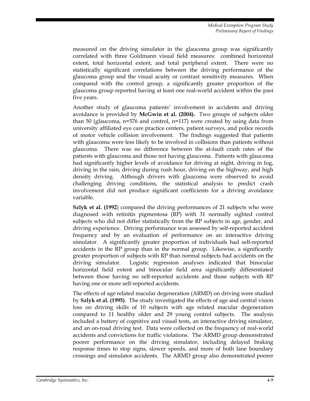measured on the driving simulator in the glaucoma group was significantly correlated with three Goldmann visual field measures: combined horizontal extent, total horizontal extent, and total peripheral extent. There were no statistically significant correlations between the driving performance of the glaucoma group and the visual acuity or contrast sensitivity measures. When compared with the control group, a significantly greater proportion of the glaucoma group reported having at least one real-world accident within the past five years.

Another study of glaucoma patients' involvement in accidents and driving avoidance is provided by **McGwin et al. (2004).** Two groups of subjects older than 50 (glaucoma, n=576 and control, n=117) were created by using data from university affiliated eye care practice centers, patient surveys, and police records of motor vehicle collision involvement. The findings suggested that patients with glaucoma were less likely to be involved in collisions than patients without glaucoma. There was no difference between the at-fault crash rates of the patients with glaucoma and those not having glaucoma. Patients with glaucoma had significantly higher levels of avoidance for driving at night, driving in fog, driving in the rain, driving during rush hour, driving on the highway, and high density driving. Although drivers with glaucoma were observed to avoid challenging driving conditions, the statistical analysis to predict crash involvement did not produce significant coefficients for a driving avoidance variable.

**Szlyk et al. (1992**) compared the driving performances of 21 subjects who were diagnosed with retinitis pigmentosa (RP) with 31 normally sighted control subjects who did not differ statistically from the RP subjects in age, gender, and driving experience. Driving performance was assessed by self-reported accident frequency and by an evaluation of performance on an interactive driving simulator. A significantly greater proportion of individuals had self-reported accidents in the RP group than in the normal group. Likewise, a significantly greater proportion of subjects with RP than normal subjects had accidents on the driving simulator. Logistic regression analyses indicated that binocular horizontal field extent and binocular field area significantly differentiated between those having no self-reported accidents and those subjects with RP having one or more self-reported accidents.

The effects of age related macular degeneration (ARMD) on driving were studied by **Szlyk et al. (1995)**. The study investigated the effects of age and central vision loss on driving skills of 10 subjects with age related macular degeneration compared to 11 healthy older and 29 young control subjects. The analysis included a battery of cognitive and visual tests, an interactive driving simulator, and an on-road driving test. Data were collected on the frequency of real-world accidents and convictions for traffic violations. The ARMD group demonstrated poorer performance on the driving simulator, including delayed braking response times to stop signs, slower speeds, and more of both lane boundary crossings and simulator accidents. The ARMD group also demonstrated poorer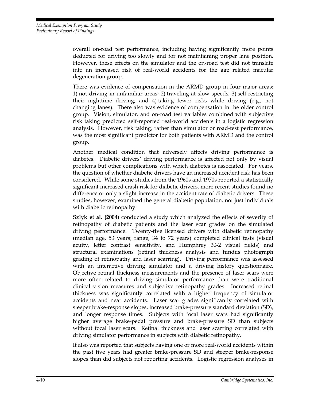overall on-road test performance, including having significantly more points deducted for driving too slowly and for not maintaining proper lane position. However, these effects on the simulator and the on-road test did not translate into an increased risk of real-world accidents for the age related macular degeneration group.

There was evidence of compensation in the ARMD group in four major areas: 1) not driving in unfamiliar areas; 2) traveling at slow speeds; 3) self-restricting their nighttime driving; and 4) taking fewer risks while driving (e.g., not changing lanes). There also was evidence of compensation in the older control group. Vision, simulator, and on-road test variables combined with subjective risk taking predicted self-reported real-world accidents in a logistic regression analysis. However, risk taking, rather than simulator or road-test performance, was the most significant predictor for both patients with ARMD and the control group.

Another medical condition that adversely affects driving performance is diabetes. Diabetic drivers' driving performance is affected not only by visual problems but other complications with which diabetes is associated. For years, the question of whether diabetic drivers have an increased accident risk has been considered. While some studies from the 1960s and 1970s reported a statistically significant increased crash risk for diabetic drivers, more recent studies found no difference or only a slight increase in the accident rate of diabetic drivers. These studies, however, examined the general diabetic population, not just individuals with diabetic retinopathy.

**Szlyk et al. (2004)** conducted a study which analyzed the effects of severity of retinopathy of diabetic patients and the laser scar grades on the simulated driving performance. Twenty-five licensed drivers with diabetic retinopathy (median age, 53 years; range, 34 to 72 years) completed clinical tests (visual acuity, letter contrast sensitivity, and Humphrey 30-2 visual fields) and structural examinations (retinal thickness analysis and fundus photograph grading of retinopathy and laser scarring). Driving performance was assessed with an interactive driving simulator and a driving history questionnaire. Objective retinal thickness measurements and the presence of laser scars were more often related to driving simulator performance than were traditional clinical vision measures and subjective retinopathy grades. Increased retinal thickness was significantly correlated with a higher frequency of simulator accidents and near accidents. Laser scar grades significantly correlated with steeper brake-response slopes, increased brake-pressure standard deviation (SD), and longer response times. Subjects with focal laser scars had significantly higher average brake-pedal pressure and brake-pressure SD than subjects without focal laser scars. Retinal thickness and laser scarring correlated with driving simulator performance in subjects with diabetic retinopathy.

It also was reported that subjects having one or more real-world accidents within the past five years had greater brake-pressure SD and steeper brake-response slopes than did subjects not reporting accidents. Logistic regression analyses in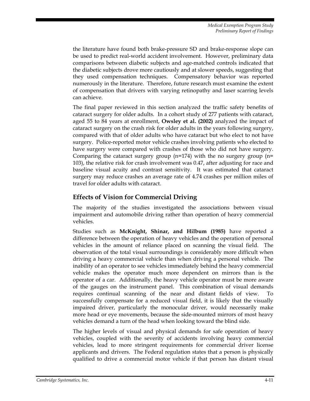the literature have found both brake-pressure SD and brake-response slope can be used to predict real-world accident involvement. However, preliminary data comparisons between diabetic subjects and age-matched controls indicated that the diabetic subjects drove more cautiously and at slower speeds, suggesting that they used compensation techniques. Compensatory behavior was reported numerously in the literature. Therefore, future research must examine the extent of compensation that drivers with varying retinopathy and laser scarring levels can achieve.

The final paper reviewed in this section analyzed the traffic safety benefits of cataract surgery for older adults. In a cohort study of 277 patients with cataract, aged 55 to 84 years at enrollment, **Owsley et al. (2002)** analyzed the impact of cataract surgery on the crash risk for older adults in the years following surgery, compared with that of older adults who have cataract but who elect to not have surgery. Police-reported motor vehicle crashes involving patients who elected to have surgery were compared with crashes of those who did not have surgery. Comparing the cataract surgery group (n=174) with the no surgery group (n= 103), the relative risk for crash involvement was 0.47, after adjusting for race and baseline visual acuity and contrast sensitivity. It was estimated that cataract surgery may reduce crashes an average rate of 4.74 crashes per million miles of travel for older adults with cataract.

### **Effects of Vision for Commercial Driving**

The majority of the studies investigated the associations between visual impairment and automobile driving rather than operation of heavy commercial vehicles.

Studies such as **McKnight, Shinar, and Hilbum (1985)** have reported a difference between the operation of heavy vehicles and the operation of personal vehicles in the amount of reliance placed on scanning the visual field. The observation of the total visual surroundings is considerably more difficult when driving a heavy commercial vehicle than when driving a personal vehicle. The inability of an operator to see vehicles immediately behind the heavy commercial vehicle makes the operator much more dependent on mirrors than is the operator of a car. Additionally, the heavy vehicle operator must be more aware of the gauges on the instrument panel. This combination of visual demands requires continual scanning of the near and distant fields of view. To successfully compensate for a reduced visual field, it is likely that the visually impaired driver, particularly the monocular driver, would necessarily make more head or eye movements, because the side-mounted mirrors of most heavy vehicles demand a turn of the head when looking toward the blind side.

The higher levels of visual and physical demands for safe operation of heavy vehicles, coupled with the severity of accidents involving heavy commercial vehicles, lead to more stringent requirements for commercial driver license applicants and drivers. The Federal regulation states that a person is physically qualified to drive a commercial motor vehicle if that person has distant visual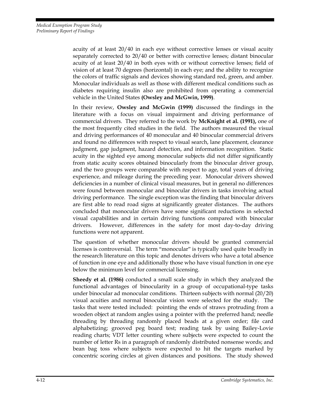acuity of at least 20/40 in each eye without corrective lenses or visual acuity separately corrected to 20/40 or better with corrective lenses; distant binocular acuity of at least 20/40 in both eyes with or without corrective lenses; field of vision of at least 70 degrees (horizontal) in each eye; and the ability to recognize the colors of traffic signals and devices showing standard red, green, and amber. Monocular individuals as well as those with different medical conditions such as diabetes requiring insulin also are prohibited from operating a commercial vehicle in the United States **(Owsley and McGwin, 1999)**.

In their review, **Owsley and McGwin (1999)** discussed the findings in the literature with a focus on visual impairment and driving performance of commercial drivers. They referred to the work by **McKnight et al. (1991),** one of the most frequently cited studies in the field. The authors measured the visual and driving performances of 40 monocular and 40 binocular commercial drivers and found no differences with respect to visual search, lane placement, clearance judgment, gap judgment, hazard detection, and information recognition. Static acuity in the sighted eye among monocular subjects did not differ significantly from static acuity scores obtained binocularly from the binocular driver group, and the two groups were comparable with respect to age, total years of driving experience, and mileage during the preceding year. Monocular drivers showed deficiencies in a number of clinical visual measures, but in general no differences were found between monocular and binocular drivers in tasks involving actual driving performance. The single exception was the finding that binocular drivers are first able to read road signs at significantly greater distances. The authors concluded that monocular drivers have some significant reductions in selected visual capabilities and in certain driving functions compared with binocular drivers. However, differences in the safety for most day-to-day driving functions were not apparent.

The question of whether monocular drivers should be granted commercial licenses is controversial. The term "monocular" is typically used quite broadly in the research literature on this topic and denotes drivers who have a total absence of function in one eye and additionally those who have visual function in one eye below the minimum level for commercial licensing.

**Sheedy et al. (1986)** conducted a small scale study in which they analyzed the functional advantages of binocularity in a group of occupational-type tasks under binocular ad monocular conditions. Thirteen subjects with normal (20/20) visual acuities and normal binocular vision were selected for the study. The tasks that were tested included: pointing the ends of straws protruding from a wooden object at random angles using a pointer with the preferred hand; needle threading by threading randomly placed beads at a given order; file card alphabetizing; grooved peg board test; reading task by using Bailey-Lovie reading charts; VDT letter counting where subjects were expected to count the number of letter Rs in a paragraph of randomly distributed nonsense words; and bean bag toss where subjects were expected to hit the targets marked by concentric scoring circles at given distances and positions. The study showed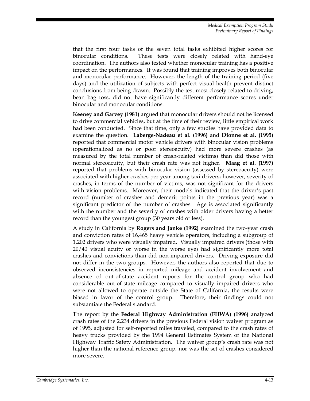that the first four tasks of the seven total tasks exhibited higher scores for binocular conditions. These tests were closely related with hand-eye coordination. The authors also tested whether monocular training has a positive impact on the performances. It was found that training improves both binocular and monocular performance. However, the length of the training period (five days) and the utilization of subjects with perfect visual health prevent distinct conclusions from being drawn. Possibly the test most closely related to driving, bean bag toss, did not have significantly different performance scores under binocular and monocular conditions.

**Keeney and Garvey (1981)** argued that monocular drivers should not be licensed to drive commercial vehicles, but at the time of their review, little empirical work had been conducted. Since that time, only a few studies have provided data to examine the question. **Laberge-Nadeau et al. (1996)** and **Dionne et al. (1995)** reported that commercial motor vehicle drivers with binocular vision problems (operationalized as no or poor stereoacuity) had more severe crashes (as measured by the total number of crash-related victims) than did those with normal stereoacuity, but their crash rate was not higher. **Maag et al. (1997)** reported that problems with binocular vision (assessed by stereoacuity) were associated with higher crashes per year among taxi drivers; however, severity of crashes, in terms of the number of victims, was not significant for the drivers with vision problems. Moreover, their models indicated that the driver's past record (number of crashes and demerit points in the previous year) was a significant predictor of the number of crashes. Age is associated significantly with the number and the severity of crashes with older drivers having a better record than the youngest group (30 years old or less).

A study in California by **Rogers and Janke (1992)** examined the two-year crash and conviction rates of 16,465 heavy vehicle operators, including a subgroup of 1,202 drivers who were visually impaired. Visually impaired drivers (those with 20/40 visual acuity or worse in the worse eye) had significantly more total crashes and convictions than did non-impaired drivers. Driving exposure did not differ in the two groups. However, the authors also reported that due to observed inconsistencies in reported mileage and accident involvement and absence of out-of-state accident reports for the control group who had considerable out-of-state mileage compared to visually impaired drivers who were not allowed to operate outside the State of California, the results were biased in favor of the control group. Therefore, their findings could not substantiate the Federal standard.

The report by the **Federal Highway Administration (FHWA) (1996)** analyzed crash rates of the 2,234 drivers in the previous Federal vision waiver program as of 1995, adjusted for self-reported miles traveled, compared to the crash rates of heavy trucks provided by the 1994 General Estimates System of the National Highway Traffic Safety Administration. The waiver group's crash rate was not higher than the national reference group, nor was the set of crashes considered more severe.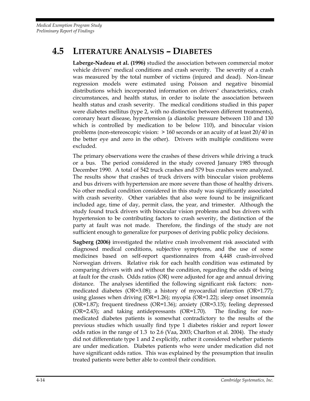# **4.5 LITERATURE ANALYSIS – DIABETES**

**Laberge-Nadeau et al. (1996)** studied the association between commercial motor vehicle drivers' medical conditions and crash severity. The severity of a crash was measured by the total number of victims (injured and dead). Non-linear regression models were estimated using Poisson and negative binomial distributions which incorporated information on drivers' characteristics, crash circumstances, and health status, in order to isolate the association between health status and crash severity. The medical conditions studied in this paper were diabetes mellitus (type 2, with no distinction between different treatments), coronary heart disease, hypertension (a diastolic pressure between 110 and 130 which is controlled by medication to be below 110), and binocular vision problems (non-stereoscopic vision: > 160 seconds or an acuity of at least 20/40 in the better eye and zero in the other). Drivers with multiple conditions were excluded.

The primary observations were the crashes of these drivers while driving a truck or a bus. The period considered in the study covered January 1985 through December 1990. A total of 542 truck crashes and 579 bus crashes were analyzed. The results show that crashes of truck drivers with binocular vision problems and bus drivers with hypertension are more severe than those of healthy drivers. No other medical condition considered in this study was significantly associated with crash severity. Other variables that also were found to be insignificant included age, time of day, permit class, the year, and trimester. Although the study found truck drivers with binocular vision problems and bus drivers with hypertension to be contributing factors to crash severity, the distinction of the party at fault was not made. Therefore, the findings of the study are not sufficient enough to generalize for purposes of deriving public policy decisions.

**Sagberg (2006)** investigated the relative crash involvement risk associated with diagnosed medical conditions, subjective symptoms, and the use of some medicines based on self-report questionnaires from 4,448 crash-involved Norwegian drivers. Relative risk for each health condition was estimated by comparing drivers with and without the condition, regarding the odds of being at fault for the crash. Odds ratios (OR) were adjusted for age and annual driving distance. The analyses identified the following significant risk factors: nonmedicated diabetes (OR=3.08); a history of myocardial infarction (OR=1.77); using glasses when driving (OR=1.26); myopia (OR=1.22); sleep onset insomnia (OR=1.87); frequent tiredness (OR=1.36); anxiety (OR=3.15); feeling depressed (OR=2.43); and taking antidepressants (OR=1.70). The finding for nonmedicated diabetes patients is somewhat contradictory to the results of the previous studies which usually find type 1 diabetes riskier and report lower odds ratios in the range of 1.3 to 2.6 (Vaa, 2003; Charlton et al. 2004). The study did not differentiate type 1 and 2 explicitly, rather it considered whether patients are under medication. Diabetes patients who were under medication did not have significant odds ratios. This was explained by the presumption that insulin treated patients were better able to control their condition.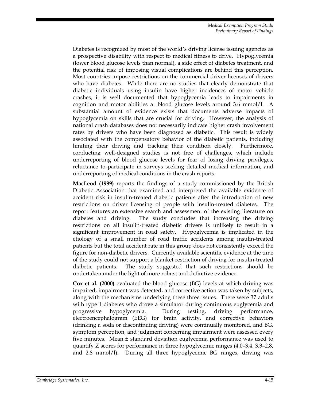Diabetes is recognized by most of the world's driving license issuing agencies as a prospective disability with respect to medical fitness to drive. Hypoglycemia (lower blood glucose levels than normal), a side effect of diabetes treatment, and the potential risk of imposing visual complications are behind this perception. Most countries impose restrictions on the commercial driver licenses of drivers who have diabetes. While there are no studies that clearly demonstrate that diabetic individuals using insulin have higher incidences of motor vehicle crashes, it is well documented that hypoglycemia leads to impairments in cognition and motor abilities at blood glucose levels around 3.6 mmol/l. A substantial amount of evidence exists that documents adverse impacts of hypoglycemia on skills that are crucial for driving. However, the analysis of national crash databases does not necessarily indicate higher crash involvement rates by drivers who have been diagnosed as diabetic. This result is widely associated with the compensatory behavior of the diabetic patients, including limiting their driving and tracking their condition closely. Furthermore, conducting well-designed studies is not free of challenges, which include underreporting of blood glucose levels for fear of losing driving privileges, reluctance to participate in surveys seeking detailed medical information, and underreporting of medical conditions in the crash reports.

**MacLeod (1999)** reports the findings of a study commissioned by the British Diabetic Association that examined and interpreted the available evidence of accident risk in insulin-treated diabetic patients after the introduction of new restrictions on driver licensing of people with insulin-treated diabetes. The report features an extensive search and assessment of the existing literature on diabetes and driving. The study concludes that increasing the driving restrictions on all insulin-treated diabetic drivers is unlikely to result in a significant improvement in road safety. Hypoglycemia is implicated in the etiology of a small number of road traffic accidents among insulin-treated patients but the total accident rate in this group does not consistently exceed the figure for non-diabetic drivers. Currently available scientific evidence at the time of the study could not support a blanket restriction of driving for insulin-treated diabetic patients. The study suggested that such restrictions should be undertaken under the light of more robust and definitive evidence.

**Cox et al. (2000)** evaluated the blood glucose (BG) levels at which driving was impaired, impairment was detected, and corrective action was taken by subjects, along with the mechanisms underlying these three issues. There were 37 adults with type 1 diabetes who drove a simulator during continuous euglycemia and progressive hypoglycemia. During testing, driving performance, electroencephalogram (EEG) for brain activity, and corrective behaviors (drinking a soda or discontinuing driving) were continually monitored, and BG, symptom perception, and judgment concerning impairment were assessed every five minutes. Mean  $\pm$  standard deviation euglycemia performance was used to quantify Z scores for performance in three hypoglycemic ranges (4.0–3.4, 3.3–2.8, and 2.8 mmol/l). During all three hypoglycemic BG ranges, driving was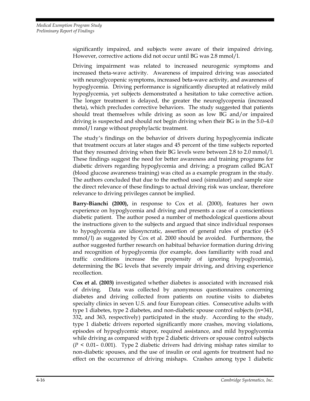significantly impaired, and subjects were aware of their impaired driving. However, corrective actions did not occur until BG was 2.8 mmol/l.

Driving impairment was related to increased neurogenic symptoms and increased theta-wave activity. Awareness of impaired driving was associated with neuroglycopenic symptoms, increased beta-wave activity, and awareness of hypoglycemia. Driving performance is significantly disrupted at relatively mild hypoglycemia, yet subjects demonstrated a hesitation to take corrective action. The longer treatment is delayed, the greater the neuroglycopenia (increased theta), which precludes corrective behaviors. The study suggested that patients should treat themselves while driving as soon as low BG and/or impaired driving is suspected and should not begin driving when their BG is in the 5.0–4.0 mmol/l range without prophylactic treatment.

The study's findings on the behavior of drivers during hypoglycemia indicate that treatment occurs at later stages and 45 percent of the time subjects reported that they resumed driving when their BG levels were between 2.8 to 2.0 mmol/l. These findings suggest the need for better awareness and training programs for diabetic drivers regarding hypoglycemia and driving; a program called BGAT (blood glucose awareness training) was cited as a example program in the study. The authors concluded that due to the method used (simulator) and sample size the direct relevance of these findings to actual driving risk was unclear, therefore relevance to driving privileges cannot be implied.

**Barry-Bianchi (2000),** in response to Cox et al. (2000), features her own experience on hypoglycemia and driving and presents a case of a conscientious diabetic patient. The author posed a number of methodological questions about the instructions given to the subjects and argued that since individual responses to hypoglycemia are idiosyncratic, assertion of general rules of practice (4-5 mmol/l) as suggested by Cox et al. 2000 should be avoided. Furthermore, the author suggested further research on habitual behavior formation during driving and recognition of hypoglycemia (for example, does familiarity with road and traffic conditions increase the propensity of ignoring hypoglycemia), determining the BG levels that severely impair driving, and driving experience recollection.

**Cox et al. (2003)** investigated whether diabetes is associated with increased risk of driving. Data was collected by anonymous questionnaires concerning diabetes and driving collected from patients on routine visits to diabetes specialty clinics in seven U.S. and four European cities. Consecutive adults with type 1 diabetes, type 2 diabetes, and non-diabetic spouse control subjects (n=341, 332, and 363, respectively) participated in the study. According to the study, type 1 diabetic drivers reported significantly more crashes, moving violations, episodes of hypoglycemic stupor, required assistance, and mild hypoglycemia while driving as compared with type 2 diabetic drivers or spouse control subjects (*P <* 0.01– 0.001). Type 2 diabetic drivers had driving mishap rates similar to non-diabetic spouses, and the use of insulin or oral agents for treatment had no effect on the occurrence of driving mishaps. Crashes among type 1 diabetic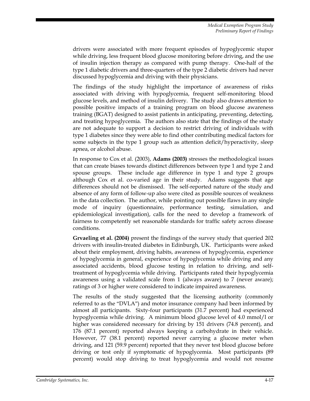drivers were associated with more frequent episodes of hypoglycemic stupor while driving, less frequent blood glucose monitoring before driving, and the use of insulin injection therapy as compared with pump therapy. One-half of the type 1 diabetic drivers and three-quarters of the type 2 diabetic drivers had never discussed hypoglycemia and driving with their physicians.

The findings of the study highlight the importance of awareness of risks associated with driving with hypoglycemia, frequent self-monitoring blood glucose levels, and method of insulin delivery. The study also draws attention to possible positive impacts of a training program on blood glucose awareness training (BGAT) designed to assist patients in anticipating, preventing, detecting, and treating hypoglycemia. The authors also state that the findings of the study are not adequate to support a decision to restrict driving of individuals with type 1 diabetes since they were able to find other contributing medical factors for some subjects in the type 1 group such as attention deficit/hyperactivity, sleep apnea, or alcohol abuse.

In response to Cox et al. (2003), **Adams (2003)** stresses the methodological issues that can create biases towards distinct differences between type 1 and type 2 and spouse groups. These include age difference in type 1 and type 2 groups although Cox et al. co-varied age in their study. Adams suggests that age differences should not be dismissed. The self-reported nature of the study and absence of any form of follow-up also were cited as possible sources of weakness in the data collection. The author, while pointing out possible flaws in any single mode of inquiry (questionnaire, performance testing, simulation, and epidemiological investigation), calls for the need to develop a framework of fairness to competently set reasonable standards for traffic safety across disease conditions.

**Grvaeling et al. (2004)** present the findings of the survey study that queried 202 drivers with insulin-treated diabetes in Edinburgh, UK. Participants were asked about their employment, driving habits, awareness of hypoglycemia, experience of hypoglycemia in general, experience of hypoglycemia while driving and any associated accidents, blood glucose testing in relation to driving, and selftreatment of hypoglycemia while driving. Participants rated their hypoglycemia awareness using a validated scale from 1 (always aware) to 7 (never aware); ratings of 3 or higher were considered to indicate impaired awareness.

The results of the study suggested that the licensing authority (commonly referred to as the "DVLA") and motor insurance company had been informed by almost all participants. Sixty-four participants (31.7 percent) had experienced hypoglycemia while driving. A minimum blood glucose level of 4.0 mmol/l or higher was considered necessary for driving by 151 drivers (74.8 percent), and 176 (87.1 percent) reported always keeping a carbohydrate in their vehicle. However, 77 (38.1 percent) reported never carrying a glucose meter when driving, and 121 (59.9 percent) reported that they never test blood glucose before driving or test only if symptomatic of hypoglycemia. Most participants (89 percent) would stop driving to treat hypoglycemia and would not resume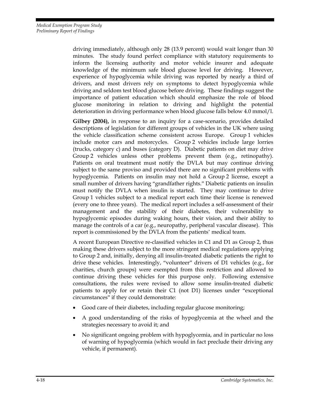driving immediately, although only 28 (13.9 percent) would wait longer than 30 minutes. The study found perfect compliance with statutory requirements to inform the licensing authority and motor vehicle insurer and adequate knowledge of the minimum safe blood glucose level for driving. However, experience of hypoglycemia while driving was reported by nearly a third of drivers, and most drivers rely on symptoms to detect hypoglycemia while driving and seldom test blood glucose before driving. These findings suggest the importance of patient education which should emphasize the role of blood glucose monitoring in relation to driving and highlight the potential deterioration in driving performance when blood glucose falls below 4.0 mmol/l.

**Gilbey (2004),** in response to an inquiry for a case-scenario, provides detailed descriptions of legislation for different groups of vehicles in the UK where using the vehicle classification scheme consistent across Europe. Group 1 vehicles include motor cars and motorcycles. Group 2 vehicles include large lorries (trucks, category c) and buses (category D). Diabetic patients on diet may drive Group 2 vehicles unless other problems prevent them (e.g., retinopathy). Patients on oral treatment must notify the DVLA but may continue driving subject to the same proviso and provided there are no significant problems with hypoglycemia. Patients on insulin may not hold a Group 2 license, except a small number of drivers having "grandfather rights." Diabetic patients on insulin must notify the DVLA when insulin is started. They may continue to drive Group 1 vehicles subject to a medical report each time their license is renewed (every one to three years). The medical report includes a self-assessment of their management and the stability of their diabetes, their vulnerability to hypoglycemic episodes during waking hours, their vision, and their ability to manage the controls of a car (e.g., neuropathy, peripheral vascular disease). This report is commissioned by the DVLA from the patients' medical team.

A recent European Directive re-classified vehicles in C1 and D1 as Group 2, thus making these drivers subject to the more stringent medical regulations applying to Group 2 and, initially, denying all insulin-treated diabetic patients the right to drive these vehicles. Interestingly, "volunteer" drivers of D1 vehicles (e.g., for charities, church groups) were exempted from this restriction and allowed to continue driving these vehicles for this purpose only. Following extensive consultations, the rules were revised to allow some insulin-treated diabetic patients to apply for or retain their C1 (not D1) licenses under "exceptional circumstances" if they could demonstrate:

- Good care of their diabetes, including regular glucose monitoring;
- A good understanding of the risks of hypoglycemia at the wheel and the strategies necessary to avoid it; and
- No significant ongoing problem with hypoglycemia, and in particular no loss of warning of hypoglycemia (which would in fact preclude their driving any vehicle, if permanent).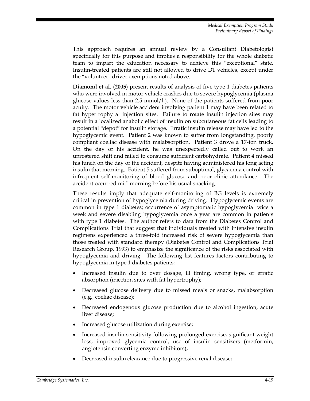This approach requires an annual review by a Consultant Diabetologist specifically for this purpose and implies a responsibility for the whole diabetic team to impart the education necessary to achieve this "exceptional" state. Insulin-treated patients are still not allowed to drive D1 vehicles, except under the "volunteer" driver exemptions noted above.

**Diamond et al. (2005)** present results of analysis of five type 1 diabetes patients who were involved in motor vehicle crashes due to severe hypoglycemia (plasma glucose values less than 2.5 mmol/l.). None of the patients suffered from poor acuity. The motor vehicle accident involving patient 1 may have been related to fat hypertrophy at injection sites. Failure to rotate insulin injection sites may result in a localized anabolic effect of insulin on subcutaneous fat cells leading to a potential "depot" for insulin storage. Erratic insulin release may have led to the hypoglycemic event. Patient 2 was known to suffer from longstanding, poorly compliant coeliac disease with malabsorption. Patient 3 drove a 17-ton truck. On the day of his accident, he was unexpectedly called out to work an unrostered shift and failed to consume sufficient carbohydrate. Patient 4 missed his lunch on the day of the accident, despite having administered his long acting insulin that morning. Patient 5 suffered from suboptimal, glycaemia control with infrequent self-monitoring of blood glucose and poor clinic attendance. The accident occurred mid-morning before his usual snacking.

These results imply that adequate self-monitoring of BG levels is extremely critical in prevention of hypoglycemia during driving. Hypoglycemic events are common in type 1 diabetes; occurrence of asymptomatic hypoglycemia twice a week and severe disabling hypoglycemia once a year are common in patients with type 1 diabetes. The author refers to data from the Diabetes Control and Complications Trial that suggest that individuals treated with intensive insulin regimens experienced a three-fold increased risk of severe hypoglycemia than those treated with standard therapy (Diabetes Control and Complications Trial Research Group, 1993) to emphasize the significance of the risks associated with hypoglycemia and driving. The following list features factors contributing to hypoglycemia in type 1 diabetes patients:

- Increased insulin due to over dosage, ill timing, wrong type, or erratic absorption (injection sites with fat hypertrophy);
- Decreased glucose delivery due to missed meals or snacks, malabsorption (e.g., coeliac disease);
- Decreased endogenous glucose production due to alcohol ingestion, acute liver disease;
- Increased glucose utilization during exercise;
- Increased insulin sensitivity following prolonged exercise, significant weight loss, improved glycemia control, use of insulin sensitizers (metformin, angiotensin converting enzyme inhibitors);
- Decreased insulin clearance due to progressive renal disease;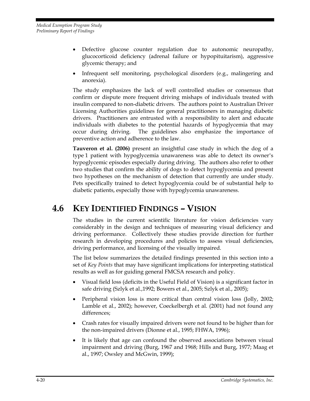- Defective glucose counter regulation due to autonomic neuropathy, glucocorticoid deficiency (adrenal failure or hypopituitarism), aggressive glycemic therapy; and
- Infrequent self monitoring, psychological disorders (e.g., malingering and anorexia).

The study emphasizes the lack of well controlled studies or consensus that confirm or dispute more frequent driving mishaps of individuals treated with insulin compared to non-diabetic drivers. The authors point to Australian Driver Licensing Authorities guidelines for general practitioners in managing diabetic drivers. Practitioners are entrusted with a responsibility to alert and educate individuals with diabetes to the potential hazards of hypoglycemia that may occur during driving. The guidelines also emphasize the importance of preventive action and adherence to the law.

**Tauveron et al. (2006)** present an insightful case study in which the dog of a type 1 patient with hypoglycemia unawareness was able to detect its owner's hypoglycemic episodes especially during driving. The authors also refer to other two studies that confirm the ability of dogs to detect hypoglycemia and present two hypotheses on the mechanism of detection that currently are under study. Pets specifically trained to detect hypoglycemia could be of substantial help to diabetic patients, especially those with hypoglycemia unawareness.

# **4.6 KEY IDENTIFIED FINDINGS – VISION**

The studies in the current scientific literature for vision deficiencies vary considerably in the design and techniques of measuring visual deficiency and driving performance. Collectively these studies provide direction for further research in developing procedures and policies to assess visual deficiencies, driving performance, and licensing of the visually impaired.

The list below summarizes the detailed findings presented in this section into a set of *Key Points* that may have significant implications for interpreting statistical results as well as for guiding general FMCSA research and policy.

- Visual field loss (deficits in the Useful Field of Vision) is a significant factor in safe driving (Szlyk et al.,1992; Bowers et al., 2005; Szlyk et al., 2005);
- Peripheral vision loss is more critical than central vision loss (Jolly, 2002; Lamble et al., 2002); however, Coeckelbergh et al. (2001) had not found any differences;
- Crash rates for visually impaired drivers were not found to be higher than for the non-impaired drivers (Dionne et al., 1995; FHWA, 1996);
- It is likely that age can confound the observed associations between visual impairment and driving (Burg, 1967 and 1968; Hills and Burg, 1977; Maag et al., 1997; Owsley and McGwin, 1999);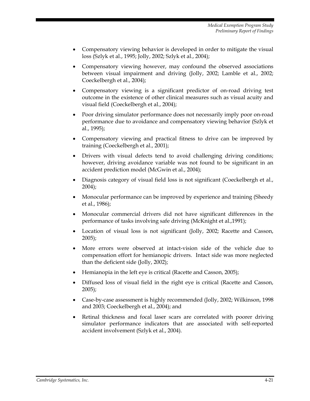- Compensatory viewing behavior is developed in order to mitigate the visual loss (Szlyk et al., 1995; Jolly, 2002; Szlyk et al., 2004);
- Compensatory viewing however, may confound the observed associations between visual impairment and driving (Jolly, 2002; Lamble et al., 2002; Coeckelbergh et al., 2004);
- Compensatory viewing is a significant predictor of on-road driving test outcome in the existence of other clinical measures such as visual acuity and visual field (Coeckelbergh et al., 2004);
- Poor driving simulator performance does not necessarily imply poor on-road performance due to avoidance and compensatory viewing behavior (Szlyk et al., 1995);
- Compensatory viewing and practical fitness to drive can be improved by training (Coeckelbergh et al., 2001);
- Drivers with visual defects tend to avoid challenging driving conditions; however, driving avoidance variable was not found to be significant in an accident prediction model (McGwin et al., 2004);
- Diagnosis category of visual field loss is not significant (Coeckelbergh et al., 2004);
- Monocular performance can be improved by experience and training (Sheedy et al., 1986);
- Monocular commercial drivers did not have significant differences in the performance of tasks involving safe driving (McKnight et al.,1991);
- Location of visual loss is not significant (Jolly, 2002; Racette and Casson, 2005);
- More errors were observed at intact-vision side of the vehicle due to compensation effort for hemianopic drivers. Intact side was more neglected than the deficient side (Jolly, 2002);
- Hemianopia in the left eye is critical (Racette and Casson, 2005);
- Diffused loss of visual field in the right eye is critical (Racette and Casson, 2005);
- Case-by-case assessment is highly recommended (Jolly, 2002; Wilkinson, 1998 and 2003; Coeckelbergh et al., 2004); and
- Retinal thickness and focal laser scars are correlated with poorer driving simulator performance indicators that are associated with self-reported accident involvement (Szlyk et al., 2004).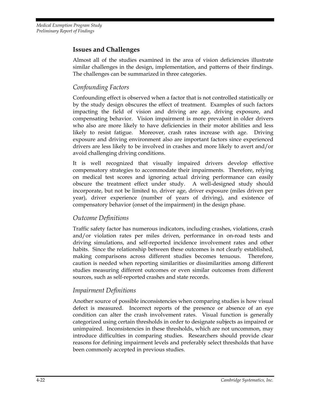*Medical Exemption Program Study Preliminary Report of Findings* 

#### **Issues and Challenges**

Almost all of the studies examined in the area of vision deficiencies illustrate similar challenges in the design, implementation, and patterns of their findings. The challenges can be summarized in three categories.

#### *Confounding Factors*

Confounding effect is observed when a factor that is not controlled statistically or by the study design obscures the effect of treatment. Examples of such factors impacting the field of vision and driving are age, driving exposure, and compensating behavior. Vision impairment is more prevalent in older drivers who also are more likely to have deficiencies in their motor abilities and less likely to resist fatigue. Moreover, crash rates increase with age. Driving exposure and driving environment also are important factors since experienced drivers are less likely to be involved in crashes and more likely to avert and/or avoid challenging driving conditions.

It is well recognized that visually impaired drivers develop effective compensatory strategies to accommodate their impairments. Therefore, relying on medical test scores and ignoring actual driving performance can easily obscure the treatment effect under study. A well-designed study should incorporate, but not be limited to, driver age, driver exposure (miles driven per year), driver experience (number of years of driving), and existence of compensatory behavior (onset of the impairment) in the design phase.

#### *Outcome Definitions*

Traffic safety factor has numerous indicators, including crashes, violations, crash and/or violation rates per miles driven, performance in on-road tests and driving simulations, and self-reported incidence involvement rates and other habits. Since the relationship between these outcomes is not clearly established, making comparisons across different studies becomes tenuous. Therefore, caution is needed when reporting similarities or dissimilarities among different studies measuring different outcomes or even similar outcomes from different sources, such as self-reported crashes and state records.

#### *Impairment Definitions*

Another source of possible inconsistencies when comparing studies is how visual defect is measured. Incorrect reports of the presence or absence of an eye condition can alter the crash involvement rates. Visual function is generally categorized using certain thresholds in order to designate subjects as impaired or unimpaired. Inconsistencies in these thresholds, which are not uncommon, may introduce difficulties in comparing studies. Researchers should provide clear reasons for defining impairment levels and preferably select thresholds that have been commonly accepted in previous studies.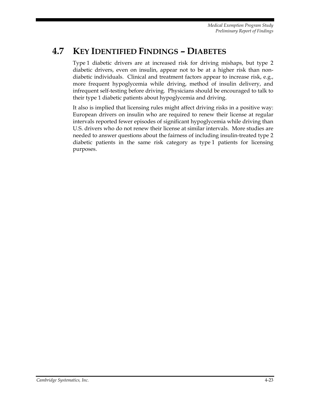# **4.7 KEY IDENTIFIED FINDINGS – DIABETES**

Type 1 diabetic drivers are at increased risk for driving mishaps, but type 2 diabetic drivers, even on insulin, appear not to be at a higher risk than nondiabetic individuals. Clinical and treatment factors appear to increase risk, e.g., more frequent hypoglycemia while driving, method of insulin delivery, and infrequent self-testing before driving. Physicians should be encouraged to talk to their type 1 diabetic patients about hypoglycemia and driving.

It also is implied that licensing rules might affect driving risks in a positive way: European drivers on insulin who are required to renew their license at regular intervals reported fewer episodes of significant hypoglycemia while driving than U.S. drivers who do not renew their license at similar intervals. More studies are needed to answer questions about the fairness of including insulin-treated type 2 diabetic patients in the same risk category as type 1 patients for licensing purposes.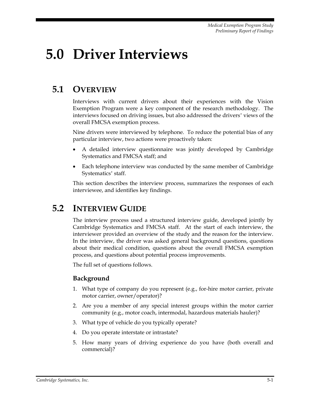# **5.0 Driver Interviews**

# **5.1 OVERVIEW**

Interviews with current drivers about their experiences with the Vision Exemption Program were a key component of the research methodology. The interviews focused on driving issues, but also addressed the drivers' views of the overall FMCSA exemption process.

Nine drivers were interviewed by telephone. To reduce the potential bias of any particular interview, two actions were proactively taken:

- A detailed interview questionnaire was jointly developed by Cambridge Systematics and FMCSA staff; and
- Each telephone interview was conducted by the same member of Cambridge Systematics' staff.

This section describes the interview process, summarizes the responses of each interviewee, and identifies key findings.

## **5.2 INTERVIEW GUIDE**

The interview process used a structured interview guide, developed jointly by Cambridge Systematics and FMCSA staff. At the start of each interview, the interviewer provided an overview of the study and the reason for the interview. In the interview, the driver was asked general background questions, questions about their medical condition, questions about the overall FMCSA exemption process, and questions about potential process improvements.

The full set of questions follows.

#### **Background**

- 1. What type of company do you represent (e.g., for-hire motor carrier, private motor carrier, owner/operator)?
- 2. Are you a member of any special interest groups within the motor carrier community (e.g., motor coach, intermodal, hazardous materials hauler)?
- 3. What type of vehicle do you typically operate?
- 4. Do you operate interstate or intrastate?
- 5. How many years of driving experience do you have (both overall and commercial)?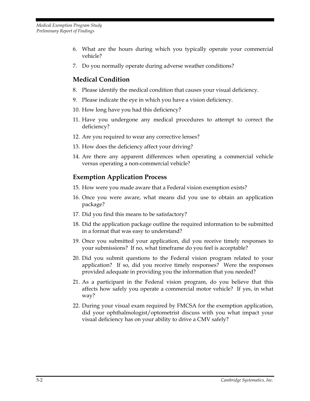- 6. What are the hours during which you typically operate your commercial vehicle?
- 7. Do you normally operate during adverse weather conditions?

## **Medical Condition**

- 8. Please identify the medical condition that causes your visual deficiency.
- 9. Please indicate the eye in which you have a vision deficiency.
- 10. How long have you had this deficiency?
- 11. Have you undergone any medical procedures to attempt to correct the deficiency?
- 12. Are you required to wear any corrective lenses?
- 13. How does the deficiency affect your driving?
- 14. Are there any apparent differences when operating a commercial vehicle versus operating a non-commercial vehicle?

## **Exemption Application Process**

- 15. How were you made aware that a Federal vision exemption exists?
- 16. Once you were aware, what means did you use to obtain an application package?
- 17. Did you find this means to be satisfactory?
- 18. Did the application package outline the required information to be submitted in a format that was easy to understand?
- 19. Once you submitted your application, did you receive timely responses to your submissions? If no, what timeframe do you feel is acceptable?
- 20. Did you submit questions to the Federal vision program related to your application? If so, did you receive timely responses? Were the responses provided adequate in providing you the information that you needed?
- 21. As a participant in the Federal vision program, do you believe that this affects how safely you operate a commercial motor vehicle? If yes, in what way?
- 22. During your visual exam required by FMCSA for the exemption application, did your ophthalmologist/optometrist discuss with you what impact your visual deficiency has on your ability to drive a CMV safely?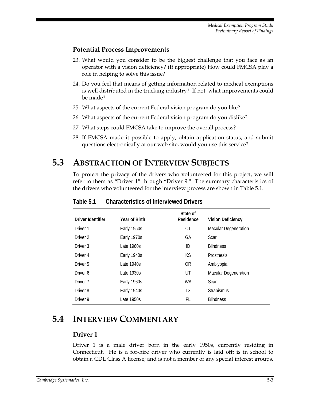#### **Potential Process Improvements**

- 23. What would you consider to be the biggest challenge that you face as an operator with a vision deficiency? (If appropriate) How could FMCSA play a role in helping to solve this issue?
- 24. Do you feel that means of getting information related to medical exemptions is well distributed in the trucking industry? If not, what improvements could be made?
- 25. What aspects of the current Federal vision program do you like?
- 26. What aspects of the current Federal vision program do you dislike?
- 27. What steps could FMCSA take to improve the overall process?
- 28. If FMCSA made it possible to apply, obtain application status, and submit questions electronically at our web site, would you use this service?

## **5.3 ABSTRACTION OF INTERVIEW SUBJECTS**

To protect the privacy of the drivers who volunteered for this project, we will refer to them as "Driver 1" through "Driver 9." The summary characteristics of the drivers who volunteered for the interview process are shown in Table 5.1.

| Driver Identifier   | Year of Birth | State of<br>Residence | <b>Vision Deficiency</b>    |  |  |
|---------------------|---------------|-----------------------|-----------------------------|--|--|
| Driver 1            | Early 1950s   | СT                    | <b>Macular Degeneration</b> |  |  |
| Driver <sub>2</sub> | Early 1970s   | GА                    | Scar                        |  |  |
| Driver <sub>3</sub> | Late $1960s$  | ID                    | <b>Blindness</b>            |  |  |
| Driver 4            | Early 1940s   | КS                    | <b>Prosthesis</b>           |  |  |
| Driver 5            | Late $1940s$  | 0 <sub>R</sub>        | Amblyopia                   |  |  |
| Driver 6            | Late 1930s    | UT                    | <b>Macular Degeneration</b> |  |  |
| Driver <sub>7</sub> | Early 1960s   | WA                    | Scar                        |  |  |
| Driver <sub>8</sub> | Early 1940s   | TХ                    | <b>Strabismus</b>           |  |  |
| Driver 9            | Late 1950s    | FL                    | <b>Blindness</b>            |  |  |

**Table 5.1 Characteristics of Interviewed Drivers** 

# **5.4 INTERVIEW COMMENTARY**

## **Driver 1**

Driver 1 is a male driver born in the early 1950s, currently residing in Connecticut. He is a for-hire driver who currently is laid off; is in school to obtain a CDL Class A license; and is not a member of any special interest groups.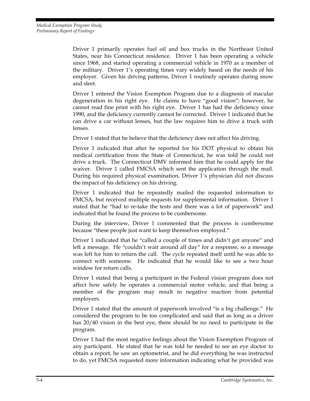Driver 1 primarily operates fuel oil and box trucks in the Northeast United States, near his Connecticut residence. Driver 1 has been operating a vehicle since 1968, and started operating a commercial vehicle in 1970 as a member of the military. Driver 1's operating times vary widely based on the needs of his employer. Given his driving patterns, Driver 1 routinely operates during snow and sleet.

Driver 1 entered the Vision Exemption Program due to a diagnosis of macular degeneration in his right eye. He claims to have "good vision"; however, he cannot read fine print with his right eye. Driver 1 has had the deficiency since 1990, and the deficiency currently cannot be corrected. Driver 1 indicated that he can drive a car without lenses, but the law requires him to drive a truck with lenses.

Driver 1 stated that he believe that the deficiency does not affect his driving.

Driver 1 indicated that after he reported for his DOT physical to obtain his medical certification from the State of Connecticut, he was told he could not drive a truck. The Connecticut DMV informed him that he could apply for the waiver. Driver 1 called FMCSA which sent the application through the mail. During his required physical examination, Driver 1's physician did not discuss the impact of his deficiency on his driving.

Driver 1 indicated that he repeatedly mailed the requested information to FMCSA, but received multiple requests for supplemental information. Driver 1 stated that he "had to re-take the tests and there was a lot of paperwork" and indicated that he found the process to be cumbersome.

During the interview, Driver 1 commented that the process is cumbersome because "these people just want to keep themselves employed."

Driver 1 indicated that he "called a couple of times and didn't get anyone" and left a message. He "couldn't wait around all day" for a response, so a message was left for him to return the call. The cycle repeated itself until he was able to connect with someone. He indicated that he would like to see a two hour window for return calls.

Driver 1 stated that being a participant in the Federal vision program does not affect how safely he operates a commercial motor vehicle, and that being a member of the program may result in negative reaction from potential employers.

Driver 1 stated that the amount of paperwork involved "is a big challenge." He considered the program to be too complicated and said that as long as a driver has 20/40 vision in the best eye, there should be no need to participate in the program.

Driver 1 had the most negative feelings about the Vision Exemption Program of any participant. He stated that he was told he needed to see an eye doctor to obtain a report, he saw an optometrist, and he did everything he was instructed to do, yet FMCSA requested more information indicating what he provided was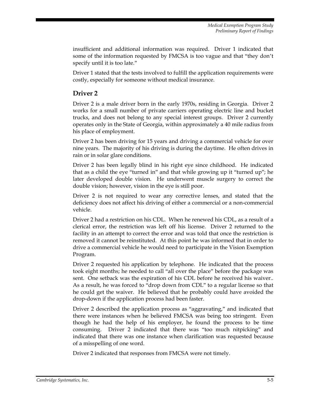insufficient and additional information was required. Driver 1 indicated that some of the information requested by FMCSA is too vague and that "they don't specify until it is too late."

Driver 1 stated that the tests involved to fulfill the application requirements were costly, especially for someone without medical insurance.

### **Driver 2**

Driver 2 is a male driver born in the early 1970s, residing in Georgia. Driver 2 works for a small number of private carriers operating electric line and bucket trucks, and does not belong to any special interest groups. Driver 2 currently operates only in the State of Georgia, within approximately a 40 mile radius from his place of employment.

Driver 2 has been driving for 15 years and driving a commercial vehicle for over nine years. The majority of his driving is during the daytime. He often drives in rain or in solar glare conditions.

Driver 2 has been legally blind in his right eye since childhood. He indicated that as a child the eye "turned in" and that while growing up it "turned up"; he later developed double vision. He underwent muscle surgery to correct the double vision; however, vision in the eye is still poor.

Driver 2 is not required to wear any corrective lenses, and stated that the deficiency does not affect his driving of either a commercial or a non-commercial vehicle.

Driver 2 had a restriction on his CDL. When he renewed his CDL, as a result of a clerical error, the restriction was left off his license. Driver 2 returned to the facility in an attempt to correct the error and was told that once the restriction is removed it cannot be reinstituted. At this point he was informed that in order to drive a commercial vehicle he would need to participate in the Vision Exemption Program.

Driver 2 requested his application by telephone. He indicated that the process took eight months; he needed to call "all over the place" before the package was sent. One setback was the expiration of his CDL before he received his waiver.. As a result, he was forced to "drop down from CDL" to a regular license so that he could get the waiver. He believed that he probably could have avoided the drop-down if the application process had been faster.

Driver 2 described the application process as "aggravating," and indicated that there were instances when he believed FMCSA was being too stringent. Even though he had the help of his employer, he found the process to be time consuming. Driver 2 indicated that there was "too much nitpicking" and indicated that there was one instance when clarification was requested because of a misspelling of one word.

Driver 2 indicated that responses from FMCSA were not timely.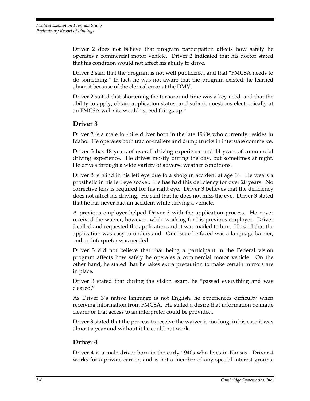Driver 2 does not believe that program participation affects how safely he operates a commercial motor vehicle. Driver 2 indicated that his doctor stated that his condition would not affect his ability to drive.

Driver 2 said that the program is not well publicized, and that "FMCSA needs to do something." In fact, he was not aware that the program existed; he learned about it because of the clerical error at the DMV.

Driver 2 stated that shortening the turnaround time was a key need, and that the ability to apply, obtain application status, and submit questions electronically at an FMCSA web site would "speed things up."

#### **Driver 3**

Driver 3 is a male for-hire driver born in the late 1960s who currently resides in Idaho. He operates both tractor-trailers and dump trucks in interstate commerce.

Driver 3 has 18 years of overall driving experience and 14 years of commercial driving experience. He drives mostly during the day, but sometimes at night. He drives through a wide variety of adverse weather conditions.

Driver 3 is blind in his left eye due to a shotgun accident at age 14. He wears a prosthetic in his left eye socket. He has had this deficiency for over 20 years. No corrective lens is required for his right eye. Driver 3 believes that the deficiency does not affect his driving. He said that he does not miss the eye. Driver 3 stated that he has never had an accident while driving a vehicle.

A previous employer helped Driver 3 with the application process. He never received the waiver, however, while working for his previous employer. Driver 3 called and requested the application and it was mailed to him. He said that the application was easy to understand. One issue he faced was a language barrier, and an interpreter was needed.

Driver 3 did not believe that that being a participant in the Federal vision program affects how safely he operates a commercial motor vehicle. On the other hand, he stated that he takes extra precaution to make certain mirrors are in place.

Driver 3 stated that during the vision exam, he "passed everything and was cleared."

As Driver 3's native language is not English, he experiences difficulty when receiving information from FMCSA. He stated a desire that information be made clearer or that access to an interpreter could be provided.

Driver 3 stated that the process to receive the waiver is too long; in his case it was almost a year and without it he could not work.

## **Driver 4**

Driver 4 is a male driver born in the early 1940s who lives in Kansas. Driver 4 works for a private carrier, and is not a member of any special interest groups.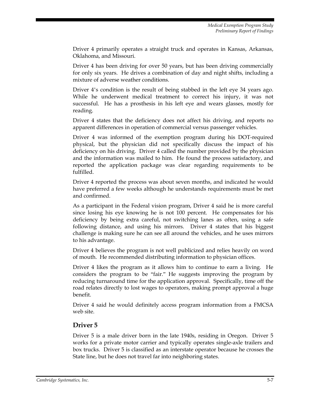Driver 4 primarily operates a straight truck and operates in Kansas, Arkansas, Oklahoma, and Missouri.

Driver 4 has been driving for over 50 years, but has been driving commercially for only six years. He drives a combination of day and night shifts, including a mixture of adverse weather conditions.

Driver 4's condition is the result of being stabbed in the left eye 34 years ago. While he underwent medical treatment to correct his injury, it was not successful. He has a prosthesis in his left eye and wears glasses, mostly for reading.

Driver 4 states that the deficiency does not affect his driving, and reports no apparent differences in operation of commercial versus passenger vehicles.

Driver 4 was informed of the exemption program during his DOT-required physical, but the physician did not specifically discuss the impact of his deficiency on his driving. Driver 4 called the number provided by the physician and the information was mailed to him. He found the process satisfactory, and reported the application package was clear regarding requirements to be fulfilled.

Driver 4 reported the process was about seven months, and indicated he would have preferred a few weeks although he understands requirements must be met and confirmed.

As a participant in the Federal vision program, Driver 4 said he is more careful since losing his eye knowing he is not 100 percent. He compensates for his deficiency by being extra careful, not switching lanes as often, using a safe following distance, and using his mirrors. Driver 4 states that his biggest challenge is making sure he can see all around the vehicles, and he uses mirrors to his advantage.

Driver 4 believes the program is not well publicized and relies heavily on word of mouth. He recommended distributing information to physician offices.

Driver 4 likes the program as it allows him to continue to earn a living. He considers the program to be "fair." He suggests improving the program by reducing turnaround time for the application approval. Specifically, time off the road relates directly to lost wages to operators, making prompt approval a huge benefit.

Driver 4 said he would definitely access program information from a FMCSA web site.

#### **Driver 5**

Driver 5 is a male driver born in the late 1940s, residing in Oregon. Driver 5 works for a private motor carrier and typically operates single-axle trailers and box trucks. Driver 5 is classified as an interstate operator because he crosses the State line, but he does not travel far into neighboring states.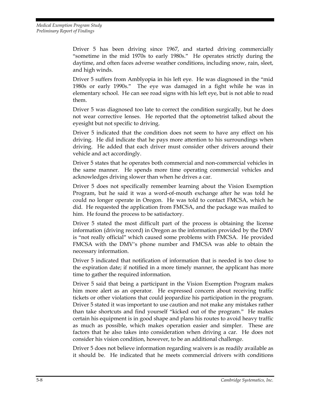Driver 5 has been driving since 1967, and started driving commercially "sometime in the mid 1970s to early 1980s." He operates strictly during the daytime, and often faces adverse weather conditions, including snow, rain, sleet, and high winds.

Driver 5 suffers from Amblyopia in his left eye. He was diagnosed in the "mid 1980s or early 1990s." The eye was damaged in a fight while he was in elementary school. He can see road signs with his left eye, but is not able to read them.

Driver 5 was diagnosed too late to correct the condition surgically, but he does not wear corrective lenses. He reported that the optometrist talked about the eyesight but not specific to driving.

Driver 5 indicated that the condition does not seem to have any effect on his driving. He did indicate that he pays more attention to his surroundings when driving. He added that each driver must consider other drivers around their vehicle and act accordingly.

Driver 5 states that he operates both commercial and non-commercial vehicles in the same manner. He spends more time operating commercial vehicles and acknowledges driving slower than when he drives a car.

Driver 5 does not specifically remember learning about the Vision Exemption Program, but he said it was a word-of-mouth exchange after he was told he could no longer operate in Oregon. He was told to contact FMCSA, which he did. He requested the application from FMCSA, and the package was mailed to him. He found the process to be satisfactory.

Driver 5 stated the most difficult part of the process is obtaining the license information (driving record) in Oregon as the information provided by the DMV is "not really official" which caused some problems with FMCSA. He provided FMCSA with the DMV's phone number and FMCSA was able to obtain the necessary information.

Driver 5 indicated that notification of information that is needed is too close to the expiration date; if notified in a more timely manner, the applicant has more time to gather the required information.

Driver 5 said that being a participant in the Vision Exemption Program makes him more alert as an operator. He expressed concern about receiving traffic tickets or other violations that could jeopardize his participation in the program. Driver 5 stated it was important to use caution and not make any mistakes rather than take shortcuts and find yourself "kicked out of the program." He makes certain his equipment is in good shape and plans his routes to avoid heavy traffic as much as possible, which makes operation easier and simpler. These are factors that he also takes into consideration when driving a car. He does not consider his vision condition, however, to be an additional challenge.

Driver 5 does not believe information regarding waivers is as readily available as it should be. He indicated that he meets commercial drivers with conditions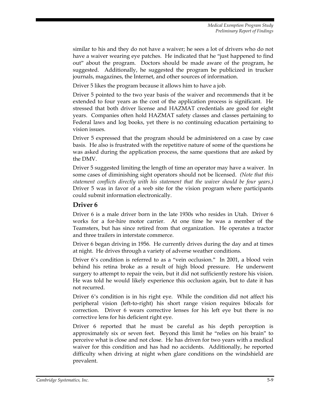similar to his and they do not have a waiver; he sees a lot of drivers who do not have a waiver wearing eye patches. He indicated that he "just happened to find out" about the program. Doctors should be made aware of the program, he suggested. Additionally, he suggested the program be publicized in trucker journals, magazines, the Internet, and other sources of information.

Driver 5 likes the program because it allows him to have a job.

Driver 5 pointed to the two year basis of the waiver and recommends that it be extended to four years as the cost of the application process is significant. He stressed that both driver license and HAZMAT credentials are good for eight years. Companies often hold HAZMAT safety classes and classes pertaining to Federal laws and log books, yet there is no continuing education pertaining to vision issues.

Driver 5 expressed that the program should be administered on a case by case basis. He also is frustrated with the repetitive nature of some of the questions he was asked during the application process, the same questions that are asked by the DMV.

Driver 5 suggested limiting the length of time an operator may have a waiver. In some cases of diminishing sight operators should not be licensed. *(Note that this statement conflicts directly with his statement that the waiver should be four years.)* Driver 5 was in favor of a web site for the vision program where participants could submit information electronically.

#### **Driver 6**

Driver 6 is a male driver born in the late 1930s who resides in Utah. Driver 6 works for a for-hire motor carrier. At one time he was a member of the Teamsters, but has since retired from that organization. He operates a tractor and three trailers in interstate commerce.

Driver 6 began driving in 1956. He currently drives during the day and at times at night. He drives through a variety of adverse weather conditions.

Driver 6's condition is referred to as a "vein occlusion." In 2001, a blood vein behind his retina broke as a result of high blood pressure. He underwent surgery to attempt to repair the vein, but it did not sufficiently restore his vision. He was told he would likely experience this occlusion again, but to date it has not recurred.

Driver 6's condition is in his right eye. While the condition did not affect his peripheral vision (left-to-right) his short range vision requires bifocals for correction. Driver 6 wears corrective lenses for his left eye but there is no corrective lens for his deficient right eye.

Driver 6 reported that he must be careful as his depth perception is approximately six or seven feet. Beyond this limit he "relies on his brain" to perceive what is close and not close. He has driven for two years with a medical waiver for this condition and has had no accidents. Additionally, he reported difficulty when driving at night when glare conditions on the windshield are prevalent.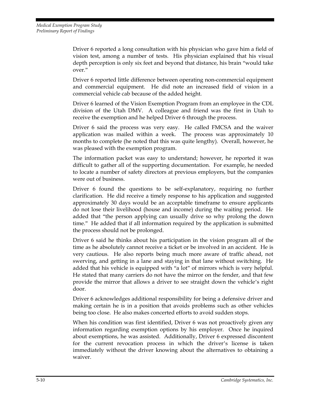Driver 6 reported a long consultation with his physician who gave him a field of vision test, among a number of tests. His physician explained that his visual depth perception is only six feet and beyond that distance, his brain "would take over."

Driver 6 reported little difference between operating non-commercial equipment and commercial equipment. He did note an increased field of vision in a commercial vehicle cab because of the added height.

Driver 6 learned of the Vision Exemption Program from an employee in the CDL division of the Utah DMV. A colleague and friend was the first in Utah to receive the exemption and he helped Driver 6 through the process.

Driver 6 said the process was very easy. He called FMCSA and the waiver application was mailed within a week. The process was approximately 10 months to complete (he noted that this was quite lengthy). Overall, however, he was pleased with the exemption program.

The information packet was easy to understand; however, he reported it was difficult to gather all of the supporting documentation. For example, he needed to locate a number of safety directors at previous employers, but the companies were out of business.

Driver 6 found the questions to be self-explanatory, requiring no further clarification. He did receive a timely response to his application and suggested approximately 30 days would be an acceptable timeframe to ensure applicants do not lose their livelihood (house and income) during the waiting period. He added that "the person applying can usually drive so why prolong the down time." He added that if all information required by the application is submitted the process should not be prolonged.

Driver 6 said he thinks about his participation in the vision program all of the time as he absolutely cannot receive a ticket or be involved in an accident. He is very cautious. He also reports being much more aware of traffic ahead, not swerving, and getting in a lane and staying in that lane without switching. He added that his vehicle is equipped with "a lot" of mirrors which is very helpful. He stated that many carriers do not have the mirror on the fender, and that few provide the mirror that allows a driver to see straight down the vehicle's right door.

Driver 6 acknowledges additional responsibility for being a defensive driver and making certain he is in a position that avoids problems such as other vehicles being too close. He also makes concerted efforts to avoid sudden stops.

When his condition was first identified, Driver 6 was not proactively given any information regarding exemption options by his employer. Once he inquired about exemptions, he was assisted. Additionally, Driver 6 expressed discontent for the current revocation process in which the driver's license is taken immediately without the driver knowing about the alternatives to obtaining a waiver.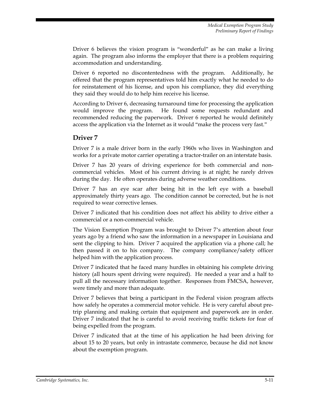Driver 6 believes the vision program is "wonderful" as he can make a living again. The program also informs the employer that there is a problem requiring accommodation and understanding.

Driver 6 reported no discontentedness with the program. Additionally, he offered that the program representatives told him exactly what he needed to do for reinstatement of his license, and upon his compliance, they did everything they said they would do to help him receive his license.

According to Driver 6, decreasing turnaround time for processing the application would improve the program. He found some requests redundant and recommended reducing the paperwork. Driver 6 reported he would definitely access the application via the Internet as it would "make the process very fast."

#### **Driver 7**

Driver 7 is a male driver born in the early 1960s who lives in Washington and works for a private motor carrier operating a tractor-trailer on an interstate basis.

Driver 7 has 20 years of driving experience for both commercial and noncommercial vehicles. Most of his current driving is at night; he rarely drives during the day. He often operates during adverse weather conditions.

Driver 7 has an eye scar after being hit in the left eye with a baseball approximately thirty years ago. The condition cannot be corrected, but he is not required to wear corrective lenses.

Driver 7 indicated that his condition does not affect his ability to drive either a commercial or a non-commercial vehicle.

The Vision Exemption Program was brought to Driver 7's attention about four years ago by a friend who saw the information in a newspaper in Louisiana and sent the clipping to him. Driver 7 acquired the application via a phone call; he then passed it on to his company. The company compliance/safety officer helped him with the application process.

Driver 7 indicated that he faced many hurdles in obtaining his complete driving history (all hours spent driving were required). He needed a year and a half to pull all the necessary information together. Responses from FMCSA, however, were timely and more than adequate.

Driver 7 believes that being a participant in the Federal vision program affects how safely he operates a commercial motor vehicle. He is very careful about pretrip planning and making certain that equipment and paperwork are in order. Driver 7 indicated that he is careful to avoid receiving traffic tickets for fear of being expelled from the program.

Driver 7 indicated that at the time of his application he had been driving for about 15 to 20 years, but only in intrastate commerce, because he did not know about the exemption program.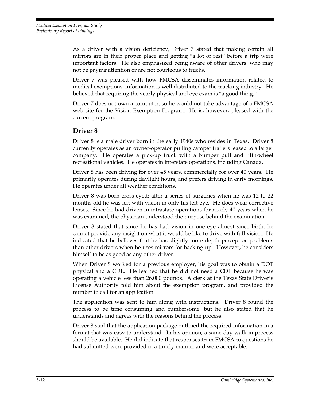As a driver with a vision deficiency, Driver 7 stated that making certain all mirrors are in their proper place and getting "a lot of rest" before a trip were important factors. He also emphasized being aware of other drivers, who may not be paying attention or are not courteous to trucks.

Driver 7 was pleased with how FMCSA disseminates information related to medical exemptions; information is well distributed to the trucking industry. He believed that requiring the yearly physical and eye exam is "a good thing."

Driver 7 does not own a computer, so he would not take advantage of a FMCSA web site for the Vision Exemption Program. He is, however, pleased with the current program.

#### **Driver 8**

Driver 8 is a male driver born in the early 1940s who resides in Texas. Driver 8 currently operates as an owner-operator pulling camper trailers leased to a larger company. He operates a pick-up truck with a bumper pull and fifth-wheel recreational vehicles. He operates in interstate operations, including Canada.

Driver 8 has been driving for over 45 years, commercially for over 40 years. He primarily operates during daylight hours, and prefers driving in early mornings. He operates under all weather conditions.

Driver 8 was born cross-eyed; after a series of surgeries when he was 12 to 22 months old he was left with vision in only his left eye. He does wear corrective lenses. Since he had driven in intrastate operations for nearly 40 years when he was examined, the physician understood the purpose behind the examination.

Driver 8 stated that since he has had vision in one eye almost since birth, he cannot provide any insight on what it would be like to drive with full vision. He indicated that he believes that he has slightly more depth perception problems than other drivers when he uses mirrors for backing up. However, he considers himself to be as good as any other driver.

When Driver 8 worked for a previous employer, his goal was to obtain a DOT physical and a CDL. He learned that he did not need a CDL because he was operating a vehicle less than 26,000 pounds. A clerk at the Texas State Driver's License Authority told him about the exemption program, and provided the number to call for an application.

The application was sent to him along with instructions. Driver 8 found the process to be time consuming and cumbersome, but he also stated that he understands and agrees with the reasons behind the process.

Driver 8 said that the application package outlined the required information in a format that was easy to understand. In his opinion, a same-day walk-in process should be available. He did indicate that responses from FMCSA to questions he had submitted were provided in a timely manner and were acceptable.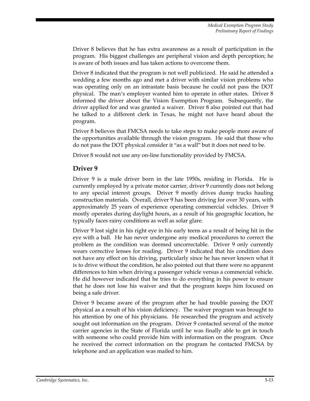Driver 8 believes that he has extra awareness as a result of participation in the program. His biggest challenges are peripheral vision and depth perception; he is aware of both issues and has taken actions to overcome them.

Driver 8 indicated that the program is not well publicized. He said he attended a wedding a few months ago and met a driver with similar vision problems who was operating only on an intrastate basis because he could not pass the DOT physical. The man's employer wanted him to operate in other states. Driver 8 informed the driver about the Vision Exemption Program. Subsequently, the driver applied for and was granted a waiver. Driver 8 also pointed out that had he talked to a different clerk in Texas, he might not have heard about the program.

Driver 8 believes that FMCSA needs to take steps to make people more aware of the opportunities available through the vision program. He said that those who do not pass the DOT physical consider it "as a wall" but it does not need to be.

Driver 8 would not use any on-line functionality provided by FMCSA.

#### **Driver 9**

Driver 9 is a male driver born in the late 1950s, residing in Florida. He is currently employed by a private motor carrier, driver 9 currently does not belong to any special interest groups. Driver 9 mostly drives dump trucks hauling construction materials. Overall, driver 9 has been driving for over 30 years, with approximately 25 years of experience operating commercial vehicles. Driver 9 mostly operates during daylight hours, as a result of his geographic location, he typically faces rainy conditions as well as solar glare.

Driver 9 lost sight in his right eye in his early teens as a result of being hit in the eye with a ball. He has never undergone any medical procedures to correct the problem as the condition was deemed uncorrectable. Driver 9 only currently wears corrective lenses for reading. Driver 9 indicated that his condition does not have any effect on his driving, particularly since he has never known what it is to drive without the condition, he also pointed out that there were no apparent differences to him when driving a passenger vehicle versus a commercial vehicle. He did however indicated that he tries to do everything in his power to ensure that he does not lose his waiver and that the program keeps him focused on being a safe driver.

Driver 9 became aware of the program after he had trouble passing the DOT physical as a result of his vision deficiency. The waiver program was brought to his attention by one of his physicians. He researched the program and actively sought out information on the program. Driver 9 contacted several of the motor carrier agencies in the State of Florida until he was finally able to get in touch with someone who could provide him with information on the program. Once he received the correct information on the program he contacted FMCSA by telephone and an application was mailed to him.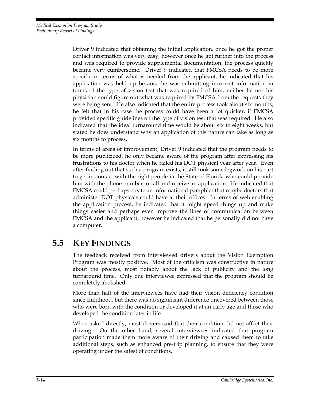Driver 9 indicated that obtaining the initial application, once he got the proper contact information was very easy, however once he got further into the process and was required to provide supplemental documentation, the process quickly became very cumbersome. Driver 9 indicated that FMCSA needs to be more specific in terms of what is needed from the applicant, he indicated that his application was held up because he was submitting incorrect information in terms of the type of vision test that was required of him, neither he nor his physician could figure out what was required by FMCSA from the requests they were being sent. He also indicated that the entire process took about six months, he felt that in his case the process could have been a lot quicker, if FMCSA provided specific guidelines on the type of vision test that was required. He also indicated that the ideal turnaround time would be about six to eight weeks, but stated he does understand why an application of this nature can take as long as six months to process.

In terms of areas of improvement, Driver 9 indicated that the program needs to be more publicized, he only became aware of the program after expressing his frustrations to his doctor when he failed his DOT physical year after year. Even after finding out that such a program exists, it still took some legwork on his part to get in contact with the right people in the State of Florida who could provide him with the phone number to call and receive an application. He indicated that FMCSA could perhaps create an informational pamphlet that maybe doctors that administer DOT physicals could have at their offices. In terms of web enabling the application process, he indicated that it might speed things up and make things easier and perhaps even improve the lines of communication between FMCSA and the applicant, however he indicated that he personally did not have a computer.

# **5.5 KEY FINDINGS**

The feedback received from interviewed drivers about the Vision Exemption Program was mostly positive. Most of the criticism was constructive in nature about the process, most notably about the lack of publicity and the long turnaround time. Only one interviewee expressed that the program should be completely abolished.

More than half of the interviewees have had their vision deficiency condition since childhood, but there was no significant difference uncovered between those who were born with the condition or developed it at an early age and those who developed the condition later in life.

When asked directly, most drivers said that their condition did not affect their driving. On the other hand, several interviewees indicated that program participation made them more aware of their driving and caused them to take additional steps, such as enhanced pre-trip planning, to ensure that they were operating under the safest of conditions.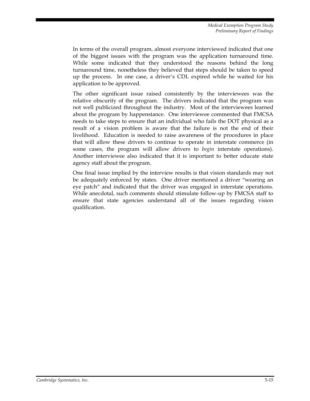In terms of the overall program, almost everyone interviewed indicated that one of the biggest issues with the program was the application turnaround time. While some indicated that they understood the reasons behind the long turnaround time, nonetheless they believed that steps should be taken to speed up the process. In one case, a driver's CDL expired while he waited for his application to be approved.

The other significant issue raised consistently by the interviewees was the relative obscurity of the program. The drivers indicated that the program was not well publicized throughout the industry. Most of the interviewees learned about the program by happenstance. One interviewee commented that FMCSA needs to take steps to ensure that an individual who fails the DOT physical as a result of a vision problem is aware that the failure is not the end of their livelihood. Education is needed to raise awareness of the procedures in place that will allow these drivers to continue to operate in interstate commerce (in some cases, the program will allow drivers to *begin* interstate operations). Another interviewee also indicated that it is important to better educate state agency staff about the program.

One final issue implied by the interview results is that vision standards may not be adequately enforced by states. One driver mentioned a driver "wearing an eye patch" and indicated that the driver was engaged in interstate operations. While anecdotal, such comments should stimulate follow-up by FMCSA staff to ensure that state agencies understand all of the issues regarding vision qualification.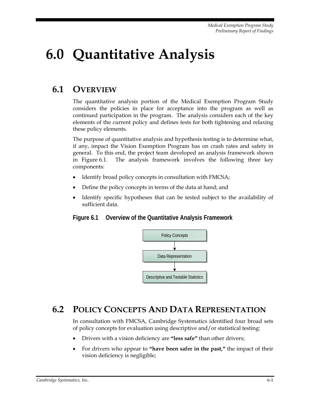# **6.0 Quantitative Analysis**

# **6.1 OVERVIEW**

The quantitative analysis portion of the Medical Exemption Program Study considers the policies in place for acceptance into the program as well as continued participation in the program. The analysis considers each of the key elements of the current policy and defines tests for both tightening and relaxing these policy elements.

The purpose of quantitative analysis and hypothesis testing is to determine what, if any, impact the Vision Exemption Program has on crash rates and safety in general. To this end, the project team developed an analysis framework shown in Figure 6.1. The analysis framework involves the following three key components:

- Identify broad policy concepts in consultation with FMCSA;
- Define the policy concepts in terms of the data at hand; and
- Identify specific hypotheses that can be tested subject to the availability of sufficient data.

#### **Figure 6.1 Overview of the Quantitative Analysis Framework**



## **6.2 POLICY CONCEPTS AND DATA REPRESENTATION**

In consultation with FMCSA, Cambridge Systematics identified four broad sets of policy concepts for evaluation using descriptive and/or statistical testing:

- Drivers with a vision deficiency are **"less safe"** than other drivers;
- For drivers who appear to **"have been safer in the past,"** the impact of their vision deficiency is negligible;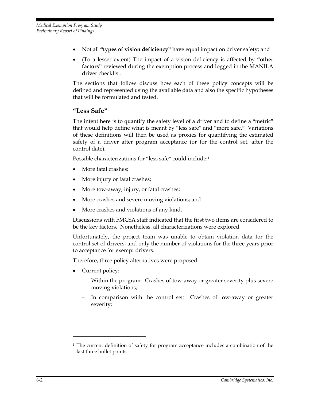- Not all **"types of vision deficiency"** have equal impact on driver safety; and
- (To a lesser extent) The impact of a vision deficiency is affected by **"other factors"** reviewed during the exemption process and logged in the MANILA driver checklist.

The sections that follow discuss how each of these policy concepts will be defined and represented using the available data and also the specific hypotheses that will be formulated and tested.

#### **"Less Safe"**

The intent here is to quantify the safety level of a driver and to define a "metric" that would help define what is meant by "less safe" and "more safe." Variations of these definitions will then be used as proxies for quantifying the estimated safety of a driver after program acceptance (or for the control set, after the control date).

Possible characterizations for "less safe" could include:1

- More fatal crashes;
- More injury or fatal crashes;
- More tow-away, injury, or fatal crashes;
- More crashes and severe moving violations; and
- More crashes and violations of any kind.

Discussions with FMCSA staff indicated that the first two items are considered to be the key factors. Nonetheless, all characterizations were explored.

Unfortunately, the project team was unable to obtain violation data for the control set of drivers, and only the number of violations for the three years prior to acceptance for exempt drivers.

Therefore, three policy alternatives were proposed:

• Current policy:

<u>.</u>

- Within the program: Crashes of tow-away or greater severity plus severe moving violations;
- In comparison with the control set: Crashes of tow-away or greater severity;

<sup>&</sup>lt;sup>1</sup> The current definition of safety for program acceptance includes a combination of the last three bullet points.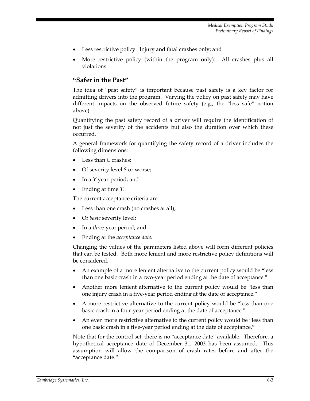- Less restrictive policy: Injury and fatal crashes only; and
- More restrictive policy (within the program only): All crashes plus all violations.

#### **"Safer in the Past"**

The idea of "past safety" is important because past safety is a key factor for admitting drivers into the program. Varying the policy on past safety may have different impacts on the observed future safety (e.g., the "less safe" notion above).

Quantifying the past safety record of a driver will require the identification of not just the severity of the accidents but also the duration over which these occurred.

A general framework for quantifying the safety record of a driver includes the following dimensions:

- Less than *C* crashes;
- Of severity level *S* or worse;
- In a *Y* year-period; and
- Ending at time *T*.

The current acceptance criteria are:

- Less than one crash (no crashes at all);
- Of *basic* severity level;
- In a *three*-year period; and
- Ending at the *acceptance date*.

Changing the values of the parameters listed above will form different policies that can be tested. Both more lenient and more restrictive policy definitions will be considered.

- An example of a more lenient alternative to the current policy would be "less than one basic crash in a two-year period ending at the date of acceptance."
- Another more lenient alternative to the current policy would be "less than one injury crash in a five-year period ending at the date of acceptance."
- A more restrictive alternative to the current policy would be "less than one basic crash in a four-year period ending at the date of acceptance."
- An even more restrictive alternative to the current policy would be "less than one basic crash in a five-year period ending at the date of acceptance."

Note that for the control set, there is no "acceptance date" available. Therefore, a hypothetical acceptance date of December 31, 2003 has been assumed. This assumption will allow the comparison of crash rates before and after the "acceptance date."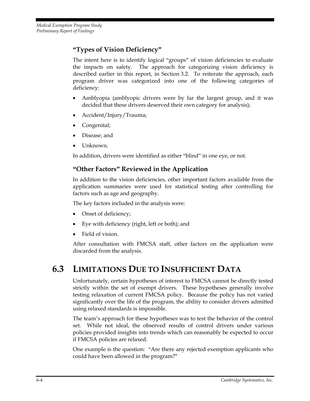## **"Types of Vision Deficiency"**

The intent here is to identify logical "groups" of vision deficiencies to evaluate the impacts on safety. The approach for categorizing vision deficiency is described earlier in this report, in Section 3.2. To reiterate the approach, each program driver was categorized into one of the following categories of deficiency:

- Amblyopia (amblyopic drivers were by far the largest group, and it was decided that these drivers deserved their own category for analysis);
- Accident/Injury/Trauma;
- Congenital;
- Disease; and
- Unknown.

In addition, drivers were identified as either "blind" in one eye, or not.

## **"Other Factors" Reviewed in the Application**

In addition to the vision deficiencies, other important factors available from the application summaries were used for statistical testing after controlling for factors such as age and geography.

The key factors included in the analysis were:

- Onset of deficiency;
- Eye with deficiency (right, left or both); and
- Field of vision.

After consultation with FMCSA staff, other factors on the application were discarded from the analysis.

# **6.3 LIMITATIONS DUE TO INSUFFICIENT DATA**

Unfortunately, certain hypotheses of interest to FMCSA cannot be directly tested strictly within the set of exempt drivers. These hypotheses generally involve testing relaxation of current FMCSA policy. Because the policy has not varied significantly over the life of the program, the ability to consider drivers admitted using relaxed standards is impossible.

The team's approach for these hypotheses was to test the behavior of the control set. While not ideal, the observed results of control drivers under various policies provided insights into trends which can reasonably be expected to occur if FMCSA policies are relaxed.

One example is the question: "Are there any rejected exemption applicants who could have been allowed in the program?"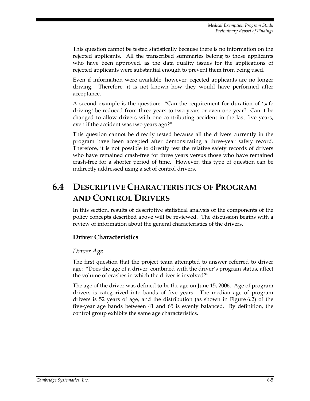This question cannot be tested statistically because there is no information on the rejected applicants. All the transcribed summaries belong to those applicants who have been approved, as the data quality issues for the applications of rejected applicants were substantial enough to prevent them from being used.

Even if information were available, however, rejected applicants are no longer driving. Therefore, it is not known how they would have performed after acceptance.

A second example is the question: "Can the requirement for duration of 'safe driving' be reduced from three years to two years or even one year? Can it be changed to allow drivers with one contributing accident in the last five years, even if the accident was two years ago?"

This question cannot be directly tested because all the drivers currently in the program have been accepted after demonstrating a three-year safety record. Therefore, it is not possible to directly test the relative safety records of drivers who have remained crash-free for three years versus those who have remained crash-free for a shorter period of time. However, this type of question can be indirectly addressed using a set of control drivers.

# **6.4 DESCRIPTIVE CHARACTERISTICS OF PROGRAM AND CONTROL DRIVERS**

In this section, results of descriptive statistical analysis of the components of the policy concepts described above will be reviewed. The discussion begins with a review of information about the general characteristics of the drivers.

## **Driver Characteristics**

#### *Driver Age*

The first question that the project team attempted to answer referred to driver age: "Does the age of a driver, combined with the driver's program status, affect the volume of crashes in which the driver is involved?"

The age of the driver was defined to be the age on June 15, 2006. Age of program drivers is categorized into bands of five years. The median age of program drivers is 52 years of age, and the distribution (as shown in Figure 6.2) of the five-year age bands between 41 and 65 is evenly balanced. By definition, the control group exhibits the same age characteristics.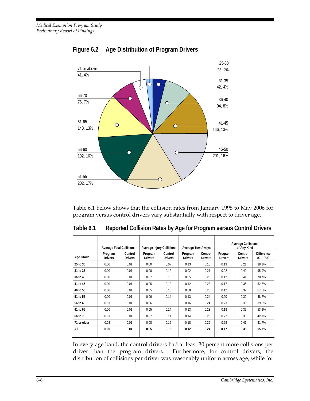

## **Figure 6.2 Age Distribution of Program Drivers**

Table 6.1 below shows that the collision rates from January 1995 to May 2006 for program versus control drivers vary substantially with respect to driver age.

|             | <b>Average Fatal Collisions</b> |                           | <b>Average Injury Collisions</b> |                           | <b>Average Tow-Aways</b>  |                           | <b>Average Collisions</b><br>of Any Kind |                           |                                  |
|-------------|---------------------------------|---------------------------|----------------------------------|---------------------------|---------------------------|---------------------------|------------------------------------------|---------------------------|----------------------------------|
| Age Group   | Program<br><b>Drivers</b>       | Control<br><b>Drivers</b> | Program<br><b>Drivers</b>        | Control<br><b>Drivers</b> | Program<br><b>Drivers</b> | Control<br><b>Drivers</b> | Program<br><b>Drivers</b>                | Control<br><b>Drivers</b> | <b>Difference</b><br>$(C - P)/C$ |
| 25 to 30    | 0.00                            | 0.01                      | 0.00                             | 0.07                      | 0.13                      | 0.13                      | 0.13                                     | 0.21                      | 38.1%                            |
| 31 to 35    | 0.00                            | 0.01                      | 0.00                             | 0.12                      | 0.02                      | 0.27                      | 0.02                                     | 0.40                      | 95.0%                            |
| 36 to 40    | 0.00                            | 0.01                      | 0.07                             | 0.15                      | 0.05                      | 0.25                      | 0.12                                     | 0.41                      | 70.7%                            |
| 41 to 45    | 0.00                            | 0.01                      | 0.05                             | 0.12                      | 0.12                      | 0.23                      | 0.17                                     | 0.36                      | 52.8%                            |
| 46 to 50    | 0.00                            | 0.01                      | 0.05                             | 0.13                      | 0.08                      | 0.23                      | 0.12                                     | 0.37                      | 67.6%                            |
| 51 to 55    | 0.00                            | 0.01                      | 0.06                             | 0.14                      | 0.13                      | 0.24                      | 0.20                                     | 0.39                      | 48.7%                            |
| 56 to 60    | 0.01                            | 0.01                      | 0.06                             | 0.13                      | 0.16                      | 0.24                      | 0.23                                     | 0.38                      | 39.5%                            |
| 61 to 65    | 0.00                            | 0.01                      | 0.05                             | 0.14                      | 0.13                      | 0.23                      | 0.18                                     | 0.39                      | 53.8%                            |
| 66 to 70    | 0.01                            | 0.01                      | 0.07                             | 0.11                      | 0.14                      | 0.26                      | 0.22                                     | 0.38                      | 42.1%                            |
| 71 or older | 0.03                            | 0.01                      | 0.08                             | 0.15                      | 0.18                      | 0.25                      | 0.28                                     | 0.41                      | 31.7%                            |
| All         | 0.00                            | 0.01                      | 0.05                             | 0.13                      | 0.12                      | 0.24                      | 0.17                                     | 0.38                      | 55.3%                            |

**Table 6.1 Reported Collision Rates by Age for Program versus Control Drivers** 

In every age band, the control drivers had at least 30 percent more collisions per driver than the program drivers. Furthermore, for control drivers, the distribution of collisions per driver was reasonably uniform across age, while for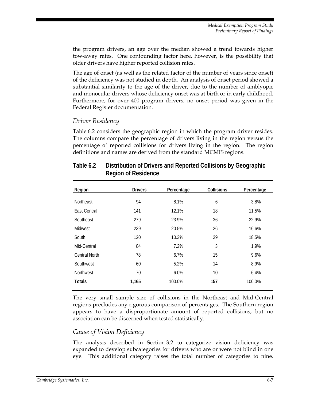the program drivers, an age over the median showed a trend towards higher tow-away rates. One confounding factor here, however, is the possibility that older drivers have higher reported collision rates.

The age of onset (as well as the related factor of the number of years since onset) of the deficiency was not studied in depth. An analysis of onset period showed a substantial similarity to the age of the driver, due to the number of amblyopic and monocular drivers whose deficiency onset was at birth or in early childhood. Furthermore, for over 400 program drivers, no onset period was given in the Federal Register documentation.

#### *Driver Residency*

Table 6.2 considers the geographic region in which the program driver resides. The columns compare the percentage of drivers living in the region versus the percentage of reported collisions for drivers living in the region. The region definitions and names are derived from the standard MCMIS regions.

| Region           | <b>Drivers</b> | Percentage | <b>Collisions</b> | Percentage |
|------------------|----------------|------------|-------------------|------------|
| <b>Northeast</b> | 94             | 8.1%       | 6                 | 3.8%       |
| East Central     | 141            | 12.1%      | 18                | 11.5%      |
| Southeast        | 279            | 23.9%      | 36                | 22.9%      |
| <b>Midwest</b>   | 239            | 20.5%      | 26                | 16.6%      |
| South            | 120            | 10.3%      | 29                | 18.5%      |
| Mid-Central      | 84             | 7.2%       | 3                 | 1.9%       |
| Central North    | 78             | 6.7%       | 15                | 9.6%       |
| Southwest        | 60             | 5.2%       | 14                | 8.9%       |
| <b>Northwest</b> | 70             | 6.0%       | 10                | 6.4%       |
| <b>Totals</b>    | 1,165          | 100.0%     | 157               | 100.0%     |

#### **Table 6.2 Distribution of Drivers and Reported Collisions by Geographic Region of Residence**

The very small sample size of collisions in the Northeast and Mid-Central regions precludes any rigorous comparison of percentages. The Southern region appears to have a disproportionate amount of reported collisions, but no association can be discerned when tested statistically.

#### *Cause of Vision Deficiency*

The analysis described in Section 3.2 to categorize vision deficiency was expanded to develop subcategories for drivers who are or were not blind in one eye. This additional category raises the total number of categories to nine.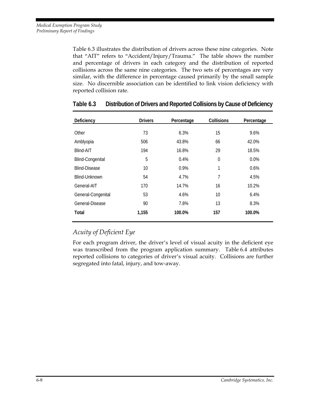Table 6.3 illustrates the distribution of drivers across these nine categories. Note that "AIT" refers to "Accident/Injury/Trauma." The table shows the number and percentage of drivers in each category and the distribution of reported collisions across the same nine categories. The two sets of percentages are very similar, with the difference in percentage caused primarily by the small sample size. No discernible association can be identified to link vision deficiency with reported collision rate.

| Deficiency              | <b>Drivers</b> | Percentage | <b>Collisions</b> | Percentage |
|-------------------------|----------------|------------|-------------------|------------|
|                         |                |            |                   |            |
| Other                   | 73             | 6.3%       | 15                | 9.6%       |
| Amblyopia               | 506            | 43.8%      | 66                | 42.0%      |
| Blind-AIT               | 194            | 16.8%      | 29                | 18.5%      |
| <b>Blind-Congenital</b> | 5              | 0.4%       | $\mathbf 0$       | 0.0%       |
| <b>Blind-Disease</b>    | 10             | 0.9%       | 1                 | 0.6%       |
| Blind-Unknown           | 54             | 4.7%       | 7                 | 4.5%       |
| General-AIT             | 170            | 14.7%      | 16                | 10.2%      |
| General-Congenital      | 53             | 4.6%       | 10                | 6.4%       |
| General-Disease         | 90             | 7.8%       | 13                | 8.3%       |
| Total                   | 1,155          | 100.0%     | 157               | 100.0%     |

#### **Table 6.3 Distribution of Drivers and Reported Collisions by Cause of Deficiency**

#### *Acuity of Deficient Eye*

For each program driver, the driver's level of visual acuity in the deficient eye was transcribed from the program application summary. Table 6.4 attributes reported collisions to categories of driver's visual acuity. Collisions are further segregated into fatal, injury, and tow-away.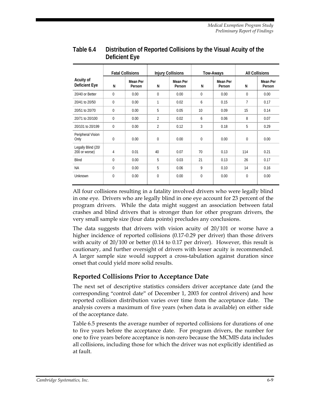|                                     |                | <b>Fatal Collisions</b> |                | <b>Injury Collisions</b> |             | Tow-Aways          |          | <b>All Collisions</b> |
|-------------------------------------|----------------|-------------------------|----------------|--------------------------|-------------|--------------------|----------|-----------------------|
| Acuity of<br>Deficient Eye          | N              | Mean Per<br>Person      | N              | Mean Per<br>Person       | N           | Mean Per<br>Person | N        | Mean Per<br>Person    |
| 20/40 or Better                     | 0              | 0.00                    | 0              | 0.00                     | $\Omega$    | 0.00               | $\Omega$ | 0.00                  |
| 20/41 to 20/50                      | 0              | 0.00                    | 1              | 0.02                     | 6           | 0.15               | 7        | 0.17                  |
| 20/51 to 20/70                      | 0              | 0.00                    | 5              | 0.05                     | 10          | 0.09               | 15       | 0.14                  |
| 20/71 to 20/100                     | 0              | 0.00                    | $\overline{2}$ | 0.02                     | 6           | 0.06               | 8        | 0.07                  |
| 20/101 to 20/199                    | $\overline{0}$ | 0.00                    | $\overline{2}$ | 0.12                     | 3           | 0.18               | 5        | 0.29                  |
| Peripheral Vision<br>Only           | 0              | 0.00                    | 0              | 0.00                     | $\mathbf 0$ | 0.00               | $\Omega$ | 0.00                  |
| Legally Blind (20/<br>200 or worse) | 4              | 0.01                    | 40             | 0.07                     | 70          | 0.13               | 114      | 0.21                  |
| <b>Blind</b>                        | $\Omega$       | 0.00                    | 5              | 0.03                     | 21          | 0.13               | 26       | 0.17                  |
| <b>NA</b>                           | 0              | 0.00                    | 5              | 0.06                     | 9           | 0.10               | 14       | 0.16                  |
| Unknown                             | 0              | 0.00                    | $\Omega$       | 0.00                     | $\Omega$    | 0.00               | $\Omega$ | 0.00                  |

#### **Table 6.4 Distribution of Reported Collisions by the Visual Acuity of the Deficient Eye**

All four collisions resulting in a fatality involved drivers who were legally blind in one eye. Drivers who are legally blind in one eye account for 23 percent of the program drivers. While the data might suggest an association between fatal crashes and blind drivers that is stronger than for other program drivers, the very small sample size (four data points) precludes any conclusions.

The data suggests that drivers with vision acuity of 20/101 or worse have a higher incidence of reported collisions (0.17-0.29 per driver) than those drivers with acuity of 20/100 or better (0.14 to 0.17 per driver). However, this result is cautionary, and further oversight of drivers with lesser acuity is recommended. A larger sample size would support a cross-tabulation against duration since onset that could yield more solid results.

#### **Reported Collisions Prior to Acceptance Date**

The next set of descriptive statistics considers driver acceptance date (and the corresponding "control date" of December 1, 2003 for control drivers) and how reported collision distribution varies over time from the acceptance date. The analysis covers a maximum of five years (when data is available) on either side of the acceptance date.

Table 6.5 presents the average number of reported collisions for durations of one to five years before the acceptance date. For program drivers, the number for one to five years before acceptance is non-zero because the MCMIS data includes all collisions, including those for which the driver was not explicitly identified as at fault.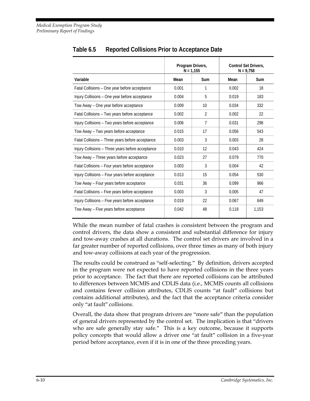|                                                   |       | Program Drivers,<br>$N = 1.155$ |       | <b>Control Set Drivers,</b><br>$N = 9.758$ |
|---------------------------------------------------|-------|---------------------------------|-------|--------------------------------------------|
| Variable                                          | Mean  | <b>Sum</b>                      | Mean  | Sum                                        |
| Fatal Collisions - One year before acceptance     | 0.001 | 1                               | 0.002 | 18                                         |
| Injury Collisions - One year before acceptance    | 0.004 | 5                               | 0.019 | 183                                        |
| Tow Away - One year before acceptance             | 0.009 | 10                              | 0.034 | 332                                        |
| Fatal Collisions - Two years before acceptance    | 0.002 | $\overline{2}$                  | 0.002 | 22                                         |
| Injury Collisions - Two years before acceptance   | 0.006 | 7                               | 0.031 | 298                                        |
| Tow Away - Two years before acceptance            | 0.015 | 17                              | 0.056 | 543                                        |
| Fatal Collisions - Three years before acceptance  | 0.003 | 3                               | 0.003 | 28                                         |
| Injury Collisions - Three years before acceptance | 0.010 | 12                              | 0.043 | 424                                        |
| Tow Away - Three years before acceptance          | 0.023 | 27                              | 0.079 | 770                                        |
| Fatal Collisions - Four years before acceptance   | 0.003 | 3                               | 0.004 | 42                                         |
| Injury Collisions - Four years before acceptance  | 0.013 | 15                              | 0.054 | 530                                        |
| Tow Away - Four years before acceptance           | 0.031 | 36                              | 0.099 | 966                                        |
| Fatal Collisions - Five years before acceptance   | 0.003 | $\overline{3}$                  | 0.005 | 47                                         |
| Injury Collisions – Five years before acceptance  | 0.019 | 22                              | 0.067 | 649                                        |
| Tow Away – Five years before acceptance           | 0.042 | 48                              | 0.118 | 1.153                                      |

**Table 6.5 Reported Collisions Prior to Acceptance Date** 

While the mean number of fatal crashes is consistent between the program and control drivers, the data show a consistent and substantial difference for injury and tow-away crashes at all durations. The control set drivers are involved in a far greater number of reported collisions, over three times as many of both injury and tow-away collisions at each year of the progression.

The results could be construed as "self-selecting." By definition, drivers accepted in the program were not expected to have reported collisions in the three years prior to acceptance. The fact that there are reported collisions can be attributed to differences between MCMIS and CDLIS data (i.e., MCMIS counts all collisions and contains fewer collision attributes, CDLIS counts "at fault" collisions but contains additional attributes), and the fact that the acceptance criteria consider only "at fault" collisions.

Overall, the data show that program drivers are "more safe" than the population of general drivers represented by the control set. The implication is that "drivers who are safe generally stay safe." This is a key outcome, because it supports policy concepts that would allow a driver one "at fault" collision in a five-year period before acceptance, even if it is in one of the three preceding years.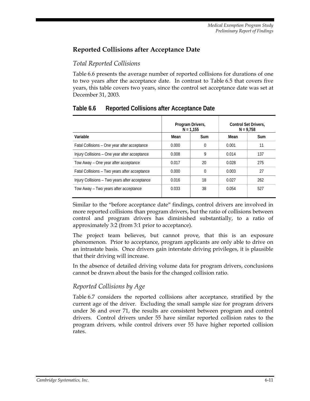#### **Reported Collisions after Acceptance Date**

#### *Total Reported Collisions*

Table 6.6 presents the average number of reported collisions for durations of one to two years after the acceptance date. In contrast to Table 6.5 that covers five years, this table covers two years, since the control set acceptance date was set at December 31, 2003.

|                                                |       | Program Drivers,<br>$N = 1.155$ | <b>Control Set Drivers.</b><br>$N = 9.758$ |     |
|------------------------------------------------|-------|---------------------------------|--------------------------------------------|-----|
| Variable                                       | Mean  | Sum                             | Mean                                       | Sum |
| Fatal Collisions - One year after acceptance   | 0.000 | $\Omega$                        | 0.001                                      | 11  |
| Injury Collisions - One year after acceptance  | 0.008 | 9                               | 0.014                                      | 137 |
| Tow Away - One year after acceptance           | 0.017 | 20                              | 0.028                                      | 275 |
| Fatal Collisions – Two years after acceptance  | 0.000 | $\Omega$                        | 0.003                                      | 27  |
| Injury Collisions - Two years after acceptance | 0.016 | 18                              | 0.027                                      | 262 |
| Tow Away - Two years after acceptance          | 0.033 | 38                              | 0.054                                      | 527 |

#### **Table 6.6 Reported Collisions after Acceptance Date**

Similar to the "before acceptance date" findings, control drivers are involved in more reported collisions than program drivers, but the ratio of collisions between control and program drivers has diminished substantially, to a ratio of approximately 3:2 (from 3:1 prior to acceptance).

The project team believes, but cannot prove, that this is an exposure phenomenon. Prior to acceptance, program applicants are only able to drive on an intrastate basis. Once drivers gain interstate driving privileges, it is plausible that their driving will increase.

In the absence of detailed driving volume data for program drivers, conclusions cannot be drawn about the basis for the changed collision ratio.

#### *Reported Collisions by Age*

Table 6.7 considers the reported collisions after acceptance, stratified by the current age of the driver. Excluding the small sample size for program drivers under 36 and over 71, the results are consistent between program and control drivers. Control drivers under 55 have similar reported collision rates to the program drivers, while control drivers over 55 have higher reported collision rates.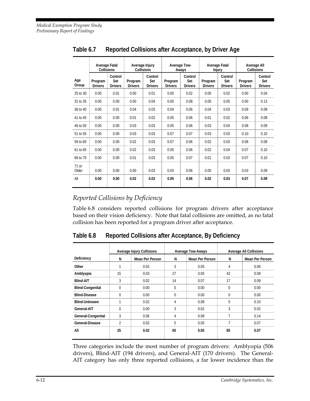|                  | Average Fatal<br><b>Collisions</b> |                                  | Average Injury            | <b>Collisions</b>                |                           | <b>Average Tow-</b><br>Aways     | Average Fatal<br><b>Injury</b> |                                  | Average All<br>Collisions |                                  |
|------------------|------------------------------------|----------------------------------|---------------------------|----------------------------------|---------------------------|----------------------------------|--------------------------------|----------------------------------|---------------------------|----------------------------------|
| Age<br>Group     | Program<br><b>Drivers</b>          | Control<br>Set<br><b>Drivers</b> | Program<br><b>Drivers</b> | Control<br>Set<br><b>Drivers</b> | Program<br><b>Drivers</b> | Control<br>Set<br><b>Drivers</b> | Program<br><b>Drivers</b>      | Control<br>Set<br><b>Drivers</b> | Program<br><b>Drivers</b> | Control<br>Set<br><b>Drivers</b> |
| 25 to 30         | 0.00                               | 0.01                             | 0.00                      | 0.01                             | 0.00                      | 0.02                             | 0.00                           | 0.02                             | 0.00                      | 0.04                             |
| 31 to 35         | 0.00                               | 0.00                             | 0.00                      | 0.04                             | 0.00                      | 0.08                             | 0.00                           | 0.05                             | 0.00                      | 0.13                             |
| 36 to 40         | 0.00                               | 0.01                             | 0.04                      | 0.03                             | 0.04                      | 0.06                             | 0.04                           | 0.03                             | 0.09                      | 0.09                             |
| 41 to 45         | 0.00                               | 0.00                             | 0.01                      | 0.02                             | 0.05                      | 0.06                             | 0.01                           | 0.02                             | 0.06                      | 0.08                             |
| 46 to 50         | 0.00                               | 0.00                             | 0.03                      | 0.03                             | 0.05                      | 0.06                             | 0.03                           | 0.04                             | 0.08                      | 0.09                             |
| 51 to 55         | 0.00                               | 0.00                             | 0.03                      | 0.03                             | 0.07                      | 0.07                             | 0.03                           | 0.03                             | 0.10                      | 0.10                             |
| 56 to 60         | 0.00                               | 0.00                             | 0.02                      | 0.03                             | 0.07                      | 0.06                             | 0.02                           | 0.03                             | 0.08                      | 0.08                             |
| 61 to 65         | 0.00                               | 0.00                             | 0.02                      | 0.03                             | 0.05                      | 0.06                             | 0.02                           | 0.04                             | 0.07                      | 0.10                             |
| 66 to 70         | 0.00                               | 0.00                             | 0.01                      | 0.03                             | 0.05                      | 0.07                             | 0.01                           | 0.03                             | 0.07                      | 0.10                             |
| $71$ or<br>Older | 0.00                               | 0.00                             | 0.00                      | 0.03                             | 0.03                      | 0.06                             | 0.00                           | 0.03                             | 0.03                      | 0.09                             |
| All              | 0.00                               | 0.00                             | 0.02                      | 0.03                             | 0.05                      | 0.06                             | 0.02                           | 0.03                             | 0.07                      | 0.09                             |

**Table 6.7 Reported Collisions after Acceptance, by Driver Age** 

#### *Reported Collisions by Deficiency*

Table 6.8 considers reported collisions for program drivers after acceptance based on their vision deficiency. Note that fatal collisions are omitted, as no fatal collision has been reported for a program driver after acceptance.

**Table 6.8 Reported Collisions after Acceptance, By Deficiency** 

|                         | <b>Average Injury Collisions</b> |                        |          | <b>Average Tow-Aways</b> | <b>Average All Collisions</b> |                        |
|-------------------------|----------------------------------|------------------------|----------|--------------------------|-------------------------------|------------------------|
| Deficiency              | N                                | <b>Mean Per Person</b> | N        | Mean Per Person          | N                             | <b>Mean Per Person</b> |
| Other                   |                                  | 0.02                   | 3        | 0.05                     | 4                             | 0.06                   |
| Amblyopia               | 15                               | 0.03                   | 27       | 0.05                     | 42                            | 0.08                   |
| <b>Blind-AIT</b>        | 3                                | 0.02                   | 14       | 0.07                     | 17                            | 0.09                   |
| <b>Blind-Congenital</b> | $\Omega$                         | 0.00                   | $\Omega$ | 0.00                     | $\mathbf{0}$                  | 0.00                   |
| <b>Blind-Disease</b>    | $\theta$                         | 0.00                   | $\Omega$ | 0.00                     | $\mathbf{0}$                  | 0.00                   |
| Blind-Unknown           | 4                                | 0.02                   | 4        | 0.08                     | 5                             | 0.10                   |
| General-AIT             | $\Omega$                         | 0.00                   | 3        | 0.02                     | 3                             | 0.02                   |
| General-Congenital      | 3                                | 0.06                   | 4        | 0.08                     | 7                             | 0.14                   |
| General-Disease         | $\overline{2}$                   | 0.02                   | 5        | 0.05                     | 7                             | 0.07                   |
| All                     | 25                               | 0.02                   | 60       | 0.05                     | 85                            | 0.07                   |
|                         |                                  |                        |          |                          |                               |                        |

Three categories include the most number of program drivers: Amblyopia (506 drivers), Blind-AIT (194 drivers), and General-AIT (170 drivers). The General-AIT category has only three reported collisions, a far lower incidence than the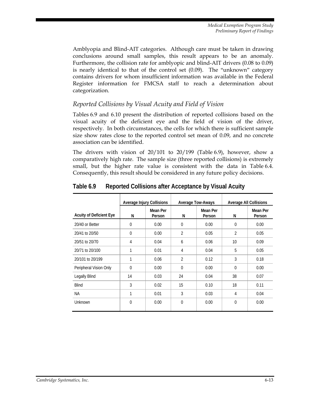Amblyopia and Blind-AIT categories. Although care must be taken in drawing conclusions around small samples, this result appears to be an anomaly. Furthermore, the collision rate for amblyopic and blind-AIT drivers (0.08 to 0.09) is nearly identical to that of the control set (0.09). The "unknown" category contains drivers for whom insufficient information was available in the Federal Register information for FMCSA staff to reach a determination about categorization.

#### *Reported Collisions by Visual Acuity and Field of Vision*

Tables 6.9 and 6.10 present the distribution of reported collisions based on the visual acuity of the deficient eye and the field of vision of the driver, respectively. In both circumstances, the cells for which there is sufficient sample size show rates close to the reported control set mean of 0.09, and no concrete association can be identified.

The drivers with vision of 20/101 to 20/199 (Table 6.9), however, show a comparatively high rate. The sample size (three reported collisions) is extremely small, but the higher rate value is consistent with the data in Table 6.4. Consequently, this result should be considered in any future policy decisions.

|                                | Average Injury Collisions |                    | <b>Average Tow-Aways</b> |                    |                | <b>Average All Collisions</b> |
|--------------------------------|---------------------------|--------------------|--------------------------|--------------------|----------------|-------------------------------|
| <b>Acuity of Deficient Eye</b> | N                         | Mean Per<br>Person | N                        | Mean Per<br>Person | N              | Mean Per<br>Person            |
| 20/40 or Better                | 0                         | 0.00               | $\theta$                 | 0.00               | $\theta$       | 0.00                          |
| 20/41 to 20/50                 | 0                         | 0.00               | $\overline{2}$           | 0.05               | $\overline{2}$ | 0.05                          |
| 20/51 to 20/70                 | 4                         | 0.04               | 6                        | 0.06               | 10             | 0.09                          |
| 20/71 to 20/100                | 1                         | 0.01               | 4                        | 0.04               | 5              | 0.05                          |
| 20/101 to 20/199               | 1                         | 0.06               | $\overline{2}$           | 0.12               | 3              | 0.18                          |
| Peripheral Vision Only         | 0                         | 0.00               | $\theta$                 | 0.00               | $\theta$       | 0.00                          |
| <b>Legally Blind</b>           | 14                        | 0.03               | 24                       | 0.04               | 38             | 0.07                          |
| <b>Blind</b>                   | 3                         | 0.02               | 15                       | 0.10               | 18             | 0.11                          |
| <b>NA</b>                      | 1                         | 0.01               | 3                        | 0.03               | 4              | 0.04                          |
| Unknown                        | 0                         | 0.00               | $\theta$                 | 0.00               | $\Omega$       | 0.00                          |

**Table 6.9 Reported Collisions after Acceptance by Visual Acuity**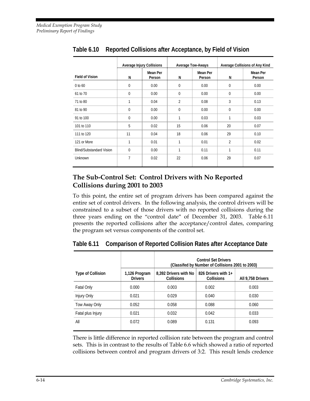|                                 |              | <b>Average Injury Collisions</b> | <b>Average Tow-Aways</b> |                           | Average Collisions of Any Kind |                    |
|---------------------------------|--------------|----------------------------------|--------------------------|---------------------------|--------------------------------|--------------------|
| <b>Field of Vision</b>          | N            | Mean Per<br>Person               | N                        | <b>Mean Per</b><br>Person | N                              | Mean Per<br>Person |
| 0 to 60                         | $\mathbf{0}$ | 0.00                             | $\mathbf 0$              | 0.00                      | 0                              | 0.00               |
| 61 to 70                        | $\mathbf{0}$ | 0.00                             | $\Omega$                 | 0.00                      | $\mathbf 0$                    | 0.00               |
| 71 to 80                        | 1            | 0.04                             | 2                        | 0.08                      | 3                              | 0.13               |
| 81 to 90                        | $\mathbf{0}$ | 0.00                             | 0                        | 0.00                      | $\mathbf 0$                    | 0.00               |
| 91 to 100                       | $\Omega$     | 0.00                             | 1                        | 0.03                      | 1                              | 0.03               |
| 101 to 110                      | 5            | 0.02                             | 15                       | 0.06                      | 20                             | 0.07               |
| 111 to 120                      | 11           | 0.04                             | 18                       | 0.06                      | 29                             | 0.10               |
| 121 or More                     | 1            | 0.01                             | 1                        | 0.01                      | $\overline{2}$                 | 0.02               |
| <b>Blind/Substandard Vision</b> | $\mathbf 0$  | 0.00                             | 1                        | 0.11                      | 1                              | 0.11               |
| Unknown                         | 7            | 0.02                             | 22                       | 0.06                      | 29                             | 0.07               |

**Table 6.10 Reported Collisions after Acceptance, by Field of Vision** 

#### **The Sub-Control Set: Control Drivers with No Reported Collisions during 2001 to 2003**

To this point, the entire set of program drivers has been compared against the entire set of control drivers. In the following analysis, the control drivers will be constrained to a subset of those drivers with no reported collisions during the three years ending on the "control date" of December 31, 2003. Table 6.11 presents the reported collisions after the acceptance/control dates, comparing the program set versus components of the control set.

|                          |                                 | <b>Control Set Drivers</b><br>(Classifed by Number of Collisions 2001 to 2003) |                                          |                   |  |  |
|--------------------------|---------------------------------|--------------------------------------------------------------------------------|------------------------------------------|-------------------|--|--|
| <b>Type of Collision</b> | 1,126 Program<br><b>Drivers</b> | 8,392 Drivers with No<br>Collisions                                            | 826 Drivers with 1+<br><b>Collisions</b> | All 9.758 Drivers |  |  |
| <b>Fatal Only</b>        | 0.000                           | 0.003                                                                          | 0.002                                    | 0.003             |  |  |
| Injury Only              | 0.021                           | 0.029                                                                          | 0.040                                    | 0.030             |  |  |
| Tow Away Only            | 0.052                           | 0.058                                                                          | 0.088                                    | 0.060             |  |  |
| Fatal plus Injury        | 0.021                           | 0.032                                                                          | 0.042                                    | 0.033             |  |  |
| All                      | 0.072                           | 0.089                                                                          | 0.131                                    | 0.093             |  |  |

**Table 6.11 Comparison of Reported Collision Rates after Acceptance Date** 

There is little difference in reported collision rate between the program and control sets. This is in contrast to the results of Table 6.6 which showed a ratio of reported collisions between control and program drivers of 3:2. This result lends credence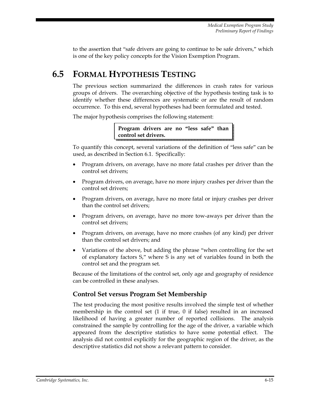to the assertion that "safe drivers are going to continue to be safe drivers," which is one of the key policy concepts for the Vision Exemption Program.

## **6.5 FORMAL HYPOTHESIS TESTING**

The previous section summarized the differences in crash rates for various groups of drivers. The overarching objective of the hypothesis testing task is to identify whether these differences are systematic or are the result of random occurrence. To this end, several hypotheses had been formulated and tested.

The major hypothesis comprises the following statement:

**Program drivers are no "less safe" than control set drivers.**

To quantify this concept, several variations of the definition of "less safe" can be used, as described in Section 6.1. Specifically:

- Program drivers, on average, have no more fatal crashes per driver than the control set drivers;
- Program drivers, on average, have no more injury crashes per driver than the control set drivers;
- Program drivers, on average, have no more fatal or injury crashes per driver than the control set drivers;
- Program drivers, on average, have no more tow-aways per driver than the control set drivers;
- Program drivers, on average, have no more crashes (of any kind) per driver than the control set drivers; and
- Variations of the above, but adding the phrase "when controlling for the set of explanatory factors S," where S is any set of variables found in both the control set and the program set.

Because of the limitations of the control set, only age and geography of residence can be controlled in these analyses.

#### **Control Set versus Program Set Membership**

The test producing the most positive results involved the simple test of whether membership in the control set (1 if true, 0 if false) resulted in an increased likelihood of having a greater number of reported collisions. The analysis constrained the sample by controlling for the age of the driver, a variable which appeared from the descriptive statistics to have some potential effect. The analysis did not control explicitly for the geographic region of the driver, as the descriptive statistics did not show a relevant pattern to consider.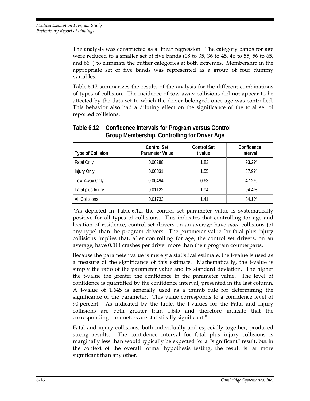The analysis was constructed as a linear regression. The category bands for age were reduced to a smaller set of five bands (18 to 35, 36 to 45, 46 to 55, 56 to 65, and 66+) to eliminate the outlier categories at both extremes. Membership in the appropriate set of five bands was represented as a group of four dummy variables.

Table 6.12 summarizes the results of the analysis for the different combinations of types of collision. The incidence of tow-away collisions did not appear to be affected by the data set to which the driver belonged, once age was controlled. This behavior also had a diluting effect on the significance of the total set of reported collisions.

| <b>Type of Collision</b> | <b>Control Set</b><br><b>Parameter Value</b> | <b>Control Set</b><br>t value | Confidence<br>Interval |
|--------------------------|----------------------------------------------|-------------------------------|------------------------|
| Fatal Only               | 0.00288                                      | 1.83                          | 93.2%                  |
| Injury Only              | 0.00831                                      | 1.55                          | 87.9%                  |
| Tow-Away Only            | 0.00494                                      | 0.63                          | 47.2%                  |
| Fatal plus Injury        | 0.01122                                      | 1.94                          | 94.4%                  |
| All Collisions           | 0.01732                                      | 1.41                          | 84.1%                  |

#### **Table 6.12 Confidence Intervals for Program versus Control Group Membership, Controlling for Driver Age**

"As depicted in Table 6.12, the control set parameter value is systematically positive for all types of collisions. This indicates that controlling for age and location of residence, control set drivers on an average have *more* collisions (of any type) than the program drivers. The parameter value for fatal plus injury collisions implies that, after controlling for age, the control set drivers, on an average, have 0.011 crashes per driver more than their program counterparts.

Because the parameter value is merely a statistical estimate, the t-value is used as a measure of the significance of this estimate. Mathematically, the t-value is simply the ratio of the parameter value and its standard deviation. The higher the t-value the greater the confidence in the parameter value. The level of confidence is quantified by the confidence interval, presented in the last column. A t-value of 1.645 is generally used as a thumb rule for determining the significance of the parameter. This value corresponds to a confidence level of 90 percent. As indicated by the table, the t-values for the Fatal and Injury collisions are both greater than 1.645 and therefore indicate that the corresponding parameters are statistically significant."

Fatal and injury collisions, both individually and especially together, produced strong results. The confidence interval for fatal plus injury collisions is marginally less than would typically be expected for a "significant" result, but in the context of the overall formal hypothesis testing, the result is far more significant than any other.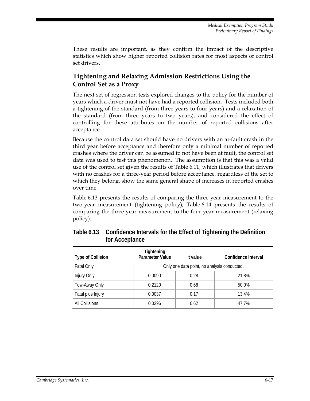These results are important, as they confirm the impact of the descriptive statistics which show higher reported collision rates for most aspects of control set drivers.

#### **Tightening and Relaxing Admission Restrictions Using the Control Set as a Proxy**

The next set of regression tests explored changes to the policy for the number of years which a driver must not have had a reported collision. Tests included both a tightening of the standard (from three years to four years) and a relaxation of the standard (from three years to two years), and considered the effect of controlling for these attributes on the number of reported collisions after acceptance.

Because the control data set should have no drivers with an at-fault crash in the third year before acceptance and therefore only a minimal number of reported crashes where the driver can be assumed to not have been at fault, the control set data was used to test this phenomenon. The assumption is that this was a valid use of the control set given the results of Table 6.11, which illustrates that drivers with no crashes for a three-year period before acceptance, regardless of the set to which they belong, show the same general shape of increases in reported crashes over time.

Table 6.13 presents the results of comparing the three-year measurement to the two-year measurement (tightening policy); Table 6.14 presents the results of comparing the three-year measurement to the four-year measurement (relaxing policy).

| <b>Type of Collision</b> | <b>Tightening</b><br>Parameter Value | t value                                     | Confidence Interval |  |  |  |
|--------------------------|--------------------------------------|---------------------------------------------|---------------------|--|--|--|
| <b>Fatal Only</b>        |                                      | Only one data point, no analysis conducted. |                     |  |  |  |
| Injury Only              | $-0.0090$                            | $-0.28$                                     | 21.8%               |  |  |  |
| Tow-Away Only            | 0.2120                               | 0.68                                        | 50.0%               |  |  |  |
| Fatal plus Injury        | 0.0037                               | 0.17                                        | 13.4%               |  |  |  |
| All Collisions           | 0.0296                               | 0.62                                        | 47.7%               |  |  |  |

**Table 6.13 Confidence Intervals for the Effect of Tightening the Definition for Acceptance**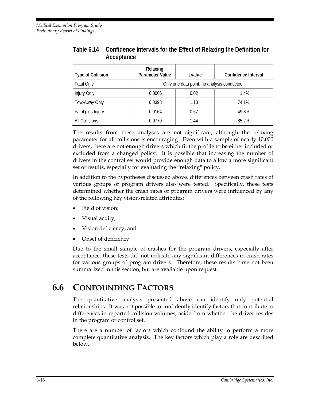| <b>Type of Collision</b> | Relaxing<br><b>Parameter Value</b>          | t value | Confidence Interval |
|--------------------------|---------------------------------------------|---------|---------------------|
| <b>Fatal Only</b>        | Only one data point, no analysis conducted. |         |                     |
| Injury Only              | 0.0006                                      | 0.02    | 1.4%                |
| Tow-Away Only            | 0.0398                                      | 1.13    | 74.1%               |
| Fatal plus Injury        | 0.0164                                      | 0.67    | 49.8%               |
| All Collisions           | 0.0770                                      | 1.44    | 85.2%               |

#### **Table 6.14 Confidence Intervals for the Effect of Relaxing the Definition for Acceptance**

The results from these analyses are not significant, although the relaxing parameter for all collisions is encouraging. Even with a sample of nearly 10,000 drivers, there are not enough drivers which fit the profile to be either included or excluded from a changed policy. It is possible that increasing the number of drivers in the control set would provide enough data to allow a more significant set of results, especially for evaluating the "relaxing" policy.

In addition to the hypotheses discussed above, differences between crash rates of various groups of program drivers also were tested. Specifically, these tests determined whether the crash rates of program drivers were influenced by any of the following key vision-related attributes:

- Field of vision;
- Visual acuity;
- Vision deficiency; and
- Onset of deficiency

Due to the small sample of crashes for the program drivers, especially after acceptance, these tests did not indicate any significant differences in crash rates for various groups of program drivers. Therefore, these results have not been summarized in this section, but are available upon request.

### **6.6 CONFOUNDING FACTORS**

The quantitative analysis presented above can identify only potential relationships. It was not possible to confidently identify factors that contribute to differences in reported collision volumes, aside from whether the driver resides in the program or control set.

There are a number of factors which confound the ability to perform a more complete quantitative analysis. The key factors which play a role are described below.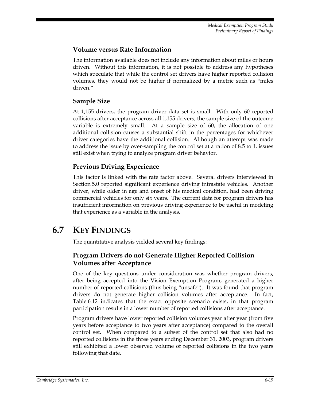#### **Volume versus Rate Information**

The information available does not include any information about miles or hours driven. Without this information, it is not possible to address any hypotheses which speculate that while the control set drivers have higher reported collision volumes, they would not be higher if normalized by a metric such as "miles driven."

#### **Sample Size**

At 1,155 drivers, the program driver data set is small. With only 60 reported collisions after acceptance across all 1,155 drivers, the sample size of the outcome variable is extremely small. At a sample size of 60, the allocation of one additional collision causes a substantial shift in the percentages for whichever driver categories have the additional collision. Although an attempt was made to address the issue by over-sampling the control set at a ration of 8.5 to 1, issues still exist when trying to analyze program driver behavior.

#### **Previous Driving Experience**

This factor is linked with the rate factor above. Several drivers interviewed in Section 5.0 reported significant experience driving intrastate vehicles. Another driver, while older in age and onset of his medical condition, had been driving commercial vehicles for only six years. The current data for program drivers has insufficient information on previous driving experience to be useful in modeling that experience as a variable in the analysis.

## **6.7 KEY FINDINGS**

The quantitative analysis yielded several key findings:

#### **Program Drivers do not Generate Higher Reported Collision Volumes after Acceptance**

One of the key questions under consideration was whether program drivers, after being accepted into the Vision Exemption Program, generated a higher number of reported collisions (thus being "unsafe"). It was found that program drivers do not generate higher collision volumes after acceptance. In fact, Table 6.12 indicates that the exact opposite scenario exists, in that program participation results in a lower number of reported collisions after acceptance.

Program drivers have lower reported collision volumes year after year (from five years before acceptance to two years after acceptance) compared to the overall control set. When compared to a subset of the control set that also had no reported collisions in the three years ending December 31, 2003, program drivers still exhibited a lower observed volume of reported collisions in the two years following that date.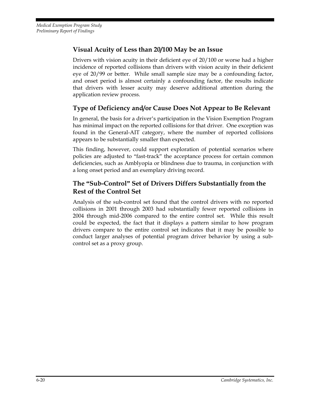#### **Visual Acuity of Less than 20/100 May be an Issue**

Drivers with vision acuity in their deficient eye of 20/100 or worse had a higher incidence of reported collisions than drivers with vision acuity in their deficient eye of 20/99 or better. While small sample size may be a confounding factor, and onset period is almost certainly a confounding factor, the results indicate that drivers with lesser acuity may deserve additional attention during the application review process.

#### **Type of Deficiency and/or Cause Does Not Appear to Be Relevant**

In general, the basis for a driver's participation in the Vision Exemption Program has minimal impact on the reported collisions for that driver. One exception was found in the General-AIT category, where the number of reported collisions appears to be substantially smaller than expected.

This finding, however, could support exploration of potential scenarios where policies are adjusted to "fast-track" the acceptance process for certain common deficiencies, such as Amblyopia or blindness due to trauma, in conjunction with a long onset period and an exemplary driving record.

#### **The "Sub-Control" Set of Drivers Differs Substantially from the Rest of the Control Set**

Analysis of the sub-control set found that the control drivers with no reported collisions in 2001 through 2003 had substantially fewer reported collisions in 2004 through mid-2006 compared to the entire control set. While this result could be expected, the fact that it displays a pattern similar to how program drivers compare to the entire control set indicates that it may be possible to conduct larger analyses of potential program driver behavior by using a subcontrol set as a proxy group.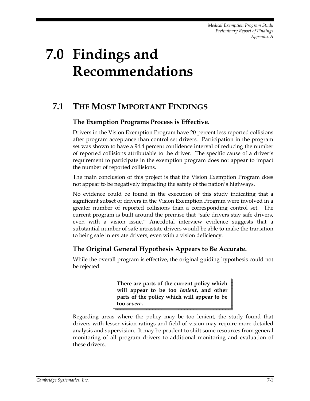# **7.0 Findings and Recommendations**

## **7.1 THE MOST IMPORTANT FINDINGS**

#### **The Exemption Programs Process is Effective.**

Drivers in the Vision Exemption Program have 20 percent less reported collisions after program acceptance than control set drivers. Participation in the program set was shown to have a 94.4 percent confidence interval of reducing the number of reported collisions attributable to the driver. The specific cause of a driver's requirement to participate in the exemption program does not appear to impact the number of reported collisions.

The main conclusion of this project is that the Vision Exemption Program does not appear to be negatively impacting the safety of the nation's highways.

No evidence could be found in the execution of this study indicating that a significant subset of drivers in the Vision Exemption Program were involved in a greater number of reported collisions than a corresponding control set. The current program is built around the premise that "safe drivers stay safe drivers, even with a vision issue." Anecdotal interview evidence suggests that a substantial number of safe intrastate drivers would be able to make the transition to being safe interstate drivers, even with a vision deficiency.

#### **The Original General Hypothesis Appears to Be Accurate.**

While the overall program is effective, the original guiding hypothesis could not be rejected:

> **There are parts of the current policy which will appear to be too** *lenient***, and other parts of the policy which will appear to be too** *severe***.**

Regarding areas where the policy may be too lenient, the study found that drivers with lesser vision ratings and field of vision may require more detailed analysis and supervision. It may be prudent to shift some resources from general monitoring of all program drivers to additional monitoring and evaluation of these drivers.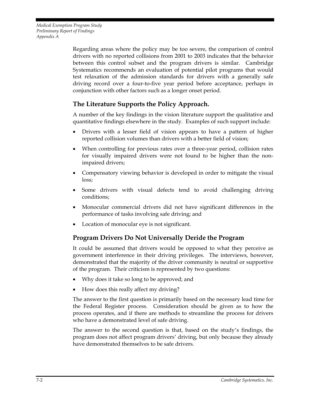> Regarding areas where the policy may be too severe, the comparison of control drivers with no reported collisions from 2001 to 2003 indicates that the behavior between this control subset and the program drivers is similar. Cambridge Systematics recommends an evaluation of potential pilot programs that would test relaxation of the admission standards for drivers with a generally safe driving record over a four-to-five year period before acceptance, perhaps in conjunction with other factors such as a longer onset period.

#### **The Literature Supports the Policy Approach.**

A number of the key findings in the vision literature support the qualitative and quantitative findings elsewhere in the study. Examples of such support include:

- Drivers with a lesser field of vision appears to have a pattern of higher reported collision volumes than drivers with a better field of vision;
- When controlling for previous rates over a three-year period, collision rates for visually impaired drivers were not found to be higher than the nonimpaired drivers;
- Compensatory viewing behavior is developed in order to mitigate the visual loss;
- Some drivers with visual defects tend to avoid challenging driving conditions;
- Monocular commercial drivers did not have significant differences in the performance of tasks involving safe driving; and
- Location of monocular eye is not significant.

#### **Program Drivers Do Not Universally Deride the Program**

It could be assumed that drivers would be opposed to what they perceive as government interference in their driving privileges. The interviews, however, demonstrated that the majority of the driver community is neutral or supportive of the program. Their criticism is represented by two questions:

- Why does it take so long to be approved; and
- How does this really affect my driving?

The answer to the first question is primarily based on the necessary lead time for the Federal Register process. Consideration should be given as to how the process operates, and if there are methods to streamline the process for drivers who have a demonstrated level of safe driving.

The answer to the second question is that, based on the study's findings, the program does not affect program drivers' driving, but only because they already have demonstrated themselves to be safe drivers.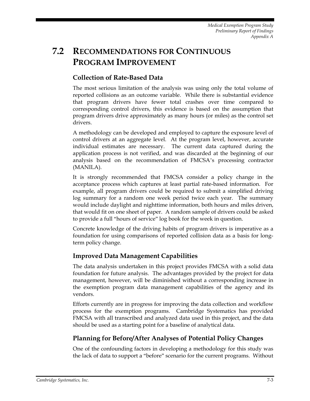# **7.2 RECOMMENDATIONS FOR CONTINUOUS PROGRAM IMPROVEMENT**

#### **Collection of Rate-Based Data**

The most serious limitation of the analysis was using only the total volume of reported collisions as an outcome variable. While there is substantial evidence that program drivers have fewer total crashes over time compared to corresponding control drivers, this evidence is based on the assumption that program drivers drive approximately as many hours (or miles) as the control set drivers.

A methodology can be developed and employed to capture the exposure level of control drivers at an aggregate level. At the program level, however, accurate individual estimates are necessary. The current data captured during the application process is not verified, and was discarded at the beginning of our analysis based on the recommendation of FMCSA's processing contractor (MANILA).

It is strongly recommended that FMCSA consider a policy change in the acceptance process which captures at least partial rate-based information. For example, all program drivers could be required to submit a simplified driving log summary for a random one week period twice each year. The summary would include daylight and nighttime information, both hours and miles driven, that would fit on one sheet of paper. A random sample of drivers could be asked to provide a full "hours of service" log book for the week in question.

Concrete knowledge of the driving habits of program drivers is imperative as a foundation for using comparisons of reported collision data as a basis for longterm policy change.

#### **Improved Data Management Capabilities**

The data analysis undertaken in this project provides FMCSA with a solid data foundation for future analysis. The advantages provided by the project for data management, however, will be diminished without a corresponding increase in the exemption program data management capabilities of the agency and its vendors.

Efforts currently are in progress for improving the data collection and workflow process for the exemption programs. Cambridge Systematics has provided FMCSA with all transcribed and analyzed data used in this project, and the data should be used as a starting point for a baseline of analytical data.

#### **Planning for Before/After Analyses of Potential Policy Changes**

One of the confounding factors in developing a methodology for this study was the lack of data to support a "before" scenario for the current programs. Without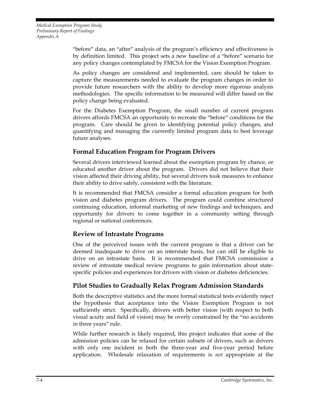"before" data, an "after" analysis of the program's efficiency and effectiveness is by definition limited. This project sets a new baseline of a "before" scenario for any policy changes contemplated by FMCSA for the Vision Exemption Program.

As policy changes are considered and implemented, care should be taken to capture the measurements needed to evaluate the program changes in order to provide future researchers with the ability to develop more rigorous analysis methodologies. The specific information to be measured will differ based on the policy change being evaluated.

For the Diabetes Exemption Program, the small number of current program drivers affords FMCSA an opportunity to recreate the "before" conditions for the program. Care should be given to identifying potential policy changes, and quantifying and managing the currently limited program data to best leverage future analyses.

#### **Formal Education Program for Program Drivers**

Several drivers interviewed learned about the exemption program by chance, or educated another driver about the program. Drivers did not believe that their vision affected their driving ability, but several drivers took measures to enhance their ability to drive safely, consistent with the literature.

It is recommended that FMCSA consider a formal education program for both vision and diabetes program drivers. The program could combine structured continuing education, informal marketing of new findings and techniques, and opportunity for drivers to come together in a community setting through regional or national conferences.

#### **Review of Intrastate Programs**

One of the perceived issues with the current program is that a driver can be deemed inadequate to drive on an interstate basis, but can still be eligible to drive on an intrastate basis. It is recommended that FMCSA commission a review of intrastate medical review programs to gain information about statespecific policies and experiences for drivers with vision or diabetes deficiencies.

#### **Pilot Studies to Gradually Relax Program Admission Standards**

Both the descriptive statistics and the more formal statistical tests evidently reject the hypothesis that acceptance into the Vision Exemption Program is not sufficiently strict. Specifically, drivers with better vision (with respect to both visual acuity and field of vision) may be overly constrained by the "no accidents in three years" rule.

While further research is likely required, this project indicates that some of the admission policies can be relaxed for certain subsets of drivers, such as drivers with only one incident in both the three-year and five-year period before application. Wholesale relaxation of requirements is *not* appropriate at the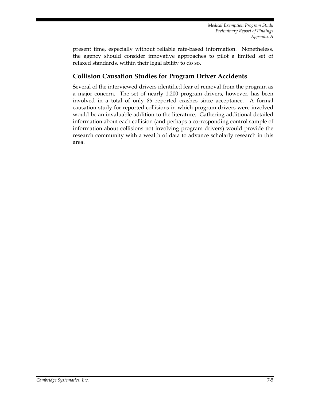present time, especially without reliable rate-based information. Nonetheless, the agency should consider innovative approaches to pilot a limited set of relaxed standards, within their legal ability to do so.

#### **Collision Causation Studies for Program Driver Accidents**

Several of the interviewed drivers identified fear of removal from the program as a major concern. The set of nearly 1,200 program drivers, however, has been involved in a total of only *85* reported crashes since acceptance. A formal causation study for reported collisions in which program drivers were involved would be an invaluable addition to the literature. Gathering additional detailed information about each collision (and perhaps a corresponding control sample of information about collisions not involving program drivers) would provide the research community with a wealth of data to advance scholarly research in this area.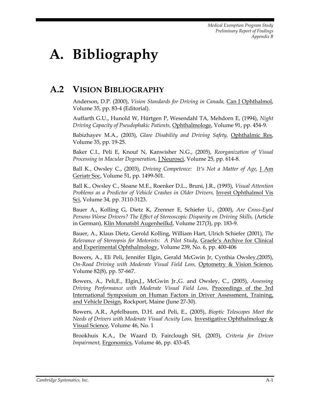# **A. Bibliography**

## **A.2 VISION BIBLIOGRAPHY**

Anderson, D.P. (2000), *Vision Standards for Driving in Canada,* Can J Ophthalmol, Volume 35, pp. 83-4 (Editorial).

Auffarth G.U., Hunold W, Hürtgen P, Wesendahl TA, Mehdorn E, (1994), *Night Driving Capacity of Pseudophakic Patients,* Ophthalmologe, Volume 91, pp. 454-9.

Babizhayev M.A., (2003), *Glare Disability and Driving Safety,* Ophthalmic Res, Volume 35, pp. 19-25.

Baker C.I., Peli E, Knouf N, Kanwisher N.G., (2005), *Reorganization of Visual Processing in Macular Degeneration,* J Neurosci, Volume 25, pp. 614-8.

Ball K., Owsley C., (2003), *Driving Competence: It's Not a Matter of Age,* J Am Geriatr Soc, Volume 51, pp. 1499-501.

Ball K., Owsley C., Sloane M.E., Roenker D.L., Bruni, J.R., (1993), *Visual Attention Problems as a Predictor of Vehicle Crashes in Older Drivers,* Invest Ophthalmol Vis Sci, Volume 34, pp. 3110-3123.

Bauer A., Kolling G, Dietz K, Zrenner E, Schiefer U., (2000), *Are Cross-Eyed Persons Worse Drivers? The Effect of Stereoscopic Disparity on Driving Skills,* (Article in German), Klin Monatsbl Augenheilkd, Volume 217(3), pp. 183-9.

Bauer, A., Klaus Dietz, Gerold Kolling, William Hart, Ulrich Schiefer (2001), *The Relevance of Stereopsis for Motorists: A Pilot Study,* Graefe's Archive for Clinical and Experimental Ophthalmology, Volume 239, No. 6, pp. 400-406

Bowers, A., Eli Peli, Jennifer Elgin, Gerald McGwin Jr, Cynthia Owsley,(2005), *On-Road Driving with Moderate Visual Field Loss,* Optometry & Vision Science, Volume 82(8), pp. 57-667.

Bowers, A., Peli,E., Elgin,J., McGwin Jr.,G. and Owsley, C., (2005), *Assessing Driving Performance with Moderate Visual Field Loss,* Proceedings of the 3rd International Symposium on Human Factors in Driver Assessment, Training, and Vehicle Design, Rockport, Maine (June 27-30).

Bowers, A.R., Apfelbaum, D.H. and Peli, E., (2005), *Bioptic Telescopes Meet the Needs of Drivers with Moderate Visual Acuity Loss,* Investigative Ophthalmology & Visual Science, Volume 46, No. 1

Brookhuis K.A., De Waard D, Fairclough SH, (2003), *Criteria for Driver Impairment,* Ergonomics, Volume 46, pp. 433-45.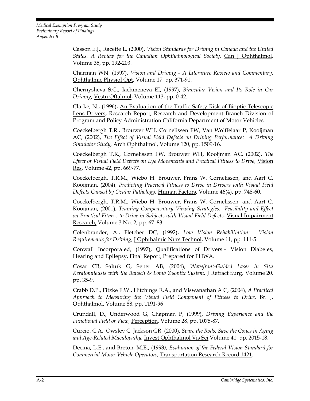> Casson E.J., Racette L, (2000), *Vision Standards for Driving in Canada and the United States. A Review for the Canadian Ophthalmological Society,* Can J Ophthalmol, Volume 35, pp. 192-203.

> Charman WN, (1997), *Vision and Driving – A Literature Review and Commentary,*  Ophthalmic Physiol Opt*,* Volume 17, pp. 371-91.

> Chernysheva S.G., Iachmeneva EI, (1997), *Binocular Vision and Its Role in Car Driving,* Vestn Oftalmol, Volume 113, pp. 0-42.

> Clarke, N., (1996), An Evaluation of the Traffic Safety Risk of Bioptic Telescopic Lens Drivers, Research Report, Research and Development Branch Division of Program and Policy Administration California Department of Motor Vehicles.

> Coeckelbergh T.R., Brouwer WH, Cornelissen FW, Van Wolffelaar P, Kooijman AC, (2002), *The Effect of Visual Field Defects on Driving Performance: A Driving Simulator Study,* Arch Ophthalmol, Volume 120, pp. 1509-16.

> Coeckelbergh T.R., Cornelissen FW, Brouwer WH, Kooijman AC, (2002), *The Effect of Visual Field Defects on Eye Movements and Practical Fitness to Drive,* Vision Res, Volume 42, pp. 669-77.

> Coeckelbergh, T.R.M., Wiebo H. Brouwer, Frans W. Cornelissen, and Aart C. Kooijman, (2004), *Predicting Practical Fitness to Drive in Drivers with Visual Field Defects Caused by Ocular Pathology,* Human Factors, Volume 46(4), pp. 748-60.

> Coeckelbergh, T.R.M., Wiebo H. Brouwer, Frans W. Cornelissen, and Aart C. Kooijman, (2001), *Training Compensatory Viewing Strategies: Feasibility and Effect on Practical Fitness to Drive in Subjects with Visual Field Defects,* Visual Impairment Research, Volume 3 No. 2, pp. 67-83.

> Colenbrander, A., Fletcher DC, (1992), *Low Vision Rehabilitation: Vision Requirements for Driving,* J Ophthalmic Nurs Technol, Volume 11, pp. 111-5.

> Conwall Incorporated, (1997), Qualifications of Drivers – Vision Diabetes, Hearing and Epilepsy, Final Report, Prepared for FHWA.

> Cosar CB, Saltuk G, Sener AB, (2004), *Wavefront-Guided Laser in Situ Keratomileusis with the Bausch & Lomb Zyoptix System,* J Refract Surg, Volume 20, pp. 35-9.

> Crabb D.P., Fitzke F.W., Hitchings R.A., and Viswanathan A C, (2004), *A Practical Approach to Measuring the Visual Field Component of Fitness to Drive,* Br. J. Ophthalmol, Volume 88, pp. 1191-96

> Crundall, D., Underwood G, Chapman P, (1999), *Driving Experience and the Functional Field of View,* Perception, Volume 28, pp. 1075-87.

> Curcio, C.A., Owsley C, Jackson GR, (2000), *Spare the Rods, Save the Cones in Aging and Age-Related Maculopathy,* Invest Ophthalmol Vis Sci Volume 41, pp. 2015-18.

> Decina, L.E., and Breton, M.E., (1993*), Evaluation of the Federal Vision Standard for Commercial Motor Vehicle Operators,* Transportation Research Record 1421.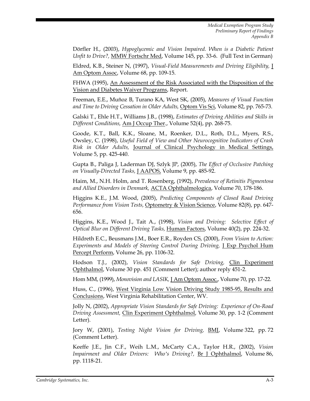Dörfler H., (2003), *Hypoglycemic and Vision Impaired. When is a Diabetic Patient Unfit to Drive?,* MMW Fortschr Med, Volume 145, pp. 33-6. (Full Text in German)

Eldred, K.B., Steiner N, (1997), *Visual-Field Measurements and Driving Eligibility,* J Am Optom Assoc, Volume 68, pp. 109-15.

FHWA (1995), An Assessment of the Risk Associated with the Disposition of the Vision and Diabetes Waiver Programs, Report.

Freeman, E.E., Muñoz B, Turano KA, West SK, (2005), *Measures of Visual Function and Time to Driving Cessation in Older Adults,* Optom Vis Sci, Volume 82, pp. 765-73.

Galski T., Ehle H.T., Williams J.B., (1998), *Estimates of Driving Abilities and Skills in Different Conditions,* Am J Occup Ther., Volume 52(4), pp. 268-75.

Goode, K.T., Ball, K.K., Sloane, M., Roenker, D.L., Roth, D.L., Myers, R.S., Owsley, C. (1998), *Useful Field of View and Other Neurocognitive Indicators of Crash Risk in Older Adults,* Journal of Clinical Psychology in Medical Settings, Volume 5, pp. 425-440.

Gupta B., Paliga J, Laderman DJ, Szlyk JP, (2005), *The Effect of Occlusive Patching on Visually-Directed Tasks,* J AAPOS, Volume 9, pp. 485-92.

Haim, M., N.H. Holm, and T. Rosenberg, (1992), *Prevalence of Retinitis Pigmentosa and Allied Disorders in Denmark,* ACTA Ophthalmologica, Volume 70, 178-186.

Higgins K.E., J.M. Wood, (2005), *Predicting Components of Closed Road Driving Performance from Vision Tests,* Optometry & Vision Science, Volume 82(8), pp. 647- 656.

Higgins, K.E., Wood J., Tait A., (1998), *Vision and Driving: Selective Effect of Optical Blur on Different Driving Tasks,* Human Factors, Volume 40(2), pp. 224-32.

Hildreth E.C., Beusmans J.M., Boer E.R., Royden CS, (2000), *From Vision to Action: Experiments and Models of Steering Control During Driving,* J Exp Psychol Hum Percept Perform, Volume 26, pp. 1106-32.

Hodson T.J., (2002), *Vision Standards for Safe Driving,* Clin Experiment Ophthalmol, Volume 30 pp. 451 (Comment Letter); author reply 451-2.

Hom MM, (1999), *Monovision and LASIK,* J Am Optom Assoc., Volume 70, pp. 17-22.

Huss, C., (1996), West Virginia Low Vision Driving Study 1985-95, Results and Conclusions, West Virginia Rehabilitation Center, WV.

Jolly N, (2002), *Appropriate Vision Standards for Safe Driving: Experience of On-Road Driving Assessment,* Clin Experiment Ophthalmol, Volume 30, pp. 1-2 (Comment Letter).

Jory W, (2001), *Testing Night Vision for Driving,* BMJ, Volume 322, pp. 72 (Comment Letter).

Keeffe J.E., Jin C.F., Weih L.M., McCarty C.A., Taylor H.R., (2002), *Vision Impairment and Older Drivers: Who's Driving?,* Br J Ophthalmol, Volume 86, pp. 1118-21.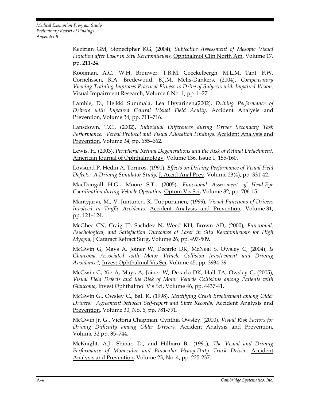> Kezirian GM, Stonecipher KG, (2004), *Subjective Assessment of Mesopic Visual Function after Laser in Situ Keratomileusis,* Ophthalmol Clin North Am, Volume 17, pp. 211-24.

> Kooijman, A.C., W.H. Brouwer, T.R.M. Coeckelbergh, M.L.M. Tant, F.W. Cornelissen, R.A. Bredewoud, B.J.M. Melis-Dankers, (2004), *Compensatory Viewing Training Improves Practical Fitness to Drive of Subjects with Impaired Vision,* Visual Impairment Research, Volume 6 No. 1, pp. 1–27.

> Lamble, D., Heikki Summala, Lea Hyvarinen,(2002), *Driving Performance of Drivers with Impaired Central Visual Field Acuity,* Accident Analysis and Prevention, Volume 34, pp. 711–716.

> Lansdown, T.C., (2002), *Individual Differences during Driver Secondary Task Performance: Verbal Protocol and Visual Allocation Findings,* Accident Analysis and Prevention, Volume 34, pp. 655–662.

> Lewis, H. (2003), *Peripheral Retinal Degenerations and the Risk of Retinal Detachment,* American Journal of Ophthalmology, Volume 136, Issue 1, 155-160.

> Lovsund P, Hedin A, Tornros, (1991), *Effects on Driving Performance of Visual Field Defects: A Driving Simulator Study,* J. Accid Anal Prev. Volume 23(4), pp. 331-42.

> MacDougall H.G., Moore S.T., (2005), *Functional Assessment of Head-Eye Coordination during Vehicle Operation,* Optom Vis Sci, Volume 82, pp. 706-15.

> Mantyjarvi, M., V. Juntunen, K. Tuppurainen, (1999), *Visual Functions of Drivers Involved in Traffic Accidents,* Accident Analysis and Prevention, Volume 31, pp. 121–124.

> McGhee CN, Craig JP, Sachdev N, Weed KH, Brown AD, (2000), *Functional, Psychological, and Satisfaction Outcomes of Laser in Situ Keratomileusis for High Myopia,* J Cataract Refract Surg, Volume 26, pp. 497-509.

> McGwin G, Mays A, Joiner W, Decarlo DK, McNeal S, Owsley C, (2004), *Is Glaucoma Associated with Motor Vehicle Collision Involvement and Driving Avoidance?,* Invest Ophthalmol Vis Sci, Volume 45, pp. 3934-39.

> McGwin G, Xie A, Mays A, Joiner W, Decarlo DK, Hall TA, Owsley C, (2005), *Visual Field Defects and the Risk of Motor Vehicle Collisions among Patients with Glaucoma,* Invest Ophthalmol Vis Sci, Volume 46, pp. 4437-41.

> McGwin G., Owsley C., Ball K, (1998), *Identifying Crash Involvement among Older Drivers: Agreement between Self-report and State Records,* Accident Analysis and Prevention, Volume 30, No. 6, pp. 781-791.

> McGwin Jr, G., Victoria Chapman, Cynthia Owsley, (2000), *Visual Risk Factors for Driving Difficulty among Older Drivers,* Accident Analysis and Prevention, Volume 32 pp. 35–744.

> McKnight, A.J., Shinar, D., and Hilborn B., (1991), *The Visual and Driving Performance of Monocular and Binocular Heavy-Duty Truck Driver,* Accident Analysis and Prevention, Volume 23, No. 4, pp. 225-237.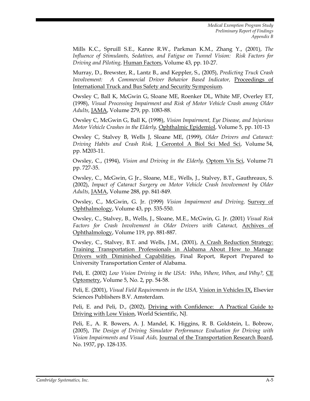Mills K.C., Spruill S.E., Kanne R.W., Parkman K.M., Zhang Y., (2001), *The Influence of Stimulants, Sedatives, and Fatigue on Tunnel Vision: Risk Factors for Driving and Piloting,* Human Factors, Volume 43, pp. 10-27.

Murray, D., Brewster, R., Lantz B., and Keppler, S., (2005), *Predicting Truck Crash Involvement: A Commercial Driver Behavior Based Indicator,* Proceedings of International Truck and Bus Safety and Security Symposium.

Owsley C, Ball K, McGwin G, Sloane ME, Roenker DL, White MF, Overley ET, (1998), *Visual Processing Impairment and Risk of Motor Vehicle Crash among Older Adults,* JAMA, Volume 279, pp. 1083-88.

Owsley C, McGwin G, Ball K, (1998), *Vision Impairment, Eye Disease, and Injurious Motor Vehicle Crashes in the Elderly,* Ophthalmic Epidemiol, Volume 5, pp. 101-13

Owsley C, Stalvey B, Wells J, Sloane ME, (1999), *Older Drivers and Cataract: Driving Habits and Crash Risk,* J Gerontol A Biol Sci Med Sci, Volume 54, pp. M203-11.

Owsley, C., (1994), *Vision and Driving in the Elderly,* Optom Vis Sci, Volume 71 pp. 727-35.

Owsley, C., McGwin, G Jr., Sloane, M.E., Wells, J., Stalvey, B.T., Gauthreaux, S. (2002), *Impact of Cataract Surgery on Motor Vehicle Crash Involvement by Older Adults,* JAMA, Volume 288, pp. 841-849.

Owsley, C., McGwin, G. Jr. (1999) *Vision Impairment and Driving,* Survey of Ophthalmology, Volume 43, pp. 535-550.

Owsley, C., Stalvey, B., Wells, J., Sloane, M.E., McGwin, G. Jr. (2001) *Visual Risk Factors for Crash Involvement in Older Drivers with Cataract,* Archives of Ophthalmology, Volume 119, pp. 881-887.

Owsley, C., Stalvey, B.T. and Wells, J.M., (2001), A Crash Reduction Strategy: Training Transportation Professionals in Alabama About How to Manage Drivers with Diminished Capabilities, Final Report, Report Prepared to University Transportation Center of Alabama.

Peli, E. (2002) *Low Vision Driving in the USA: Who, Where, When, and Why?,* CE Optometry, Volume 5, No. 2, pp. 54-58.

Peli, E. (2001), *Visual Field Requirements in the USA,* Vision in Vehicles IX, Elsevier Sciences Publishers B.V. Amsterdam.

Peli, E. and Peli, D., (2002), Driving with Confidence: A Practical Guide to Driving with Low Vision, World Scientific, NJ.

Peli, E., A. R. Bowers, A. J. Mandel, K. Higgins, R. B. Goldstein, L. Bobrow, (2005), *The Design of Driving Simulator Performance Evaluation for Driving with Vision Impairments and Visual Aids,* Journal of the Transportation Research Board, No. 1937, pp. 128-135.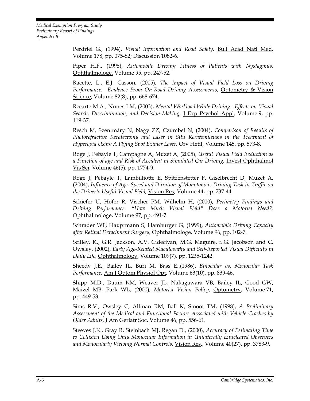Perdriel G., (1994), *Visual Information and Road Safety,* Bull Acad Natl Med, Volume 178, pp. 075-82; Discussion 1082-6.

Piper H.F., (1998), *Automobile Driving Fitness of Patients with Nystagmus,* Ophthalmologe, Volume 95, pp. 247-52.

Racette, L., E.J. Casson, (2005), *The Impact of Visual Field Loss on Driving Performance: Evidence From On-Road Driving Assessments,* Optometry & Vision Science, Volume 82(8), pp. 668-674.

Recarte M.A., Nunes LM, (2003), *Mental Workload While Driving: Effects on Visual Search, Discrimination, and Decision-Making,* J Exp Psychol Appl, Volume 9, pp. 119-37.

Resch M, Szentmáry N, Nagy ZZ, Czumbel N, (2004), *Comparison of Results of Photorefractive Keratectomy and Laser in Situ Keratomileusis in the Treatment of Hyperopia Using A Flying Spot Eximer Laser,* Orv Hetil, Volume 145, pp. 573-8.

Roge J, Pebayle T, Campagne A, Muzet A, (2005), *Useful Visual Field Reduction as a Function of age and Risk of Accident in Simulated Car Driving,* Invest Ophthalmol Vis Sci. Volume 46(5), pp. 1774-9.

Roge J, Pebayle T, Lambilliotte E, Spitzenstetter F, Giselbrecht D, Muzet A, (2004), *Influence of Age, Speed and Duration of Monotonous Driving Task in Traffic on the Driver's Useful Visual Field,* Vision Res, Volume 44, pp. 737-44.

Schiefer U, Hofer R, Vischer PM, Wilhelm H, (2000), *Perimetry Findings and Driving Performance. "How Much Visual Field" Does a Motorist Need?,* Ophthalmologe, Volume 97, pp. 491-7.

Schrader WF, Hauptmann S, Hamburger G, (1999), *Automobile Driving Capacity after Retinal Detachment Surgery,* Ophthalmologe, Volume 96, pp. 102-7.

Scilley, K., G.R. Jackson, A.V. Cideciyan, M.G. Maguire, S.G. Jacobson and C. Owsley, (2002), *Early Age-Related Maculopathy and Self-Reported Visual Difficulty in Daily Life,* Ophthalmology, Volume 109(7), pp. 1235-1242.

Sheedy J.E., Bailey IL, Buri M, Bass E.,(1986), *Binocular vs. Monocular Task Performance,* Am J Optom Physiol Opt, Volume 63(10), pp. 839-46.

Shipp M.D., Daum KM, Weaver JL, Nakagawara VB, Bailey IL, Good GW, Maizel MB, Park WL, (2000), *Motorist Vision Policy,* Optometry, Volume 71, pp. 449-53.

Sims R.V., Owsley C, Allman RM, Ball K, Smoot TM, (1998), *A Preliminary Assessment of the Medical and Functional Factors Associated with Vehicle Crashes by Older Adults,* J Am Geriatr Soc, Volume 46, pp. 556-61.

Steeves J.K., Gray R, Steinbach MJ, Regan D., (2000), *Accuracy of Estimating Time to Collision Using Only Monocular Information in Unilaterally Enucleated Observers and Monocularly Viewing Normal Controls,* Vision Res., Volume 40(27), pp. 3783-9.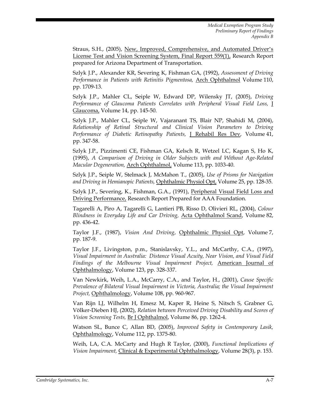Straus, S.H., (2005), New, Improved, Comprehensive, and Automated Driver's License Test and Vision Screening System, Final Report 559(1), Research Report prepared for Arizona Department of Transportation.

Szlyk J.P., Alexander KR, Severing K, Fishman GA, (1992), *Assessment of Driving Performance in Patients with Retinitis Pigmentosa,* Arch Ophthalmol Volume 110, pp. 1709-13.

Szlyk J.P., Mahler CL, Seiple W, Edward DP, Wilensky JT, (2005), *Driving Performance of Glaucoma Patients Correlates with Peripheral Visual Field Loss,* J Glaucoma, Volume 14, pp. 145-50.

Szlyk J.P., Mahler CL, Seiple W, Vajaranant TS, Blair NP, Shahidi M, (2004), *Relationship of Retinal Structural and Clinical Vision Parameters to Driving Performance of Diabetic Retinopathy Patients,* J Rehabil Res Dev, Volume 41, pp. 347-58.

Szlyk J.P., Pizzimenti CE, Fishman GA, Kelsch R, Wetzel LC, Kagan S, Ho K, (1995), *A Comparison of Driving in Older Subjects with and Without Age-Related Macular Degeneration,* Arch Ophthalmol, Volume 113, pp. 1033-40.

Szlyk J.P., Seiple W, Stelmack J, McMahon T., (2005), *Use of Prisms for Navigation and Driving in Hemianopic Patients,* Ophthalmic Physiol Opt, Volume 25, pp. 128-35.

Szlyk J.P., Severing, K., Fishman, G.A., (1991), Peripheral Visual Field Loss and Driving Performance, Research Report Prepared for AAA Foundation.

Tagarelli A, Piro A, Tagarelli G, Lantieri PB, Risso D, Olivieri RL, (2004), *Colour Blindness in Everyday Life and Car Driving,* Acta Ophthalmol Scand, Volume 82, pp. 436-42.

Taylor J.F., (1987), *Vision And Driving*, Ophthalmic Physiol Opt, Volume 7, pp. 187-9.

Taylor J.F., Livingston, p.m., Stanislavsky, Y.L., and McCarthy, C.A., (1997), *Visual Impairment in Australia: Distance Visual Acuity, Near Vision, and Visual Field Findings of the Melbourne Visual Impairment Project,* American Journal of Ophthalmology, Volume 123, pp. 328-337.

Van Newkirk, Weih, L.A., McCarry, C.A., and Taylor, H., (2001), *Cause Specific Prevalence of Bilateral Visual Impairment in Victoria, Australia; the Visual Impairment Project,* Ophthalmology, Volume 108, pp. 960-967.

Van Rijn LJ, Wilhelm H, Emesz M, Kaper R, Heine S, Nitsch S, Grabner G, Völker-Dieben HJ, (2002), *Relation between Perceived Driving Disability and Scores of Vision Screening Tests,* Br J Ophthalmol, Volume 86, pp. 1262-4.

Watson SL, Bunce C, Allan BD, (2005), *Improved Safety in Contemporary Lasik,* Ophthalmology, Volume 112, pp. 1375-80.

Weih, LA, C.A. McCarty and Hugh R Taylor, (2000), *Functional Implications of Vision Impairment,* Clinical & Experimental Ophthalmology, Volume 28(3), p. 153.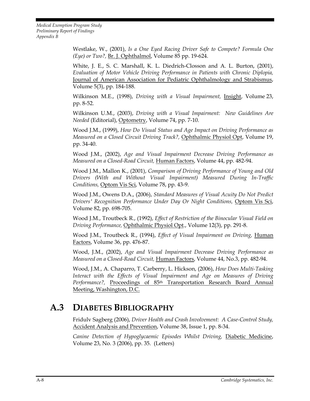> Westlake, W., (2001), *Is a One Eyed Racing Driver Safe to Compete? Formula One (Eye) or Two?,* Br. J. Ophthalmol, Volume 85 pp. 19-624.

> White, J. E., S. C. Marshall, K. L. Diedrich-Closson and A. L. Burton, (2001), *Evaluation of Motor Vehicle Driving Performance in Patients with Chronic Diplopia,* Journal of American Association for Pediatric Ophthalmology and Strabismus, Volume 5(3), pp. 184-188.

> Wilkinson M.E., (1998), *Driving with a Visual Impairment,* Insight, Volume 23, pp. 8-52.

> Wilkinson U.M., (2003), *Driving with a Visual Impairment: New Guidelines Are Needed* (Editorial), Optometry, Volume 74, pp. 7-10.

> Wood J.M., (1999), *How Do Visual Status and Age Impact on Driving Performance as Measured on a Closed Circuit Driving Track?,* Ophthalmic Physiol Opt, Volume 19, pp. 34-40.

> Wood J.M., (2002), *Age and Visual Impairment Decrease Driving Performance as Measured on a Closed-Road Circuit,* Human Factors, Volume 44, pp. 482-94.

> Wood J.M., Mallon K., (2001), *Comparison of Driving Performance of Young and Old Drivers (With and Without Visual Impairment) Measured During In-Traffic Conditions,* Optom Vis Sci, Volume 78, pp. 43-9.

> Wood J.M., Owens D.A., (2006), *Standard Measures of Visual Acuity Do Not Predict Drivers' Recognition Performance Under Day Or Night Conditions,* Optom Vis Sci, Volume 82, pp. 698-705.

> Wood J.M., Troutbeck R., (1992), *Effect of Restriction of the Binocular Visual Field on Driving Performance,* Ophthalmic Physiol Opt., Volume 12(3), pp. 291-8.

> Wood J.M., Troutbeck R., (1994), *Effect of Visual Impairment on Driving,* Human Factors, Volume 36, pp. 476-87.

> Wood, J.M., (2002), *Age and Visual Impairment Decrease Driving Performance as Measured on a Closed-Road Circuit,* Human Factors, Volume 44, No.3, pp. 482-94.

> Wood, J.M., A. Chaparro, T. Carberry, L. Hickson, (2006), *How Does Multi-Tasking Interact with the Effects of Visual Impairment and Age on Measures of Driving Performance?,* Proceedings of 85th Transportation Research Board Annual Meeting, Washington, D.C.

### **A.3 DIABETES BIBLIOGRAPHY**

Fridulv Sagberg (2006), *Driver Health and Crash Involvement: A Case-Control Study,* Accident Analysis and Prevention, Volume 38, Issue 1, pp. 8-34.

*Canine Detection of Hypoglycaemic Episodes Whilst Driving,* Diabetic Medicine, Volume 23, No. 3 (2006), pp. 35. (Letters)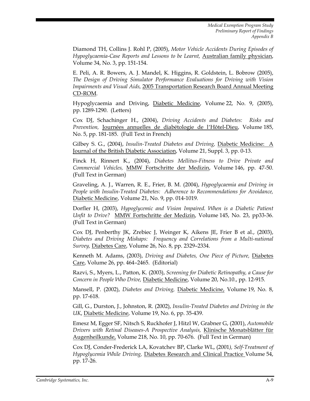Diamond TH, Collins J. Rohl P, (2005), *Motor Vehicle Accidents During Episodes of Hypoglycaemia-Case Reports and Lessons to be Learnt,* Australian family physician, Volume 34, No. 3, pp. 151-154.

E. Peli, A. R. Bowers, A. J. Mandel, K. Higgins, R. Goldstein, L. Bobrow (2005), *The Design of Driving Simulator Performance Evaluations for Driving with Vision Impairments and Visual Aids,* 2005 Transportation Research Board Annual Meeting CD-ROM.

Hypoglycaemia and Driving, Diabetic Medicine, Volume 22, No. 9, (2005), pp. 1289-1290. (Letters)

Cox DJ, Schachinger H., (2004), *Driving Accidents and Diabetes: Risks and Prevention,* Journées annuelles de diabétologie de l'Hôtel-Dieu, Volume 185, No. 5, pp. 181-185. (Full Text in French)

Gilbey S. G., (2004), *Insulin-Treated Diabetes and Driving,* Diabetic Medicine: A Journal of the British Diabetic Association, Volume 21, Suppl. 3, pp. 0-13.

Finck H, Rinnert K., (2004), *Diabetes Mellitus-Fitness to Drive Private and Commercial Vehicles,* MMW Fortschritte der Medizin, Volume 146, pp. 47-50. (Full Text in German)

Graveling, A. J., Warren, R. E., Frier, B. M. (2004), *Hypoglycaemia and Driving in People with Insulin-Treated Diabetes: Adherence to Recommendations for Avoidance,*  Diabetic Medicine, Volume 21, No. 9, pp. 014-1019.

Dorfler H, (2003), *Hypoglycemic and Vision Impaired. When is a Diabetic Patient Unfit to Drive?* MMW Fortschritte der Medizin, Volume 145, No. 23, pp33-36. (Full Text in German)

Cox DJ, Penberthy JK, Zrebiec J, Weinger K, Aikens JE, Frier B et al., (2003), *Diabetes and Driving Mishaps: Frequency and Correlations from a Multi-national Survey,* Diabetes Care, Volume 26, No. 8, pp. 2329–2334.

Kenneth M. Adams, (2003), *Driving and Diabetes, One Piece of Picture,* Diabetes Care, Volume 26, pp. 464–2465. (Editorial)

Razvi, S., Myers, L., Patton, K. (2003), *Screening for Diabetic Retinopathy, a Cause for Concern in People Who Drive,* Diabetic Medicine, Volume 20, No.10., pp. 12-915.

Mansell, P. (2002), *Diabetes and Driving,* Diabetic Medicine, Volume 19, No. 8, pp. 17-618.

Gill, G., Durston, J., Johnston, R. (2002), *Insulin-Treated Diabetes and Driving in the UK*, Diabetic Medicine, Volume 19, No. 6, pp. 35-439.

Emesz M, Egger SF, Nitsch S, Ruckhofer J, Hitzl W, Grabner G, (2001), *Automobile Drivers with Retinal Diseases-A Prospective Analysis,* Klinische Monatsblätter für Augenheilkunde, Volume 218, No. 10, pp. 70-676. (Full Text in German)

Cox DJ, Conder-Frederick LA, Kovatchev BP, Clarke WL, (2001*), Self-Treatment of Hypoglycemia While Driving,* Diabetes Research and Clinical Practice Volume 54, pp. 17-26.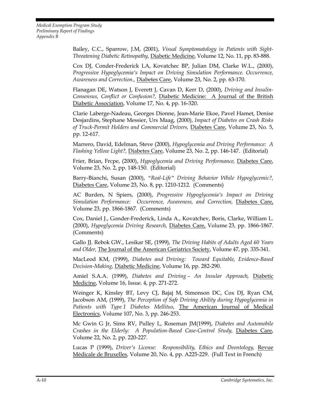Bailey, C.C., Sparrow, J.M, (2001), *Visual Symptomatology in Patients with Sight-Threatening Diabetic Retinopathy,* Diabetic Medicine, Volume 12, No. 11, pp. 83-888.

Cox DJ, Conder-Frederick LA, Kovatchec BP, Julian DM, Clarke W.L., (2000), *Progressive Hypoglycemia's Impact on Driving Simulation Performance. Occurrence, Awareness and Correction.,* Diabetes Care, Volume 23, No. 2, pp. 63-170.

Flanagan DE, Watson J, Everett J, Cavan D, Kerr D, (2000), *Driving and Insulin-Consensus, Conflict or Confusion?,* Diabetic Medicine: A Journal of the British Diabetic Association, Volume 17, No. 4, pp. 16-320.

Clarie Laberge-Nadeau, Georges Dionne, Jean-Marie Ekoe, Pavel Hamet, Denise Desjardins, Stephane Messier, Urs Maag, (2000), *Impact of Diabetes on Crash Risks of Truck-Permit Holders and Commercial Drivers,* Diabetes Care, Volume 23, No. 5, pp. 12-617.

Marrero, David, Edelman, Steve (2000), *Hypoglycemia and Driving Performance: A Flashing Yellow Light?,* Diabetes Care, Volume 23, No. 2, pp. 146-147. (Editorial)

Frier, Brian, Frcpe, (2000), *Hypoglycemia and Driving Performance,* Diabetes Care, Volume 23, No. 2, pp. 148-150. (Editorial)

Barry-Bianchi, Susan (2000), *"Real-Life" Driving Behavior While Hypoglycemic?,* Diabetes Care, Volume 23, No. 8, pp. 1210-1212. (Comments)

AC Burden, N Spiers, (2000), *Progressive Hypoglycemia's Impact on Driving Simulation Performance: Occurrence, Awareness, and Correction,* Diabetes Care, Volume 23, pp. 1866-1867. (Comments)

Cox, Daniel J., Gonder-Frederick, Linda A., Kovatchev, Boris, Clarke, William L. (2000), *Hypoglycemia Driving Research,* Diabetes Care, Volume 23, pp. 1866-1867. (Comments)

Gallo JJ. Rebok GW., Lesikar SE, (1999), *The Driving Habits of Adults Aged 60 Years and Older,* The Journal of the American Geriatrics Society, Volume 47, pp. 335-341.

MacLeod KM, (1999), *Diabetes and Driving: Toward Equitable, Evidence-Based Decision-Making,* Diabetic Medicine, Volume 16, pp. 282-290.

Amiel S.A.A. (1999), *Diabetes and Driving – An Insular Approach,* Diabetic Medicine, Volume 16, Issue. 4, pp. 271-272.

Weinger K, Kinsley BT, Levy CJ, Bajaj M, Simonson DC, Cox DJ, Ryan CM, Jacobson AM, (1999), *The Perception of Safe Driving Ability during Hypoglycemia in Patients with Type 1 Diabetes Mellitus,* The American Journal of Medical Electronics, Volume 107, No. 3, pp. 246-253.

Mc Gwin G Jr, Sims RV, Pulley L, Roseman JM(1999), *Diabetes and Automobile Crashes in the Elderly: A Population-Based Case-Control Study,* Diabetes Care, Volume 22, No. 2, pp. 220-227.

Lucas P (1999), *Driver's License: Responsibility, Ethics and Deontology,* Revue Médicale de Bruxelles, Volume 20, No. 4, pp. A225-229. (Full Text in French)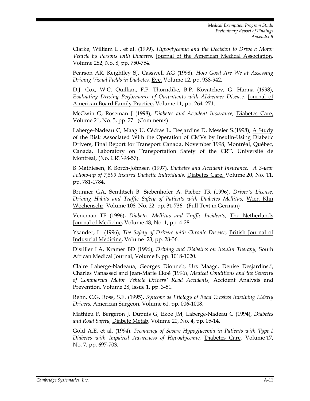Clarke, William L., et al. (1999), *Hypoglycemia and the Decision to Drive a Motor Vehicle by Persons with Diabetes,* Journal of the American Medical Association, Volume 282, No. 8, pp. 750-754.

Pearson AR, Keightley SJ, Casswell AG (1998), *How Good Are We at Assessing Driving Visual Fields in Diabetes,* Eye, Volume 12, pp. 938-942.

D.J. Cox, W.C. Quillian, F.P. Thorndike, B.P. Kovatchev, G. Hanna (1998), *Evaluating Driving Performance of Outpatients with Alzheimer Disease,* Journal of American Board Family Practice, Volume 11, pp. 264–271.

McGwin G, Roseman J (1998), *Diabetes and Accident Insurance,* Diabetes Care, Volume 21, No. 5, pp. 77. (Comments)

Laberge-Nadeau C, Maag U, Cédras L, Desjardins D, Messier S.(1998), A Study of the Risk Associated With the Operation of CMVs by Insulin-Using Diabetic Drivers, Final Report for Transport Canada, November 1998, Montréal, Québec, Canada, Laboratory on Transportation Safety of the CRT, Université de Montréal, (No. CRT-98-57).

B Mathiesen, K Borch-Johnsen (1997), *Diabetes and Accident Insurance. A 3-year Follow-up of 7,599 Insured Diabetic Individuals,* Diabetes Care, Volume 20, No. 11, pp. 781-1784.

Brunner GA, Semlitsch B, Siebenhofer A, Pieber TR (1996), *Driver's License, Driving Habits and Traffic Safety of Patients with Diabetes Mellitus,* Wien Klin Wochenschr, Volume 108, No. 22, pp. 31-736. (Full Text in German)

Veneman TF (1996), *Diabetes Mellitus and Traffic Incidents,* The Netherlands Journal of Medicine, Volume 48, No. 1, pp. 4-28.

Ysander, L. (1996), *The Safety of Drivers with Chronic Disease,* British Journal of Industrial Medicine, Volume 23, pp. 28-36.

Distiller LA, Kramer BD (1996), *Driving and Diabetics on Insulin Therapy,* South African Medical Journal, Volume 8, pp. 1018-1020.

Claire Laberge-Nadeaua, Georges Dionneb, Urs Maagc, Denise Desjardinsd, Charles Vanassed and Jean-Marie Ékoé (1996), *Medical Conditions and the Severity of Commercial Motor Vehicle Drivers' Road Accidents,* Accident Analysis and Prevention, Volume 28, Issue 1, pp. 3-51.

Rehn, C.G, Ross, S.E. (1995), *Syncope as Etiology of Road Crashes Involving Elderly Drivers,* American Surgeon, Volume 61, pp. 006-1008.

Mathieu F, Bergeron J, Dupuis G, Ekoe JM, Laberge-Nadeau C (1994), *Diabetes and Road Safety,* Diabete Metab, Volume 20, No. 4, pp. 05-14.

Gold A.E. et al. (1994), *Frequency of Severe Hypoglycemia in Patients with Type 1 Diabetes with Impaired Awareness of Hypoglycemic,* Diabetes Care, Volume 17, No. 7, pp. 697-703.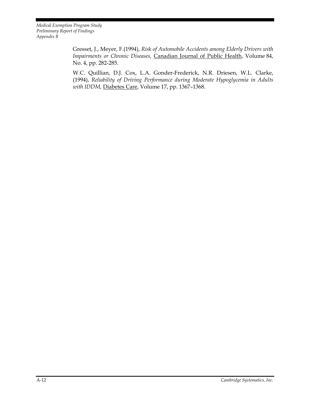> Gresset, J., Meyer, F.(1994), *Risk of Automobile Accidents among Elderly Drivers with Impairments or Chronic Diseases,* Canadian Journal of Public Health, Volume 84, No. 4, pp. 282-285.

> W.C. Quillian, D.J. Cox, L.A. Gonder-Frederick, N.R. Driesen, W.L. Clarke, (1994), *Reliability of Driving Performance during Moderate Hypoglycemia in Adults with IDDM,* Diabetes Care, Volume 17, pp. 1367–1368.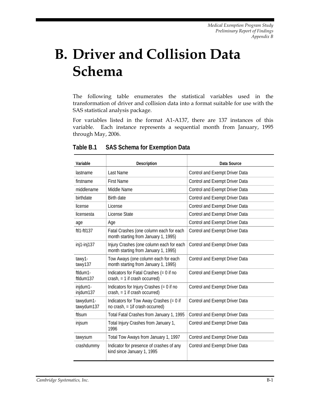# **B. Driver and Collision Data Schema**

The following table enumerates the statistical variables used in the transformation of driver and collision data into a format suitable for use with the SAS statistical analysis package.

For variables listed in the format A1-A137, there are 137 instances of this variable. Each instance represents a sequential month from January, 1995 through May, 2006.

| Variable                | Description                                                                      | Data Source                    |
|-------------------------|----------------------------------------------------------------------------------|--------------------------------|
| lastname                | Last Name                                                                        | Control and Exempt Driver Data |
| firstname               | <b>First Name</b>                                                                | Control and Exempt Driver Data |
| middlename              | Middle Name                                                                      | Control and Exempt Driver Data |
| birthdate               | <b>Birth date</b>                                                                | Control and Exempt Driver Data |
| license                 | License                                                                          | Control and Exempt Driver Data |
| licensesta              | License State                                                                    | Control and Exempt Driver Data |
| age                     | Age                                                                              | Control and Exempt Driver Data |
| $ft11-f1137$            | Fatal Crashes (one column each for each<br>month starting from January 1, 1995)  | Control and Exempt Driver Data |
| $inj1-inj137$           | Injury Crashes (one column each for each<br>month starting from January 1, 1995) | Control and Exempt Driver Data |
| tawy1-<br>tawy137       | Tow Aways (one column each for each<br>month starting from January 1, 1995)      | Control and Exempt Driver Data |
| ftldum1-<br>ftldum137   | Indicators for Fatal Crashes $(= 0$ if no<br>crash, $= 1$ if crash occurred)     | Control and Exempt Driver Data |
| injdum1-<br>injdum137   | Indicators for Injury Crashes $(= 0$ if no<br>$crash$ , = 1 if crash occurred)   | Control and Exempt Driver Data |
| tawydum1-<br>tawydum137 | Indicators for Tow Away Crashes (= 0 if<br>no crash, = 1if crash occurred)       | Control and Exempt Driver Data |
| ftlsum                  | Total Fatal Crashes from January 1, 1995                                         | Control and Exempt Driver Data |
| injsum                  | Total Injury Crashes from January 1,<br>1996                                     | Control and Exempt Driver Data |
| tawysum                 | Total Tow Aways from January 1, 1997                                             | Control and Exempt Driver Data |
| crashdummy              | Indicator for presence of crashes of any<br>kind since January 1, 1995           | Control and Exempt Driver Data |

**Table B.1 SAS Schema for Exemption Data**